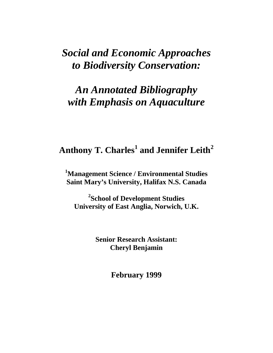# *Social and Economic Approaches to Biodiversity Conservation:*

# *An Annotated Bibliography with Emphasis on Aquaculture*

## **Anthony T. Charles<sup>1</sup> and Jennifer Leith<sup>2</sup>**

**1 Management Science / Environmental Studies Saint Mary's University, Halifax N.S. Canada** 

**2 School of Development Studies University of East Anglia, Norwich, U.K.** 

> **Senior Research Assistant: Cheryl Benjamin**

> > **February 1999**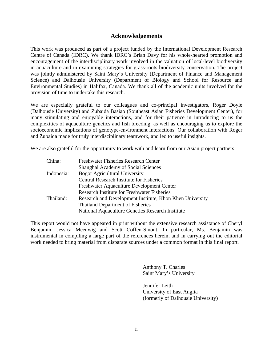#### **Acknowledgements**

This work was produced as part of a project funded by the International Development Research Centre of Canada (IDRC). We thank IDRC's Brian Davy for his whole-hearted promotion and encouragement of the interdisciplinary work involved in the valuation of local-level biodiversity in aquaculture and in examining strategies for grass-roots biodiversity conservation. The project was jointly administered by Saint Mary's University (Department of Finance and Management Science) and Dalhousie University (Department of Biology and School for Resource and Environmental Studies) in Halifax, Canada. We thank all of the academic units involved for the provision of time to undertake this research.

We are especially grateful to our colleagues and co-principal investigators, Roger Doyle (Dalhousie University) and Zubaida Basiao (Southeast Asian Fisheries Development Center), for many stimulating and enjoyable interactions, and for their patience in introducing to us the complexities of aquaculture genetics and fish breeding, as well as encouraging us to explore the socioeconomic implications of genotype-environment interactions. Our collaboration with Roger and Zubaida made for truly interdisciplinary teamwork, and led to useful insights.

We are also grateful for the opportunity to work with and learn from our Asian project partners:

| China:     | <b>Freshwater Fisheries Research Center</b>              |
|------------|----------------------------------------------------------|
|            | Shanghai Academy of Social Sciences                      |
| Indonesia: | <b>Bogor Agricultural University</b>                     |
|            | <b>Central Research Institute for Fisheries</b>          |
|            | Freshwater Aquaculture Development Center                |
|            | <b>Research Institute for Freshwater Fisheries</b>       |
| Thailand:  | Research and Development Institute, Khon Khen University |
|            | <b>Thailand Department of Fisheries</b>                  |
|            | National Aquaculture Genetics Research Institute         |

This report would not have appeared in print without the extensive research assistance of Cheryl Benjamin, Jessica Meeuwig and Scott Coffen-Smout. In particular, Ms. Benjamin was instrumental in compiling a large part of the references herein, and in carrying out the editorial work needed to bring material from disparate sources under a common format in this final report.

> Anthony T. Charles Saint Mary's University

Jennifer Leith University of East Anglia (formerly of Dalhousie University)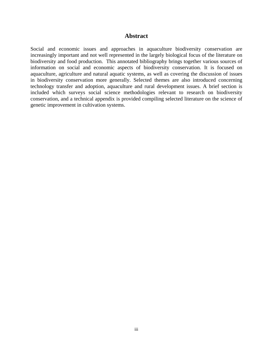#### **Abstract**

Social and economic issues and approaches in aquaculture biodiversity conservation are increasingly important and not well represented in the largely biological focus of the literature on biodiversity and food production. This annotated bibliography brings together various sources of information on social and economic aspects of biodiversity conservation. It is focused on aquaculture, agriculture and natural aquatic systems, as well as covering the discussion of issues in biodiversity conservation more generally. Selected themes are also introduced concerning technology transfer and adoption, aquaculture and rural development issues. A brief section is included which surveys social science methodologies relevant to research on biodiversity conservation, and a technical appendix is provided compiling selected literature on the science of genetic improvement in cultivation systems.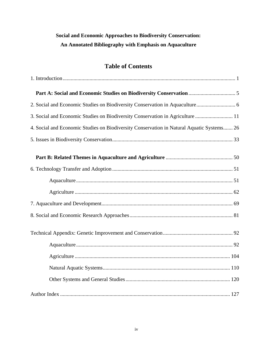### **Social and Economic Approaches to Biodiversity Conservation: An Annotated Bibliography with Emphasis on Aquaculture**

#### **Table of Contents**

| 2. Social and Economic Studies on Biodiversity Conservation in Aquaculture 6              |  |
|-------------------------------------------------------------------------------------------|--|
| 3. Social and Economic Studies on Biodiversity Conservation in Agriculture  11            |  |
| 4. Social and Economic Studies on Biodiversity Conservation in Natural Aquatic Systems 26 |  |
|                                                                                           |  |
|                                                                                           |  |
|                                                                                           |  |
|                                                                                           |  |
|                                                                                           |  |
|                                                                                           |  |
|                                                                                           |  |
|                                                                                           |  |
|                                                                                           |  |
|                                                                                           |  |
|                                                                                           |  |
|                                                                                           |  |
|                                                                                           |  |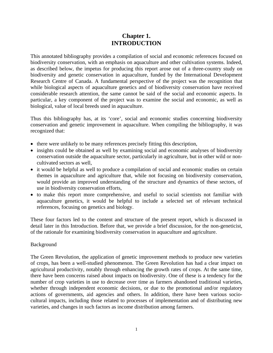#### **Chapter 1. INTRODUCTION**

This annotated bibliography provides a compilation of social and economic references focused on biodiversity conservation, with an emphasis on aquaculture and other cultivation systems. Indeed, as described below, the impetus for producing this report arose out of a three-country study on biodiversity and genetic conservation in aquaculture, funded by the International Development Research Centre of Canada. A fundamental perspective of the project was the recognition that while biological aspects of aquaculture genetics and of biodiversity conservation have received considerable research attention, the same cannot be said of the social and economic aspects. In particular, a key component of the project was to examine the social and economic, as well as biological, value of local breeds used in aquaculture.

Thus this bibliography has, at its 'core', social and economic studies concerning biodiversity conservation and genetic improvement in aquaculture. When compiling the bibliography, it was recognized that:

- there were unlikely to be many references precisely fitting this description,
- insights could be obtained as well by examining social and economic analyses of biodiversity conservation outside the aquaculture sector, particularly in agriculture, but in other wild or noncultivated sectors as well,
- it would be helpful as well to produce a compilation of social and economic studies on certain themes in aquaculture and agriculture that, while not focusing on biodiversity conservation, would provide an improved understanding of the structure and dynamics of these sectors, of use in biodiversity conservation efforts,
- to make this report more comprehensive, and useful to social scientists not familiar with aquaculture genetics, it would be helpful to include a selected set of relevant technical references, focusing on genetics and biology.

These four factors led to the content and structure of the present report, which is discussed in detail later in this Introduction. Before that, we provide a brief discussion, for the non-geneticist, of the rationale for examining biodiversity conservation in aquaculture and agriculture.

#### Background

The Green Revolution, the application of genetic improvement methods to produce new varieties of crops, has been a well-studied phenomenon. The Green Revolution has had a clear impact on agricultural productivity, notably through enhancing the growth rates of crops. At the same time, there have been concerns raised about impacts on biodiversity. One of these is a tendency for the number of crop varieties in use to decrease over time as farmers abandoned traditional varieties, whether through independent economic decisions, or due to the promotional and/or regulatory actions of governments, aid agencies and others. In addition, there have been various sociocultural impacts, including those related to processes of implementation and of distributing new varieties, and changes in such factors as income distribution among farmers.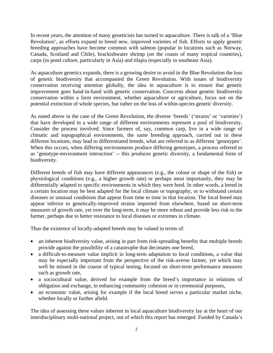In recent years, the attention of many geneticists has turned to aquaculture. There is talk of a 'Blue Revolution', as efforts expand to breed new, improved varieties of fish. Efforts to apply genetic breeding approaches have become common with salmon (popular in locations such as Norway, Canada, Scotland and Chile), brackishwater shrimp (on the coasts of many tropical countries), carps (in pond culture, particularly in Asia) and tilapia (especially in southeast Asia).

As aquaculture genetics expands, there is a growing desire to avoid in the Blue Revolution the loss of genetic biodiversity that accompanied the Green Revolution. With issues of biodiversity conservation receiving attention globally, the idea in aquaculture is to ensure that genetic improvement goes hand-in-hand with genetic conservation. Concerns about genetic biodiversity conservation within a farm environment, whether aquaculture or agriculture, focus not on the potential extinction of whole species, but rather on the loss of within-species genetic diversity.

As noted above in the case of the Green Revolution, the diverse 'breeds' ('strains' or 'varieties') that have developed in a wide range of different environments represent a pool of biodiversity. Consider the process involved. Since farmers of, say, common carp, live in a wide range of climatic and topographical environments, the same breeding approach, carried out in these different locations, may lead to differentiated breeds, what are referred to as different 'genotypes'. When this occurs, when differing environments produce differing genotypes, a process referred to as 'genotype-environment interaction' -- this produces genetic diversity, a fundamental form of biodiversity.

Different breeds of fish may have different appearances (e.g., the colour or shape of the fish) or physiological conditions (e.g., a higher growth rate) or perhaps most importantly, they may be differentially adapted to specific environments in which they were bred. In other words, a breed in a certain location may be best adapted for the local climate or topography, or to withstand certain diseases or unusual conditions that appear from time to time in that location. The local breed may appear inferior to genetically-improved strains imported from elsewhere, based on short-term measures of growth rate, yet over the long-term, it may be more robust and provide less risk to the farmer, perhaps due to better resistance to local diseases or extremes in climate.

Thus the existence of locally-adapted breeds may be valued in terms of:

- an inherent biodiversity value, arising in part from risk-spreading benefits that multiple breeds provide against the possibility of a catastrophe that decimates one breed,
- a difficult-to-measure value implicit in long-term adaptation to local conditions, a value that may be especially important from the perspective of the risk-averse farmer, yet which may well be missed in the course of typical testing, focused on short-term performance measures such as growth rate,
- a sociocultural value, derived for example from the breed's importance in relations of obligation and exchange, in enhancing community cohesion or in ceremonial purposes,
- an economic value, arising for example if the local breed serves a particular market niche, whether locally or further afield.

The idea of assessing these values inherent in local aquaculture biodiversity lay at the heart of our interdisciplinary multi-national project, out of which this report has emerged. Funded by Canada's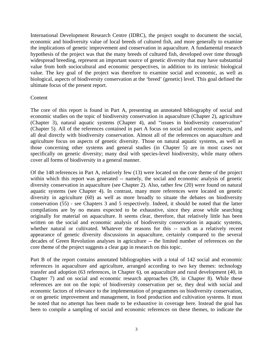International Development Research Centre (IDRC), the project sought to document the social, economic and biodiversity value of local breeds of cultured fish, and more generally to examine the implications of genetic improvement and conservation in aquaculture. A fundamental research hypothesis of the project was that the many breeds of cultured fish, developed over time through widespread breeding, represent an important source of genetic diversity that may have substantial value from both sociocultural and economic perspectives, in addition to its intrinsic biological value. The key goal of the project was therefore to examine social and economic, as well as biological, aspects of biodiversity conservation at the 'breed' (genetic) level. This goal defined the ultimate focus of the present report.

#### Content

The core of this report is found in Part A, presenting an annotated bibliography of social and economic studies on the topic of biodiversity conservation in aquaculture (Chapter 2), agriculture (Chapter 3), natural aquatic systems (Chapter 4), and "issues in biodiversity conservation" (Chapter 5). All of the references contained in part A focus on social and economic aspects, and all deal directly with biodiversity conservation. Almost all of the references on aquaculture and agriculture focus on aspects of genetic diversity. Those on natural aquatic systems, as well as those concerning other systems and general studies (in Chapter 5) are in most cases not specifically on genetic diversity; many deal with species-level biodiversity, while many others cover all forms of biodiversity in a general manner.

Of the 148 references in Part A, relatively few (13) were located on the core theme of the project within which this report was generated -- namely, the social and economic analysis of genetic diversity conservation in aquaculture (see Chapter 2). Also, rather few (20) were found on natural aquatic systems (see Chapter 4). In contrast, many more references were located on genetic diversity in agriculture (60) as well as more broadly to situate the debates on biodiversity conservation (55) - see Chapters 3 and 5 respectively. Indeed, it should be noted that the latter compilations are by no means expected to be exhaustive, since they arose while searching originally for material on aquaculture. It seems clear, therefore, that relatively little has been written on the social and economic analysis of biodiversity conservation in aquatic systems, whether natural or cultivated. Whatever the reasons for this -- such as a relatively recent appearance of genetic diversity discussions in aquaculture, certainly compared to the several decades of Green Revolution analyses in agriculture -- the limited number of references on the core theme of the project suggests a clear gap in research on this topic.

Part B of the report contains annotated bibliographies with a total of 142 social and economic references in aquaculture and agriculture, arranged according to two key themes: technology transfer and adoption (63 references, in Chapter 6), on aquaculture and rural development (40, in Chapter 7) and on social and economic research approaches (39, in Chapter 8). While these references are not on the topic of biodiversity conservation per se, they deal with social and economic factors of relevance to the implementation of programmes on biodiversity conservation, or on genetic improvement and management, in food production and cultivation systems. It must be noted that no attempt has been made to be exhaustive in coverage here. Instead the goal has been to compile a sampling of social and economic references on these themes, to indicate the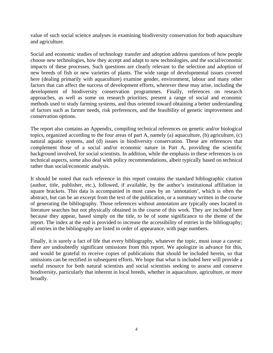value of such social science analyses in examining biodiversity conservation for both aquaculture and agriculture.

Social and economic studies of technology transfer and adoption address questions of how people choose new technologies, how they accept and adapt to new technologies, and the social/economic impacts of these processes. Such questions are clearly relevant to the selection and adoption of new breeds of fish or new varieties of plants. The wide range of developmental issues covered here (dealing primarily with aquaculture) examine gender, environment, labour and many other factors that can affect the success of development efforts, wherever these may arise, including the development of biodiversity conservation programmes. Finally, references on research approaches, as well as some on research priorities, present a range of social and economic methods used to study farming systems, and thus oriented toward obtaining a better understanding of factors such as farmer needs, risk preferences, and the feasibility of genetic improvement and conservation options.

The report also contains an Appendix, compiling technical references on genetic and/or biological topics, organized according to the four areas of part A, namely (a) aquaculture, (b) agriculture, (c) natural aquatic systems, and (d) issues in biodiversity conservation. These are references that complement those of a social and/or economic nature in Part A, providing the scientific background involved, for social scientists. In addition, while the emphasis in these references is on technical aspects, some also deal with policy recommendations, albeit typically based on technical rather than social/economic analysis.

It should be noted that each reference in this report contains the standard bibliographic citation (author, title, publisher, etc.), followed, if available, by the author's institutional affiliation in square brackets. This data is accompanied in most cases by an 'annotation', which is often the abstract, but can be an excerpt from the text of the publication, or a summary written in the course of generating the bibliography. Those references without annotation are typically ones located in literature searches but not physically obtained in the course of this work. They are included here because they appear, based simply on the title, to be of some significance to the theme of the report. The index at the end is provided to increase the accessibility of entries in the bibliography; all entries in the bibliography are listed in order of appearance, with page numbers.

Finally, it is surely a fact of life that every bibliography, whatever the topic, must issue a caveat: there are undoubtedly significant omissions from this report. We apologize in advance for this, and would be grateful to receive copies of publications that should be included herein, so that omissions can be rectified in subsequent efforts. We hope that what is included here will provide a useful resource for both natural scientists and social scientists seeking to assess and conserve biodiversity, particularly that inherent in local breeds, whether in aquaculture, agriculture, or more broadly.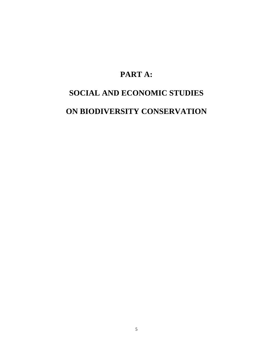### **PART A:**

# **SOCIAL AND ECONOMIC STUDIES ON BIODIVERSITY CONSERVATION**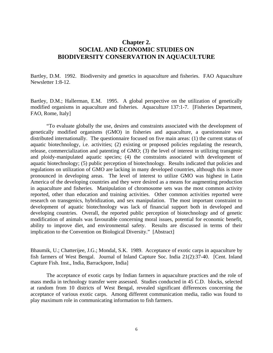#### **Chapter 2. SOCIAL AND ECONOMIC STUDIES ON BIODIVERSITY CONSERVATION IN AQUACULTURE**

Bartley, D.M. 1992. Biodiversity and genetics in aquaculture and fisheries. FAO Aquaculture Newsletter 1:8-12.

Bartley, D.M.; Hallerman, E.M. 1995. A global perspective on the utilization of genetically modified organisms in aquaculture and fisheries. Aquaculture 137:1-7. [Fisheries Department, FAO, Rome, Italy]

 "To evaluate globally the use, desires and constraints associated with the development of genetically modified organisms (GMO) in fisheries and aquaculture, a questionnaire was distributed internationally. The questionnaire focused on five main areas: (1) the current status of aquatic biotechnology, i.e. activities; (2) existing or proposed policies regulating the research, release, commercialization and patenting of GMO; (3) the level of interest in utilizing transgenic and ploidy-manipulated aquatic species; (4) the constraints associated with development of aquatic biotechnology; (5) public perception of biotechnology. Results indicated that policies and regulations on utilization of GMO are lacking in many developed countries, although this is more pronounced in developing areas. The level of interest to utilize GMO was highest in Latin America of the developing countries and they were desired as a means for augmenting production in aquaculture and fisheries. Manipulation of chromosome sets was the most common activity reported, other than education and training activities. Other common activities reported were research on transgenics, hybridization, and sex manipulation. The most important constraint to development of aquatic biotechnology was lack of financial support both in developed and developing countries. Overall, the reported public perception of biotechnology and of genetic modification of animals was favourable concerning moral issues, potential for economic benefit, ability to improve diet, and environmental safety. Results are discussed in terms of their implication to the Convention on Biological Diversity." [Abstract]

Bhaumik, U.; Chatterijee, J.G.; Mondal, S.K. 1989. Acceptance of exotic carps in aquaculture by fish farmers of West Bengal. Journal of Inland Capture Soc. India 21(2):37-40. [Cent. Inland Capture Fish. Inst., India, Barrackpore, India]

 The acceptance of exotic carps by Indian farmers in aquaculture practices and the role of mass media in technology transfer were assessed. Studies conducted in 45 C.D. blocks, selected at random from 10 districts of West Bengal, revealed significant differences concerning the acceptance of various exotic carps. Among different communication media, radio was found to play maximum role in communicating information to fish farmers.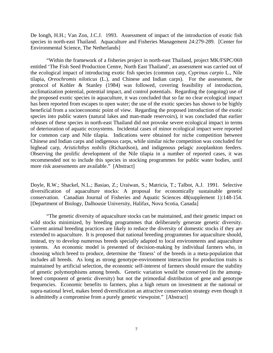De Iongh, H.H.; Van Zon, J.C.J. 1993. Assessment of impact of the introduction of exotic fish species in north-east Thailand. Aquaculture and Fisheries Management 24:279-289. [Center for Environmental Science, The Netherlands]

 "Within the framework of a fisheries project in north-east Thailand, project MK/FSPC/069 entitled 'The Fish Seed Production Centre, North East Thailand', an assessment was carried out of the ecological impact of introducing exotic fish species (common carp, *Cyprinus carpio* L., Nile tilapia, *Oreochromis niloticus* (L.), and Chinese and Indian carps). For the assessment, the protocol of Kohler & Stanley (1984) was followed, covering feasibility of introduction, acclimatization potential, potential impact, and control potentials. Regarding the (ongoing) use of the proposed exotic species in aquaculture, it was concluded that so far no clear ecological impact has been reported from escapes to open water; the use of the exotic species has shown to be highly beneficial from a socioeconomic point of view. Regarding the proposed introduction of the exotic species into public waters (natural lakes and man-made reservoirs), it was concluded that earlier releases of these species in north-east Thailand did not provoke severe ecological impact in terms of deterioration of aquatic ecosystems. Incidental cases of minor ecological impact were reported for common carp and Nile tilapia. Indications were obtained for niche competition between Chinese and Indian carps and indigenous carps, while similar niche competition was concluded for bighead carp, *Aristichthys nobilis* (Richardson), and indigenous pelagic zooplankton feeders. Observing the prolific development of the Nile tilapia in a number of reported cases, it was recommended not to include this species in stocking programmes for public water bodies, until more risk assessments are available." [Abstract]

Doyle, R.W.; Shackel, N.L.; Basiao, Z.; Uraiwan, S.; Matricia, T.; Talbot, A.J. 1991. Selective diversification of aquaculture stocks: A proposal for economically sustainable genetic conservation. Canadian Journal of Fisheries and Aquatic Sciences 48(supplement 1):148-154. [Department of Biology, Dalhousie University, Halifax, Nova Scotia, Canada]

 "The genetic diversity of aquaculture stocks can be maintained, and their genetic impact on wild stocks minimized, by breeding programmes that deliberately generate genetic diversity. Current animal breeding practices are likely to reduce the diversity of domestic stocks if they are extended to aquaculture. It is proposed that national breeding programmes for aquaculture should, instead, try to develop numerous breeds specially adapted to local environments and aquaculture systems. An economic model is presented of decision-making by individual farmers who, in choosing which breed to produce, determine the 'fitness' of the breeds in a meta-population that includes all breeds. As long as strong genotype-environment interaction for production traits is maintained by artificial selection, the economic self-interest of farmers should ensure the stability of genetic polymorphisms among breeds. Genetic variation would be conserved (in the amongbreed component of genetic diversity) but not the primordial distribution of gene and genotype frequencies. Economic benefits to farmers, plus a high return on investment at the national or supra-national level, makes breed diversification an attractive conservation strategy even though it is admittedly a compromise from a purely genetic viewpoint." [Abstract]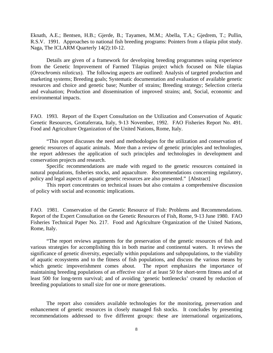Eknath, A.E.; Bentsen, H.B.; Gjerde, B.; Tayamen, M.M.; Abella, T.A.; Gjedrem, T.; Pullin, R.S.V. 1991. Approaches to national fish breeding programs: Pointers from a tilapia pilot study. Naga, The ICLARM Quarterly 14(2):10-12.

 Details are given of a framework for developing breeding programmes using experience from the Genetic Improvement of Farmed Tilapias project which focused on Nile tilapias (*Oreochromis niloticus*). The following aspects are outlined: Analysis of targeted production and marketing systems; Breeding goals; Systematic documentation and evaluation of available genetic resources and choice and genetic base; Number of strains; Breeding strategy; Selection criteria and evaluation; Production and dissemination of improved strains; and, Social, economic and environmental impacts.

FAO. 1993. Report of the Expert Consultation on the Utilization and Conservation of Aquatic Genetic Resources, Grottaferrata, Italy, 9-13 November, 1992. FAO Fisheries Report No. 491. Food and Agriculture Organization of the United Nations, Rome, Italy.

 "This report discusses the need and methodologies for the utilization and conservation of genetic resources of aquatic animals. More than a review of genetic principles and technologies, the report addresses the application of such principles and technologies in development and conservation projects and research.

 Specific recommendations are made with regard to the genetic resources contained in natural populations, fisheries stocks, and aquaculture. Recommendations concerning regulatory, policy and legal aspects of aquatic genetic resources are also presented." [Abstract]

 This report concentrates on technical issues but also contains a comprehensive discussion of policy with social and economic implications.

FAO. 1981. Conservation of the Genetic Resource of Fish: Problems and Recommendations. Report of the Expert Consultation on the Genetic Resources of Fish, Rome, 9-13 June 1980. FAO Fisheries Technical Paper No. 217. Food and Agriculture Organization of the United Nations, Rome, Italy.

 "The report reviews arguments for the preservation of the genetic resources of fish and various strategies for accomplishing this in both marine and continental waters. It reviews the significance of genetic diversity, especially within populations and subpopulations, to the viability of aquatic ecosystems and to the fitness of fish populations, and discuss the various means by which genetic impoverishment comes about. The report emphasizes the importance of maintaining breeding populations of an effective size of at least 50 for short-term fitness and of at least 500 for long-term survival; and of avoiding 'genetic bottlenecks' created by reduction of breeding populations to small size for one or more generations.

 The report also considers available technologies for the monitoring, preservation and enhancement of genetic resources in closely managed fish stocks. It concludes by presenting recommendations addressed to five different groups: these are international organizations,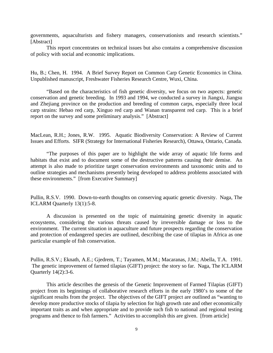governments, aquaculturists and fishery managers, conservationists and research scientists." [Abstract]

 This report concentrates on technical issues but also contains a comprehensive discussion of policy with social and economic implications.

Hu, B.; Chen, H. 1994. A Brief Survey Report on Common Carp Genetic Economics in China. Unpublished manuscript, Freshwater Fisheries Research Centre, Wuxi, China.

 "Based on the characteristics of fish genetic diversity, we focus on two aspects: genetic conservation and genetic breeding. In 1993 and 1994, we conducted a survey in Jiangxi, Jiangsu and Zhejiang province on the production and breeding of common carps, especially three local carp strains: Hebao red carp, Xinguo red carp and Wanan transparent red carp. This is a brief report on the survey and some preliminary analysis." [Abstract]

MacLean, R.H.; Jones, R.W. 1995. Aquatic Biodiversity Conservation: A Review of Current Issues and Efforts. SIFR (Strategy for International Fisheries Research), Ottawa, Ontario, Canada.

 "The purposes of this paper are to highlight the wide array of aquatic life forms and habitats that exist and to document some of the destructive patterns causing their demise. An attempt is also made to prioritize target conservation environments and taxonomic units and to outline strategies and mechanisms presently being developed to address problems associated with these environments." [from Executive Summary]

Pullin, R.S.V. 1990. Down-to-earth thoughts on conserving aquatic genetic diversity. Naga, The ICLARM Quarterly 13(1):5-8.

 A discussion is presented on the topic of maintaining genetic diversity in aquatic ecosystems, considering the various threats caused by irreversible damage or loss to the environment. The current situation in aquaculture and future prospects regarding the conservation and protection of endangered species are outlined, describing the case of tilapias in Africa as one particular example of fish conservation.

Pullin, R.S.V.; Eknath, A.E.; Gjedrem, T.; Tayamen, M.M.; Macaranas, J.M.; Abella, T.A. 1991. The genetic improvement of farmed tilapias (GIFT) project: the story so far. Naga, The ICLARM Quarterly 14(2):3-6.

 This article describes the genesis of the Genetic Improvement of Farmed Tilapias (GIFT) project from its beginnings of collaborative research efforts in the early 1980's to some of the significant results from the project. The objectives of the GIFT project are outlined as "wanting to develop more productive stocks of tilapia by selection for high growth rate and other economically important traits as and when appropriate and to provide such fish to national and regional testing programs and thence to fish farmers." Activities to accomplish this are given. [from article]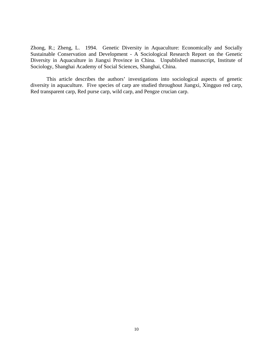Zhong, R.; Zheng, L. 1994. Genetic Diversity in Aquaculture: Economically and Socially Sustainable Conservation and Development - A Sociological Research Report on the Genetic Diversity in Aquaculture in Jiangxi Province in China. Unpublished manuscript, Institute of Sociology, Shanghai Academy of Social Sciences, Shanghai, China.

 This article describes the authors' investigations into sociological aspects of genetic diversity in aquaculture. Five species of carp are studied throughout Jiangxi, Xingguo red carp, Red transparent carp, Red purse carp, wild carp, and Pengze crucian carp.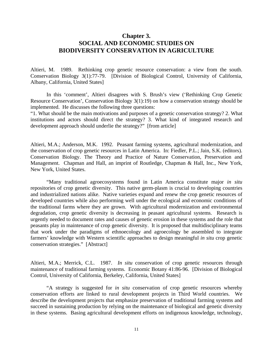#### **Chapter 3. SOCIAL AND ECONOMIC STUDIES ON BIODIVERSITY CONSERVATION IN AGRICULTURE**

Altieri, M. 1989. Rethinking crop genetic resource conservation: a view from the south. Conservation Biology 3(1):77-79. [Division of Biological Control, University of California, Albany, California, United States]

 In this 'comment', Altieri disagrees with S. Brush's view ('Rethinking Crop Genetic Resource Conservation', Conservation Biology 3(1):19) on how a conservation strategy should be implemented. He discusses the following three questions:

"1. What should be the main motivations and purposes of a genetic conservation strategy? 2. What institutions and actors should direct the strategy? 3. What kind of integrated research and development approach should underlie the strategy?" [from article]

Altieri, M.A.; Anderson, M.K. 1992. Peasant farming systems, agricultural modernization, and the conservation of crop genetic resources in Latin America. In: Fiedler, P.L.; Jain, S.K. (editors). Conservation Biology. The Theory and Practice of Nature Conservation, Preservation and Management. Chapman and Hall, an imprint of Routledge, Chapman & Hall, Inc., New York, New York, United States.

 "Many traditional agroecosystems found in Latin America constitute major *in situ* repositories of crop genetic diversity. This native germ-plasm is crucial to developing countries and industrialized nations alike. Native varieties expand and renew the crop genetic resources of developed countries while also performing well under the ecological and economic conditions of the traditional farms where they are grown. With agricultural modernization and environmental degradation, crop genetic diversity is decreasing in peasant agricultural systems. Research is urgently needed to document rates and causes of genetic erosion in these systems and the role that peasants play in maintenance of crop genetic diversity. It is proposed that multidisciplinary teams that work under the paradigms of ethnoecology and agroecology be assembled to integrate farmers' knowledge with Western scientific approaches to design meaningful *in situ* crop genetic conservation strategies." [Abstract]

Altieri, M.A.; Merrick, C.L. 1987. *In situ* conservation of crop genetic resources through maintenance of traditional farming systems. Economic Botany 41:86-96. [Division of Biological Control, University of California, Berkeley, California, United States]

 "A strategy is suggested for *in situ* conservation of crop genetic resources whereby conservation efforts are linked to rural development projects in Third World countries. We describe the development projects that emphasize preservation of traditional farming systems and succeed in sustaining production by relying on the maintenance of biological and genetic diversity in these systems. Basing agricultural development efforts on indigenous knowledge, technology,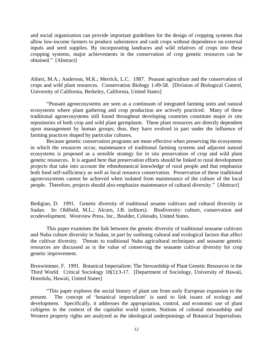and social organization can provide important guidelines for the design of cropping systems that allow low-income farmers to produce subsistence and cash crops without dependence on external inputs and seed supplies. By incorporating landraces and wild relatives of crops into these cropping systems, major achievements in the conservation of crop genetic resources can be obtained." [Abstract]

Altieri, M.A.; Anderson, M.K.; Merrick, L.C. 1987. Peasant agriculture and the conservation of crops and wild plant resources. Conservation Biology 1:49-58. [Division of Biological Control, University of California, Berkeley, California, United States]

 "Peasant agroecosystems are seen as a continuum of integrated farming units and natural ecosystems where plant gathering and crop production are actively practiced. Many of these traditional agroecosystems still found throughout developing countries constitute major *in situ* repositories of both crop and wild plant germplasm. These plant resources are directly dependent upon management by human groups; thus, they have evolved in part under the influence of farming practices shaped by particular cultures.

 Because genetic conservation programs are more effective when preserving the ecosystems in which the resources occur, maintenance of traditional farming systems and adjacent natural ecosystems is proposed as a sensible strategy for *in situ* preservation of crop and wild plant genetic resources. It is argued here that preservation efforts should be linked to rural development projects that take into account the ethnobotanical knowledge of rural people and that emphasize both food self-sufficiency as well as local resource conservation. Preservation of these traditional agroecosystems cannot be achieved when isolated from maintenance of the culture of the local people. Therefore, projects should also emphasize maintenance of cultural diversity." [Abstract]

Bedigian, D. 1991. Genetic diversity of traditional sesame cultivars and cultural diversity in Sudan. In: Oldfield, M.L.; Alcorn, J.B. (editors). Biodiversity: culture, conservation and ecodevelopment. Westview Press, Inc., Boulder, Colorado, United States.

 This paper examines the link between the genetic diversity of traditional seasame cultivars and Nuba culture diversity in Sudan, in part by outlining cultural and ecological factors that affect the cultivar diversity. Threats to traditional Nuba agricultural techniques and seasame genetic resources are discussed as is the value of conserving the seasame cultivar diversity for crop genetic improvement.

Broswimmer, F. 1991. Botanical Imperialism: The Stewardship of Plant Genetic Resources in the Third World. Critical Sociology 18(1):3-17. [Department of Sociology, University of Hawaii, Honolulu, Hawaii, United States]

 "This paper explores the social history of plant use from early European expansion to the present. The concept of 'botanical imperialism' is used to link issues of ecology and development. Specifically, it addresses the appropriation, control, and economic use of plant cultigens in the context of the capitalist world system. Notions of colonial stewardship and Western property rights are analyzed as the ideological underpinnings of Botanical Imperialism.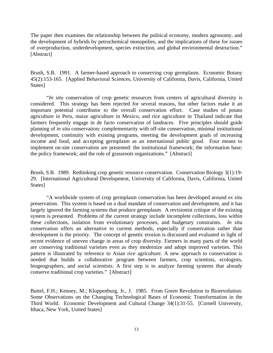The paper then examines the relationship between the political economy, modern agronomy, and the development of hybrids by petrochemical monopolies, and the implications of these for issues of overproduction, underdevelopment, species extinction, and global environmental destruction." [Abstract]

Brush, S.B. 1991. A farmer-based approach to conserving crop germplasm. Economic Botany 45(2):153-165. [Applied Behavioral Sciences, University of California, Davis, California, United States]

 "*In situ* conservation of crop genetic resources from centers of agricultural diversity is considered. This strategy has been rejected for several reasons, but other factors make it an important potential contributor to the overall conservation effort. Case studies of potato agriculture in Peru, maize agriculture in Mexico, and rice agriculture in Thailand indicate that farmers frequently engage in de facto conservation of landraces. Five principles should guide planning of *in situ* conservation: complementarity with off-site conservation, minimal institutional development, continuity with existing programs, meeting the development goals of increasing income and food, and accepting germplasm as an international public good. Four means to implement on-site conservation are presented: the institutional framework; the information base; the policy framework; and the role of grassroots organizations." [Abstract]

Brush, S.B. 1989. Rethinking crop genetic resource conservation. Conservation Biology 3(1):19- 29. [International Agricultural Development, University of California, Davis, California, United **States**]

 "A worldwide system of crop germplasm conservation has been developed around *ex situ* preservation. This system is based on a dual mandate of conservation and development, and it has largely ignored the farming systems that produce germplasm. A revisionist critique of the existing system is presented. Problems of the current strategy include incomplete collections, loss within these collections, isolation from evolutionary processes, and budgetary constraints. *In situ* conservation offers an alternative to current methods, especially if conservation rather than development is the priority. The concept of genetic erosion is discussed and evaluated in light of recent evidence of uneven change in areas of crop diversity. Farmers in many parts of the world are conserving traditional varieties even as they modernize and adopt improved varieties. This pattern is illustrated by reference to Asian rice agriculture. A new approach to conservation is needed that builds a collaborative program between farmers, crop scientists, ecologists, biogeographers, and social scientists. A first step is to analyze farming systems that already conserve traditional crop varieties." [Abstract]

Buttel, F.H.; Kenney, M.; Kloppenburg, Jr., J. 1985. From Green Revolution to Biorevolution: Some Observations on the Changing Technological Bases of Economic Transformation in the Third World. Economic Development and Cultural Change 34(1):31-55. [Cornell University, Ithaca, New York, United States]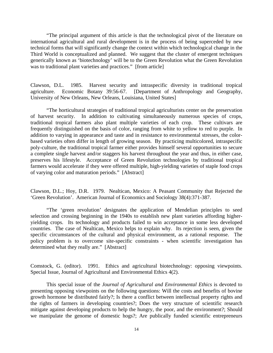"The principal argument of this article is that the technological pivot of the literature on international agricultural and rural development is in the process of being superceded by new technical forms that will significantly change the context within which technological change in the Third World is conceptualized and planned. We suggest that the cluster of emergent techniques generically known as 'biotechnology' will be to the Green Revolution what the Green Revolution was to traditional plant varieties and practices." [from article]

Clawson, D.L. 1985. Harvest security and intraspecific diversity in traditional tropical agriculture. Economic Botany 39:56-67. [Department of Anthropology and Geography, University of New Orleans, New Orleans, Louisiana, United States]

 "The horticultural strategies of traditional tropical agriculturists center on the preservation of harvest security. In addition to cultivating simultaneously numerous species of crops, traditional tropical farmers also plant multiple varieties of each crop. These cultivars are frequently distinguished on the basis of color, ranging from white to yellow to red to purple. In addition to varying in appearance and taste and in resistance to environmental stresses, the colorbased varieties often differ in length of growing season. By practicing multicolored, intraspecific poly-culture, the traditional tropical farmer either provides himself several opportunities to secure a complete single harvest and/or staggers his harvest throughout the year and thus, in either case, preserves his lifestyle. Acceptance of Green Revolution technologies by traditional tropical farmers would accelerate if they were offered multiple, high-yielding varieties of staple food crops of varying color and maturation periods." [Abstract]

Clawson, D.L.; Hoy, D.R. 1979. Nealtican, Mexico: A Peasant Community that Rejected the 'Green Revolution'. American Journal of Economics and Sociology 38(4):371-387.

 "The 'green revolution' designates the application of Mendelian principles to seed selection and crossing beginning in the 1940s to establish new plant varieties affording higheryielding crops. Its technology and products failed to win acceptance in some less developed countries. The case of Nealtican, Mexico helps to explain why. Its rejection is seen, given the specific circumstances of the cultural and physical environment, as a rational response. The policy problem is to overcome site-specific constraints - when scientific investigation has determined what they really are." [Abstract]

Comstock, G. (editor). 1991. Ethics and agricultural biotechnology: opposing viewpoints. Special Issue, Journal of Agricultural and Environmental Ethics 4(2).

 This special issue of the *Journal of Agricultural and Environmental Ethics* is devoted to presenting opposing viewpoints on the following questions: Will the costs and benefits of bovine growth hormone be distributed fairly?; Is there a conflict between intellectual property rights and the rights of farmers in developing countries?; Does the very structure of scientific research mitigate against developing products to help the hungry, the poor, and the environment?; Should we manipulate the genome of domestic hogs?; Are publically funded scientific entrepreneurs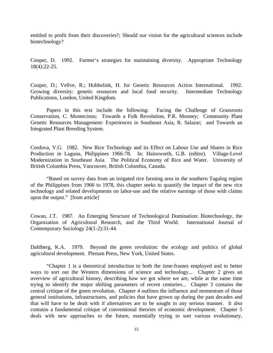entitled to profit from their discoveries?; Should our vision for the agricultural sciences include biotechnology?

Cooper, D. 1992. Farmer's strategies for maintaining diversity. Appropriate Technology 18(4):22-25.

Cooper, D.; Vellve, R.; Hobbelink, H. for Genetic Resources Action International. 1992. Growing diversity: genetic resources and local food security. Intermediate Technology Publications, London, United Kingdom.

 Papers in this text include the following: Facing the Challenge of Grassroots Conservation, C. Montecinos; Towards a Folk Revolution, P.R. Mooney; Community Plant Genetic Resources Management: Experiences in Southeast Asia, R. Salazar; and Towards an Integrated Plant Breeding System.

Cordova, V.G. 1982. New Rice Technology and its Effect on Labour Use and Shares in Rice Production in Laguna, Philippines 1966-78. In: Hainsworth, G.B. (editor). Village-Level Modernization in Southeast Asia. The Political Economy of Rice and Water. University of British Columbia Press, Vancouver, British Columbia, Canada.

 "Based on survey data from an irrigated rice farming area in the southern Tagalog region of the Philippines from 1966 to 1978, this chapter seeks to quantify the impact of the new rice technology and related developments on labor-use and the relative earnings of those with claims upon the output." [from article]

Cowan, J.T. 1987. An Emerging Structure of Technological Domination: Biotechnology, the Organization of Agricultural Research, and the Third World. International Journal of Contemporary Sociology 24(1-2):31-44.

Dahlberg, K.A. 1979. Beyond the green revolution: the ecology and politics of global agricultural development. Plenum Press, New York, United States.

 "Chapter 1 is a theoretical introduction to both the time-frames employed and to better ways to sort out the Western dimensions of science and technology... Chapter 2 gives an overview of agricultural history, describing how we got where we are, while at the same time trying to identify the major shifting parameters of recent centuries... Chapter 3 contains the central critique of the green revolution. Chapter 4 outlines the influence and momentum of those general institutions, infrastructures, and policies that have grown up during the past decades and that will have to be dealt with if alternatives are to be sought in any serious manner. It also contains a fundamental critique of conventional theories of economic development. Chapter 5 deals with new approaches to the future, essentially trying to sort various evolutionary,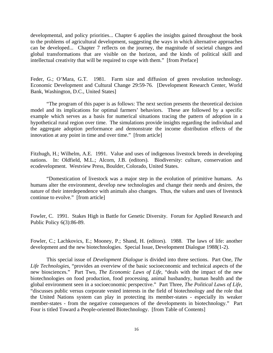developmental, and policy priorities... Chapter 6 applies the insights gained throughout the book to the problems of agricultural development, suggesting the ways in which alternative approaches can be developed... Chapter 7 reflects on the journey, the magnitude of societal changes and global transformations that are visible on the horizon, and the kinds of political skill and intellectual creativity that will be required to cope with them." [from Preface]

Feder, G.; O'Mara, G.T. 1981. Farm size and diffusion of green revolution technology. Economic Development and Cultural Change 29:59-76. [Development Research Center, World Bank, Washington, D.C., United States]

 "The program of this paper is as follows: The next section presents the theoretical decision model and its implications for optimal farmers' behaviors. These are followed by a specific example which serves as a basis for numerical situations tracing the pattern of adoption in a hypothetical rural region over time. The simulations provide insights regarding the individual and the aggregate adoption performance and demonstrate the income distribution effects of the innovation at any point in time and over time." [from article]

Fitzhugh, H.; Wilhelm, A.E. 1991. Value and uses of indigenous livestock breeds in developing nations. In: Oldfield, M.L.; Alcorn, J.B. (editors). Biodiversity: culture, conservation and ecodevelopment. Westview Press, Boulder, Colorado, United States.

 "Domestication of livestock was a major step in the evolution of primitive humans. As humans alter the environment, develop new technologies and change their needs and desires, the nature of their interdependence with animals also changes. Thus, the values and uses of livestock continue to evolve." [from article]

Fowler, C. 1991. Stakes High in Battle for Genetic Diversity. Forum for Applied Research and Public Policy 6(3):86-89.

Fowler, C.; Lachkovics, E.; Mooney, P.; Shand, H. (editors). 1988. The laws of life: another development and the new biotechnologies. Special Issue, Development Dialogue 1988(1-2).

 This special issue of *Development Dialogue* is divided into three sections. Part One, *The Life Technologies*, "provides an overview of the basic socioeconomic and technical aspects of the new biosciences." Part Two, *The Economic Laws of Life*, "deals with the impact of the new biotechnologies on food production, food processing, animal husbandry, human health and the global environment seen in a socioeconomic perspective." Part Three, *The Political Laws of Life*, "discusses public versus corporate vested interests in the field of biotechnology and the role that the United Nations system can play in protecting its member-states - especially its weaker member-states - from the negative consequences of the developments in biotechnology." Part Four is titled Toward a People-oriented Biotechnology. [from Table of Contents]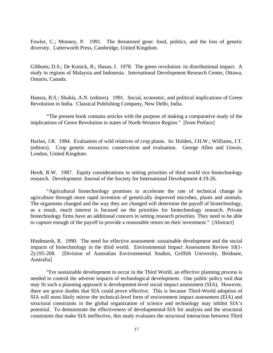Fowler, C.; Mooney, P. 1991. The threatened gene: food, politics, and the loss of genetic diversity. Lutterworth Press, Cambridge, United Kingdom.

Gibbons, D.S.; De Konick, R.; Hasan, I. 1978. The green revolution: its distributional impact. A study in regions of Malaysia and Indonesia. International Development Research Center, Ottawa, Ontario, Canada.

Hansra, B.S.; Shukla, A.N. (editors). 1991. Social, economic, and political implications of Green Revolution in India. Classical Publishing Company, New Delhi, India.

 "The present book contains articles with the purpose of making a comparative study of the implications of Green Revolution in states of North-Western Region." [from Preface]

Harlan, J.R. 1984. Evaluation of wild relatives of crop plants. In: Holden, J.H.W.; Williams, J.T. (editors). Crop genetic resources: conservation and evaluation. George Allen and Unwin, London, United Kingdom.

Herdt, R.W. 1987. Equity considerations in setting priorities of third world rice biotechnology research. Development: Journal of the Society for International Development 4:19-26.

 "Agricultural biotechnology promises to accelerate the rate of technical change in agriculture through more rapid invention of genetically improved microbes, plants and animals. The organisms changed and the way they are changed will determine the payoff of biotechnology, as a result, much interest is focused on the priorities for biotechnology research. Private biotechnology firms have an additional concern in setting research priorities. They need to be able to capture enough of the payoff to provide a reasonable return on their investment." [Abstract]

Hindmarsh, R. 1990. The need for effective assessment: sustainable development and the social impacts of biotechnology in the third world. Environmental Impact Assessment Review 10(1- 2):195-208. [Division of Australian Environmental Studies, Griffith University, Brisbane, Australia]

 "For sustainable development to occur in the Third World, an effective planning process is needed to control the adverse impacts of technological development. One public policy tool that may fit such a planning approach is development-level social impact assessment (SIA). However, there are grave doubts that SIA could prove effective. This is because Third-World adoption of SIA will most likely mirror the technical-level form of environment impact assessment (EIA) and structural constraints in the global organization of science and technology may inhibit SIA's potential. To demonstrate the effectiveness of developmental-SIA for analysis and the structural constraints that make SIA ineffective, this study evaluates the structural interaction between Third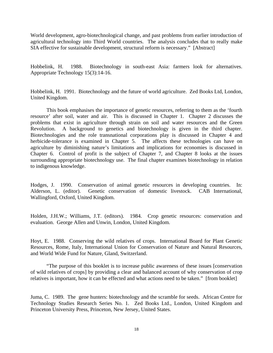World development, agro-biotechnological change, and past problems from earlier introduction of agricultural technology into Third World countries. The analysis concludes that to really make SIA effective for sustainable development, structural reform is necessary." [Abstract]

Hobbelink, H. 1988. Biotechnology in south-east Asia: farmers look for alternatives. Appropriate Technology 15(3):14-16.

Hobbelink, H. 1991. Biotechnology and the future of world agriculture. Zed Books Ltd, London, United Kingdom.

 This book emphasises the importance of genetic resources, referring to them as the 'fourth resource' after soil, water and air. This is discussed in Chapter 1. Chapter 2 discusses the problems that exist in agriculture through strain on soil and water resources and the Green Revolution. A background to genetics and biotechnology is given in the third chapter. Biotechnologies and the role transnational corporations play is discussed in Chapter 4 and herbicide-tolerance is examined in Chapter 5. The affects these technologies can have on agriculture by diminishing nature's limitations and implications for economies is discussed in Chapter 6. Control of profit is the subject of Chapter 7, and Chapter 8 looks at the issues surrounding appropriate biotechnology use. The final chapter examines biotechnology in relation to indigenous knowledge.

Hodges, J. 1990. Conservation of animal genetic resources in developing countries. In: Alderson, L. (editor). Genetic conservation of domestic livestock. CAB International, Wallingford, Oxford, United Kingdom.

Holden, J.H.W.; Williams, J.T. (editors). 1984. Crop genetic resources: conservation and evaluation. George Allen and Unwin, London, United Kingdom.

Hoyt, E. 1988. Conserving the wild relatives of crops. International Board for Plant Genetic Resources, Rome, Italy, International Union for Conservation of Nature and Natural Resources, and World Wide Fund for Nature, Gland, Switzerland.

 "The purpose of this booklet is to increase public awareness of these issues [conservation of wild relatives of crops] by providing a clear and balanced account of why conservation of crop relatives is important, how it can be effected and what actions need to be taken." [from booklet]

Juma, C. 1989. The gene hunters: biotechnology and the scramble for seeds. African Centre for Technology Studies Research Series No. 1. Zed Books Ltd., London, United Kingdom and Princeton University Press, Princeton, New Jersey, United States.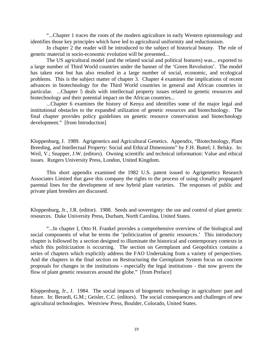"...Chapter 1 traces the roots of the modern agriculture in early Western epistemology and identifies those key principles which have led to agricultural uniformity and reductionism.

 In chapter 2 the reader will be introduced to the subject of historical botany. The role of genetic material in socio-economic evolution will be presented...

 The US agricultural model (and the related social and political features) was... exported to a large number of Third World countries under the banner of the 'Green Revolution'. The model has taken root but has also resulted in a large number of social, economic, and ecological problems. This is the subject matter of chapter 3. Chapter 4 examines the implications of recent advances in biotechnology for the Third World countries in general and African countries in particular. ...Chapter 5 deals with intellectual property issues related to genetic resources and biotechnology and their potential impact on the African countries...

 ...Chapter 6 examines the history of Kenya and identifies some of the major legal and institutional obstacles to the expanded utilization of genetic resources and biotechnology. The final chapter provides policy guidelines on genetic resource conservation and biotechnology development." [from Introduction]

Kloppenburg, J. 1989. Agrigenetics and Agricultural Genetics. Appendix, "Biotechnology, Plant Breeding, and Intellectual Property: Social and Ethical Dimensions" by F.H. Buttel; J. Belsky. In: Weil, V.; Snapper, J.W. (editors). Owning scientific and technical information: Value and ethical issues. Rutgers University Press, London, United Kingdom.

 This short appendix examined the 1982 U.S. patent issued to Agrigenetics Research Associates Limited that gave this company the rights to the process of using clonally propagated parental lines for the development of new hybrid plant varieties. The responses of public and private plant breeders are discussed.

Kloppenburg, Jr., J.R. (editor). 1988. Seeds and sovereignty: the use and control of plant genetic resources. Duke University Press, Durham, North Carolina, United States.

 "...In chapter I, Otto H. Frankel provides a comprehensive overview of the biological and social components of what he terms the 'politicization of genetic resources.' This introductory chapter is followed by a section designed to illuminate the historical and contemporary contexts in which this politicization is occurring. The section on Germplasm and Geopolitics contains a series of chapters which explicitly address the FAO Undertaking from a variety of perspectives. And the chapters in the final section on Restructuring the Germplasm System focus on concrete proposals for changes in the institutions - especially the legal institutions - that now govern the flow of plant genetic resources around the globe." [from Preface]

Kloppenburg, Jr., J. 1984. The social impacts of biogenetic technology in agriculture: past and future. In: Berardi, G.M.; Geisler, C.C. (editors). The social consequences and challenges of new agricultural technologies. Westview Press, Boulder, Colorado, United States.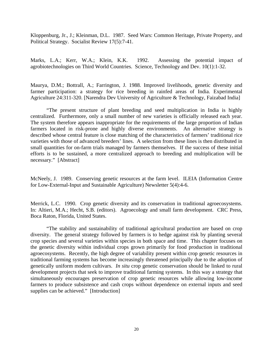Kloppenburg, Jr., J.; Kleinman, D.L. 1987. Seed Wars: Common Heritage, Private Property, and Political Strategy. Socialist Review 17(5):7-41.

Marks, L.A.; Kerr, W.A.; Klein, K.K. 1992. Assessing the potential impact of agrobiotechnologies on Third World Countries. Science, Technology and Dev. 10(1):1-32.

Maurya, D.M.; Bottrall, A.; Farrington, J. 1988. Improved livelihoods, genetic diversity and farmer participation: a strategy for rice breeding in rainfed areas of India. Experimental Agriculture 24:311-320. [Narendra Dev University of Agriculture & Technology, Faizabad India]

 "The present structure of plant breeding and seed multiplication in India is highly centralized. Furthermore, only a small number of new varieties is officially released each year. The system therefore appears inappropriate for the requirements of the large proportion of Indian farmers located in risk-prone and highly diverse environments. An alternative strategy is described whose central feature is close matching of the characteristics of farmers' traditional rice varieties with those of advanced breeders' lines. A selection from these lines is then distributed in small quantities for on-farm trials managed by farmers themselves. If the success of these initial efforts is to be sustained, a more centralized approach to breeding and multiplication will be necessary." [Abstract]

McNeely, J. 1989. Conserving genetic resources at the farm level. ILEIA (Information Centre for Low-External-Input and Sustainable Agriculture) Newsletter 5(4):4-6.

Merrick, L.C. 1990. Crop genetic diversity and its conservation in traditional agroecosystems. In: Altieri, M.A.; Hecht, S.B. (editors). Agroecology and small farm development. CRC Press, Boca Raton, Florida, United States.

 "The stability and sustainability of traditional agricultural production are based on crop diversity. The general strategy followed by farmers is to hedge against risk by planting several crop species and several varieties within species in both space and time. This chapter focuses on the genetic diversity within individual crops grown primarily for food production in traditional agroecosystems. Recently, the high degree of variability present within crop genetic resources in traditional farming systems has become increasingly threatened principally due to the adoption of genetically uniform modern cultivars. *In situ* crop genetic conservation should be linked to rural development projects that seek to improve traditional farming systems. In this way a strategy that simultaneously encourages preservation of crop genetic resources while allowing low-income farmers to produce subsistence and cash crops without dependence on external inputs and seed supplies can be achieved." [Introduction]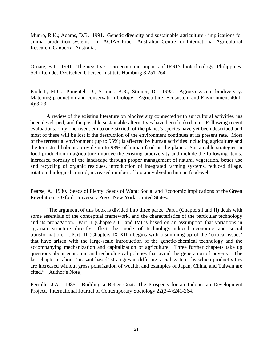Munro, R.K.; Adams, D.B. 1991. Genetic diversity and sustainable agriculture - implications for animal production systems. In: ACIAR-Proc. Australian Centre for International Agricultural Research, Canberra, Australia.

Ornate, B.T. 1991. The negative socio-economic impacts of IRRI's biotechnology: Philippines. Schriften des Deutschen Ubersee-Instituts Hamburg 8:251-264.

Paoletti, M.G.; Pimentel, D.; Stinner, B.R.; Stinner, D. 1992. Agroecosystem biodiversity: Matching production and conservation biology. Agriculture, Ecosystem and Environment 40(1- 4):3-23.

 A review of the existing literature on biodiversity connected with agricultural activities has been developed, and the possible sustainable alternatives have been looked into. Following recent evaluations, only one-twentieth to one-sixtieth of the planet's species have yet been described and most of these will be lost if the destruction of the environment continues at its present rate. Most of the terrestrial environment (up to 95%) is affected by human activities including agriculture and the terrestrial habitats provide up to 98% of human food on the planet. Sustainable strategies in food production in agriculture improve the existing biodiversity and include the following items: increased porosity of the landscape through proper management of natural vegetation, better use and recycling of organic residues, introduction of integrated farming systems, reduced tillage, rotation, biological control, increased number of biota involved in human food-web.

Pearse, A. 1980. Seeds of Plenty, Seeds of Want: Social and Economic Implications of the Green Revolution. Oxford University Press, New York, United States.

 "The argument of this book is divided into three parts. Part I (Chapters I and II) deals with some essentials of the conceptual framework, and the characteristics of the particular technology and its propagation. Part II (Chapters III and IV) is based on an assumption that variations in agrarian structure directly affect the mode of technology-induced economic and social transformation. ...Part III (Chapters IX-XIII) begins with a summing-up of the 'critical issues' that have arisen with the large-scale introduction of the genetic-chemical technology and the accompanying mechanization and capitalization of agriculture. Three further chapters take up questions about economic and technological policies that avoid the generation of poverty. The last chapter is about 'peasant-based' strategies in differing social systems by which productivities are increased without gross polarization of wealth, and examples of Japan, China, and Taiwan are cited." [Author's Note]

Perrolle, J.A. 1985. Building a Better Goat: The Prospects for an Indonesian Development Project. International Journal of Contemporary Sociology 22(3-4):241-264.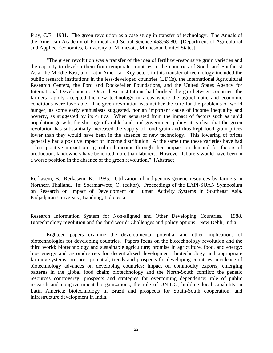Pray, C.E. 1981. The green revolution as a case study in transfer of technology. The Annals of the American Academy of Political and Social Science 458:68-80. [Department of Agricultural and Applied Economics, University of Minnesota, Minnesota, United States]

 "The green revolution was a transfer of the idea of fertilizer-responsive grain varieties and the capacity to develop them from temporate countries to the countries of South and Southeast Asia, the Middle East, and Latin America. Key actors in this transfer of technology included the public research institutions in the less-developed countries (LDCs), the International Agricultural Research Centers, the Ford and Rockefeller Foundations, and the United States Agency for International Development. Once these institutions had bridged the gap between countries, the farmers rapidly accepted the new technology in areas where the agroclimatic and economic conditions were favorable. The green revolution was neither the cure for the problems of world hunger, as some early enthusiasts suggested, nor an important cause of income inequality and poverty, as suggested by its critics. When separated from the impact of factors such as rapid population growth, the shortage of arable land, and government policy, it is clear that the green revolution has substantially increased the supply of food grain and thus kept food grain prices lower than they would have been in the absence of new technology. This lowering of prices generally had a positive impact on income distribution. At the same time these varieties have had a less positive impact on agricultural income through their impact on demand for factors of production: landowners have benefited more than laborers. However, laborers would have been in a worse position in the absence of the green revolution." [Abstract]

Rerkasem, B.; Rerkasem, K. 1985. Utilization of indigenous genetic resources by farmers in Northern Thailand. In: Soermarwoto, O. (editor). Proceedings of the EAPI-SUAN Symposium on Research on Impact of Development on Human Activity Systems in Southeast Asia. Padjadjaran University, Bandung, Indonesia.

Research Information System for Non-aligned and Other Developing Countries. 1988. Biotechnology revolution and the third world: Challenges and policy options. New Dehli, India.

 Eighteen papers examine the developmental potential and other implications of biotechnologies for developing countries. Papers focus on the biotechnology revolution and the third world; biotechnology and sustainable agriculture; promise in agriculture, food, and energy; bio- energy and agroindustries for decentralized development; biotechnology and appropriate farming systems; pro-poor potential; trends and prospects for developing countries; incidence of biotechnology advances on developing countries; impact on commodity exports; emerging patterns in the global food chain; biotechnology and the North-South conflict; the genetic resources controversy; prospects and strategies for overcoming dependence; role of public research and nongovernmental organizations; the role of UNIDO; building local capability in Latin America; biotechnology in Brazil and prospects for South-South cooperation; and infrastructure development in India.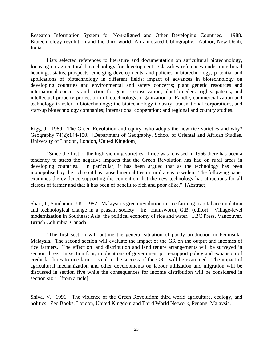Research Information System for Non-aligned and Other Developing Countries. 1988. Biotechnology revolution and the third world: An annotated bibliography. Author, New Dehli, India.

 Lists selected references to literature and documentation on agricultural biotechnology, focusing on agricultural biotechnology for development. Classifies references under nine broad headings: status, prospects, emerging developments, and policies in biotechnology; potential and applications of biotechnology in different fields; impact of advances in biotechnology on developing countries and environmental and safety concerns; plant genetic resources and international concerns and action for genetic conservation; plant breeders' rights, patents, and intellectual property protection in biotechnology; organization of RandD, commercialization and technology transfer in biotechnology; the biotechnology industry, transnational corporations, and start-up biotechnology companies; international cooperation; and regional and country studies.

Rigg, J. 1989. The Green Revolution and equity: who adopts the new rice varieties and why? Geography 74(2):144-150. [Department of Geography, School of Oriental and African Studies, University of London, London, United Kingdom]

 "Since the first of the high yielding varieties of rice was released in 1966 there has been a tendency to stress the negative impacts that the Green Revolution has had on rural areas in developing countries. In particular, it has been argued that as the technology has been monopolised by the rich so it has caused inequalities in rural areas to widen. The following paper examines the evidence supporting the contention that the new technology has attractions for all classes of farmer and that it has been of benefit to rich and poor alike." [Abstract]

Shari, I.; Sundaram, J.K. 1982. Malaysia's green revolution in rice farming: capital accumulation and technological change in a peasant society. In: Hainsworth, G.B. (editor). Village-level modernization in Southeast Asia: the political economy of rice and water. UBC Press, Vancouver, British Columbia, Canada.

 "The first section will outline the general situation of paddy production in Peninsular Malaysia. The second section will evaluate the impact of the GR on the output and incomes of rice farmers. The effect on land distribution and land tenure arrangements will be surveyed in section three. In section four, implications of government price-support policy and expansion of credit facilities to rice farms - vital to the success of the GR - will be examined. The impact of agricultural mechanization and other developments on labour utilization and migration will be discussed in section five while the consequences for income distribution will be considered in section six." [from article]

Shiva, V. 1991. The violence of the Green Revolution: third world agriculture, ecology, and politics. Zed Books, London, United Kingdom and Third World Network, Penang, Malaysia.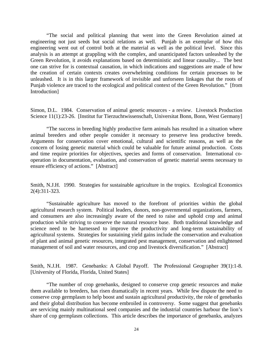"The social and political planning that went into the Green Revolution aimed at engineering not just seeds but social relations as well. Punjab is an exemplar of how this engineering went out of control both at the material as well as the political level. Since this analysis is an attempt at grappling with the complex, and unanticipated factors unleashed by the Green Revolution, it avoids explanations based on deterministic and linear causality... The best one can strive for is contextual causation, in which indications and suggestions are made of how the creation of certain contexts creates overwhelming conditions for certain processes to be unleashed. It is in this larger framework of invisible and unforseen linkages that the roots of Punjab violence are traced to the ecological and political context of the Green Revolution." [from Introduction]

Simon, D.L. 1984. Conservation of animal genetic resources - a review. Livestock Production Science 11(1):23-26. [Institut fur Tierzuchtwissenschaft, Universitat Bonn, Bonn, West Germany]

 "The success in breeding highly productive farm animals has resulted in a situation where animal breeders and other people consider it necessary to preserve less productive breeds. Arguments for conservation cover emotional, cultural and scientific reasons, as well as the concern of losing genetic material which could be valuable for future animal production. Costs and time require priorities for objectives, species and forms of conservation. International cooperation in documentation, evaluation, and conservation of genetic material seems necessary to ensure efficiency of actions." [Abstract]

Smith, N.J.H. 1990. Strategies for sustainable agriculture in the tropics. Ecological Economics 2(4):311-323.

 "Sustainable agriculture has moved to the forefront of priorities within the global agricultural research system. Political leaders, donors, non-governmental organizations, farmers, and consumers are also increasingly aware of the need to raise and uphold crop and animal production while striving to conserve the natural resource base. Both traditional knowledge and science need to be harnessed to improve the productivity and long-term sustainability of agricultural systems. Strategies for sustaining yield gains include the conservation and evaluation of plant and animal genetic resources, integrated pest management, conservation and enlightened management of soil and water resources, and crop and livestock diversification." [Abstract]

Smith, N.J.H. 1987. Genebanks: A Global Payoff. The Professional Geographer 39(1):1-8. [University of Florida, Florida, United States]

 "The number of crop genebanks, designed to conserve crop genetic resources and make them available to breeders, has risen dramatically in recent years. While few dispute the need to conserve crop germplasm to help boost and sustain agricultural productivity, the role of genebanks and their global distribution has become embroiled in controversy. Some suggest that genebanks are servicing mainly multinational seed companies and the industrial countries harbour the lion's share of cop germplasm collections. This article describes the importance of genebanks, analyzes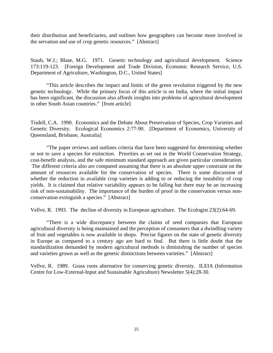their distribution and beneficiaries, and outlines how geographers can become more involved in the servation and use of crop genetic resources." [Abstract]

Staub, W.J.; Blase, M.G. 1971. Genetic technology and agricultural development. Science 173:119-123. [Foreign Development and Trade Division, Economic Research Service, U.S. Department of Agriculture, Washington, D.C., United States]

 "This article describes the impact and limits of the green revolution triggered by the new genetic technology. While the primary focus of this article is on India, where the initial impact has been significant, the discussion also affords insights into problems of agricultural development in other South Asian countries." [from article]

Tisdell, C.A. 1990. Economics and the Debate About Preservation of Species, Crop Varieties and Genetic Diversity. Ecological Economics 2:77-90. [Department of Economics, University of Queensland, Brisbane, Australia]

 "The paper reviews and outlines criteria that have been suggested for determining whether or not to save a species for extinction. Priorities as set out in the World Conservation Strategy, cost-benefit analysis, and the safe minimum standard approach are given particular consideration. The different criteria also are compared assuming that there is an absolute upper constraint on the amount of resources available for the conservation of species. There is some discussion of whether the reduction in available crop varieties is adding to or reducing the instability of crop yields. It is claimed that relative variability appears to be falling but there may be an increasing risk of non-sustainability. The importance of the burden of proof in the conservation versus nonconservation extinguish a species." [Abstract]

Vellve, R. 1993. The decline of diversity in European agriculture. The Ecologist 23(2):64-69.

 "There is a wide discrepancy between the claims of seed companies that European agricultural diversity is being maintained and the perception of consumers that a dwindling variety of fruit and vegetables is now available in shops. Precise figures on the state of genetic diversity in Europe as compared to a century ago are hard to find. But there is little doubt that the standardization demanded by modern agricultural methods is diminishing the number of species and varieties grown as well as the genetic distinctions between varieties." [Abstract]

Vellve, R. 1989. Grass roots alternative for conserving genetic diversity. ILEIA (Information Centre for Low-External-Input and Sustainable Agriculture) Newsletter 5(4):28-30.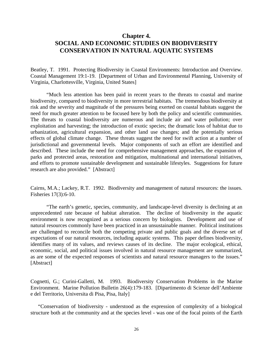#### **Chapter 4. SOCIAL AND ECONOMIC STUDIES ON BIODIVERSITY CONSERVATION IN NATURAL AQUATIC SYSTEMS**

Beatley, T. 1991. Protecting Biodiversity in Coastal Environments: Introduction and Overview. Coastal Management 19:1-19. [Department of Urban and Environmental Planning, University of Virginia, Charlottesville, Virginia, United States]

 "Much less attention has been paid in recent years to the threats to coastal and marine biodiversity, compared to biodiversity in more terrestrial habitats. The tremendous biodiversity at risk and the severity and magnitude of the pressures being exerted on coastal habitats suggest the need for much greater attention to be focused here by both the policy and scientific communities. The threats to coastal biodiversity are numerous and include air and water pollution; over exploitation and harvesting; the introduction of exotic species; the dramatic loss of habitat due to urbanization, agricultural expansion, and other land use changes; and the potentially serious effects of global climate change. These threats suggest the need for swift action at a number of jurisdictional and governmental levels. Major components of such an effort are identified and described. These include the need for comprehensive management approaches, the expansion of parks and protected areas, restoration and mitigation, multinational and international initiatives, and efforts to promote sustainable development and sustainable lifestyles. Suggestions for future research are also provided." [Abstract]

Cairns, M.A.; Lackey, R.T. 1992. Biodiversity and management of natural resources: the issues. Fisheries 17(3):6-10.

 "The earth's genetic, species, community, and landscape-level diversity is declining at an unprecedented rate because of habitat alteration. The decline of biodiversity in the aquatic environment is now recognized as a serious concern by biologists. Development and use of natural resources commonly have been practiced in an unsustainable manner. Political institutions are challenged to reconcile both the competing private and public goals and the diverse set of expectations of our natural resources, including aquatic systems. This paper defines biodiversity, identifies many of its values, and reviews causes of its decline. The major ecological, ethical, economic, social, and political issues involved in natural resource management are summarized, as are some of the expected responses of scientists and natural resource managers to the issues." [Abstract]

Cognetti, G.; Curini-Galletti, M. 1993. Biodiversity Conservation Problems in the Marine Environment. Marine Pollution Bulletin 26(4):179-183. [Dipartimento di Scienze dell'Ambiente e del Territorio, Universita di Pisa, Pisa, Italy]

 "Conservation of biodiversity - understood as the expression of complexity of a biological structure both at the community and at the species level - was one of the focal points of the Earth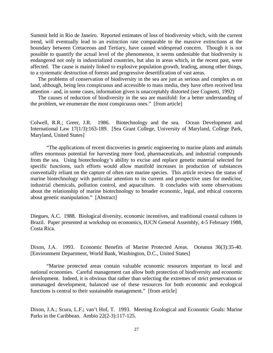Summit held in Rio de Janeiro. Reported estimates of loss of biodiversity which, with the current trend, will eventually lead to an extinction rate comparable to the massive extinctions at the boundary between Cretaceous and Tertiary, have caused widespread concern. Though it is not possible to quantify the actual level of the phenomenon, it seems undeniable that biodiversity is endangered not only in industrialized countries, but also in areas which, in the recent past, were affected. The cause is mainly linked to explosive population growth, leading, among other things, to a systematic destruction of forests and progressive desertification of vast areas.

 The problems of conservation of biodiversity in the sea are just as serious and complex as on land, although, being less conspicuous and accessible to mass media, they have often received less attention - and, in some cases, information given is unacceptably distorted (see Cognetti, 1992)

 The causes of reduction of biodiversity in the sea are manifold: for a better understanding of the problem, we enumerate the most conspicuous ones." [from article]

Colwell, R.R.; Greer, J.R. 1986. Biotechnology and the sea. Ocean Development and International Law 17(1/3):163-189. [Sea Grant College, University of Maryland, College Park, Maryland, United States]

 "The applications of recent discoveries in genetic engineering to marine plants and animals offers enormous potential for harvesting more food, pharmaceuticals, and industrial compounds from the sea. Using biotechnology's ability to excise and replace genetic material selected for specific functions, such efforts would allow manifold increases in production of substances conventially reliant on the capture of often rare marine species. This article reviews the status of marine biotechnology with particular attention to its current and prospective uses for medicine, industrial chemicals, pollution control, and aquaculture. It concludes with some observations about the relationship of marine biotechnology to broader economic, legal, and ethical concerns about genetic manipulation." [Abstract]

Diegues, A.C. 1988. Biological diversity, economic incentives, and traditional coastal cultures in Brazil. Paper presented at workshop on economics, IUCN General Assembly, 4-5 February 1988, Costa Rica.

Dixon, J.A. 1993. Economic Benefits of Marine Protected Areas. Oceanus 36(3):35-40. [Environment Department, World Bank, Washington, D.C., United States]

 "Marine protected areas contain valuable economic resources important to local and national economies. Careful management can allow both protection of biodiversity and economic development. Indeed, it is obvious that rather than selecting the extremes of strict preservation or unmanaged development, balanced use of these resources for both economic and ecological functions is central to their sustainable management." [from article]

Dixon, J.A.; Scura, L.F.; van't Hof, T. 1993. Meeting Ecological and Economic Goals: Marine Parks in the Caribbean. Ambio 22(2-3):117-125.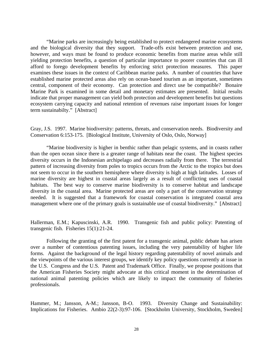"Marine parks are increasingly being established to protect endangered marine ecosystems and the biological diversity that they support. Trade-offs exist between protection and use, however, and ways must be found to produce economic benefits from marine areas while still yielding protection benefits, a question of particular importance to poorer countries that can ill afford to forego development benefits by enforcing strict protection measures. This paper examines these issues in the context of Caribbean marine parks. A number of countries that have established marine protected areas also rely on ocean-based tourism as an important, sometimes central, component of their economy. Can protection and direct use be compatible? Bonaire Marine Park is examined in some detail and monetary estimates are presented. Initial results indicate that proper management can yield both protection and development benefits but questions ecosystem carrying capacity and national retention of revenues raise important issues for longer term sustainabilty." [Abstract]

Gray, J.S. 1997. Marine biodiversity: patterns, threats, and conservation needs. Biodiversity and Conservation 6:153-175. [Biological Institute, University of Oslo, Oslo, Norway]

 "Marine biodiversity is higher in benthic rather than pelagic systems, and in coasts rather than the open ocean since there is a greater range of habitats near the coast. The highest species diversity occurs in the Indonesian archipelago and decreases radially from there. The terrestrial pattern of increasing diversity from poles to tropics occurs from the Arctic to the tropics but does not seem to occur in the southern hemisphere where diversity is high at high latitudes. Losses of marine diversity are highest in coastal areas largely as a result of conflicting uses of coastal habitats. The best way to conserve marine biodiversity is to conserve habitat and landscape diversity in the coastal area. Marine protected areas are only a part of the conservation strategy needed. It is suggested that a framework for coastal conservation is integrated coastal area management where one of the primary goals is sustainable use of coastal biodiversity." [Abstract]

Hallerman, E.M.; Kapuscinski, A.R. 1990. Transgenic fish and public policy: Patenting of transgenic fish. Fisheries 15(1):21-24.

 Following the granting of the first patent for a transgenic animal, public debate has arisen over a number of contentious patenting issues, including the very patentability of higher life forms. Against the background of the legal history regarding patentability of novel animals and the viewpoints of the various interest groups, we identify key policy questions currently at issue in the U.S. Congress and the U.S. Patent and Trademark Office. Finally, we propose positions that the American Fisheries Society might advocate at this critical moment in the determination of national animal patenting policies which are likely to impact the community of fisheries professionals.

Hammer, M.; Jansson, A-M.; Jansson, B-O. 1993. Diversity Change and Sustainability: Implications for Fisheries. Ambio 22(2-3):97-106. [Stockholm University, Stockholm, Sweden]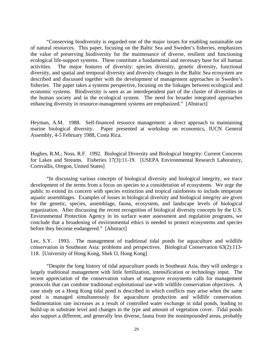"Conserving biodiversity is regarded one of the major issues for enabling sustainable use of natural resources. This paper, focusing on the Baltic Sea and Sweden's fisheries, emphasizes the value of preserving biodiversity for the maintenance of diverse, resilient and functioning ecological life-support systems. These constitute a fundamental and necessary base for all human activities. The major features of diversity: species diversity, genetic diversity, functional diversity, and spatial and temporal diversity and diversity changes in the Baltic Sea ecosystem are described and discussed together with the development of management approaches in Sweden's fisheries. The paper takes a systems perspective, focusing on the linkages between ecological and economic systems. Biodiversity is seen as an interdependent part of the cluster of diversities in the human society and in the ecological system. The need for broader integrated approaches enhancing diversity in resource-management systems are emphasized." [Abstract]

Heyman, A.M. 1988. Self-financed resource management: a direct approach to maintaining marine biological diversity. Paper presented at workshop on economics, IUCN General Assembly, 4-5 February 1988, Costa Rica.

Hughes, R.M.; Noss, R.F. 1992. Biological Diversity and Biological Integrity: Current Concerns for Lakes and Streams. Fisheries 17(3):11-19. [USEPA Environmental Research Laboratory, Cornvallis, Oregon, United States]

 "In discussing various concepts of biological diversity and biological integrity, we trace development of the terms from a focus on species to a consideration of ecosystems. We urge the public to extend its concern with species extinction and tropical rainforests to include temperate aquatic assemblages. Examples of losses in biological diversity and biological integrity are given for the genetic, species, assemblage, fauna, ecosystem, and landscape levels of biological organization. After discussing the recent recognition of biological diversity concepts by the U.S. Environmental Protection Agency in its surface water assessment and regulation programs, we conclude that a broadening of environmental ethics is needed to protect ecosystems and species before they become endangered." [Abstract]

Lee, S.Y. 1993. The management of traditional tidal ponds for aquaculture and wildlife conservation in Southeast Asia: problems and perspectives. Biological Conservation 63(2):113- 118. [University of Hong Kong, Shek O, Hong Kong]

 "Despite the long history of tidal aquaculture ponds in Southeast Asia, they will undergo a largely traditional management with little fertilization, intensification or technology input. The recent appreciation of the conservation values of mangrove ecosystems calls for management protocols that can combine traditional exploitational use with wildlife conservation objectives. A case study on a Hong Kong tidal pond is described in which conflicts may arise when the same pond is managed simultaneously for aquaculture production and wildlife conservation. Sedimentation rate increases as a result of controlled water exchange in tidal ponds, leading to build-up in substrate level and changes in the type and amount of vegetation cover. Tidal ponds also support a different, and generally less diverse, fauna from the nonimpounded areas, probably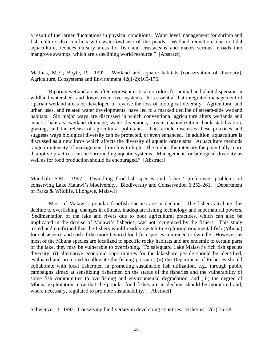a result of the larger fluctuations in physical conditions. Water level management for shrimp and fish culture also conflicts with waterfowl use of the ponds. Wetland reduction, due to tidal aquaculture, reduces nursery areas for fish and crustaceans and makes serious inroads into mangrove swamps, which are a declining world resource." [Abstract]

Mathias, M.E.; Boyle, P. 1992. Wetland and aquatic habitats [conservation of diversity]. Agriculture, Ecosystems and Environment 42(1-2):165-176.

 "Riparian wetland areas often represent critical corridors for animal and plant dispersion in wildland watersheds and downstream river systems. It is essential that integrated management of riparian wetland areas be developed to reverse the loss of biological diversity. Agricultural and urban uses, and related water developments, have led to a marked decline of stream-side wetland habitats. Six major ways are discussed in which conventional agriculture alters wetlands and aquatic habitats: wetland drainage, water diversions, stream channelization, bank stabilization, grazing, and the release of agricultural pollutants. This article discusses these practices and suggests ways biological diversity can be protected, or even enhanced. In addition, aquaculture is discussed as a new force which affects the diversity of aquatic organisms. Aquaculture methods range in intensity of management from low to high. The higher the intensity the potentially more disruptive practices can be surrounding aquatic systems. Management for biological diversity as well as for food production should be encouraged." [Abstract]

Munthali, S.M. 1997. Dwindling food-fish species and fishers' preference: problems of conserving Lake Malawi's biodiversity. Biodiversity and Conservation 6:253-261. [Department of Parks & Wildlife, Lilongwe, Malawi]

 "Most of Malawi's popular foodfish species are in decline. The fishers attribute this decline to overfishing, changes in climate, inadequate fishing technology and supernatural powers. Sedimentation of the lake and rivers due to poor agricultural practices, which can also be implicated in the demise of Malawi's fisheries, was not recognized by the fishers. This study tested and confirmed that the fishers would readily switch to exploiting ornamental fish (Mbuna) for subsistence and cash if the more favored food-fish species continued to dwindle. However, as most of the Mbuna species are localized to specific rocky habitats and are endemic to certain parts of the lake, they may be vulnerable to overfishing. To safeguard Lake Malawi's rich fish species diversity: (i) alternative economic opportunities for the lakeshore people should be identified, evaluated and promoted to alleviate the fishing pressure, (ii) the Department of Fisheries should collaborate with local fishermen in promoting sustainable fish utilization, e.g., through public campaigns aimed at sensitizing fishermen on the status of the fisheries and the vulnerability of some fish communities to overfishing and environmental degradation, and (iii) the degree of Mbuna exploitation, now that the popular food fishes are in decline, should be monitored and, where necessary, regulated to promote sustainability." [Abstract]

Schweitzer, J. 1992. Conserving biodiversity in developing countries. Fisheries 17(3):35-38.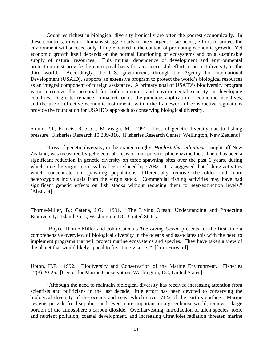Countries richest in biological diversity ironically are often the poorest economically. In these countries, in which humans struggle daily to meet urgent basic needs, efforts to protect the environment will succeed only if implemented in the context of promoting economic growth. Yet economic growth itself depends on the normal functioning of ecosystems and on a sustainable supply of natural resources. This mutual dependence of development and environmental protection must provide the conceptual basis for any successful effort to protect diversity in the third world. Accordingly, the U.S. government, through the Agency for International Development (USAID), supports an extensive program to protect the world's biological resources as an integral component of foreign assistance. A primary goal of USAID's biodiversity program is to maximize the potential for both economic and environmental security in developing countries. A greater reliance on market forces, the judicious application of economic incentives, and the use of effective economic instruments within the framework of constructive regulations provide the foundation for USAID's approach to conserving biological diversity.

Smith, P.J.; Francis, R.I.C.C.; McVeagh, M. 1991. Loss of genetic diversity due to fishing pressure. Fisheries Research 10:309-316. [Fisheries Research Center, Wellington, New Zealand]

 "Loss of genetic diversity, in the orange roughy, *Hoplostethus atlanticus.* caught off New Zealand, was measured by gel electrophoresis of nine polymorphic enzyme loci. There has been a significant reduction in genetic diversity on three spawning sites over the past 6 years, during which time the virgin biomass has been reduced by  $\sim$ 70%. It is suggested that fishing activities which concentrate on spawning populations differentially remove the older and more heterozygous individuals from the virgin stock. Commercial fishing activities may have had significant genetic effects on fish stocks without reducing them to near-extinction levels." [Abstract]

Thorne-Miller, B.; Catena, J.G. 1991. The Living Ocean: Understanding and Protecting Biodiversity. Island Press, Washington, DC, United States.

 "Boyce Thorne-Miller and John Catena's *The Living Ocean* presents for the first time a comprehensive overview of biological diversity in the oceans and associates this with the need to implement programs that will protect marine ecosystems and species. They have taken a view of the planet that would likely appeal to first-time visitors." [from Forward]

Upton, H.F. 1992. Biodiversity and Conservation of the Marine Environment. Fisheries 17(3):20-25. [Center for Marine Conservation, Washington, DC, United States]

 "Although the need to maintain biological diversity has received increasing attention from scientists and politicians in the last decade, little effort has been devoted to conserving the biological diversity of the oceans and seas, which cover 71% of the earth's surface. Marine systems provide food supplies, and, even more important in a greenhouse world, remove a large portion of the atmosphere's carbon dioxide. Overharvesting, introduction of alien species, toxic and nutrient pollution, coastal development, and increasing ultraviolet radiation threaten marine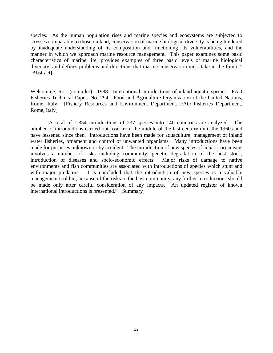species. As the human population rises and marine species and ecosystems are subjected to stresses comparable to those on land, conservation of marine biological diversity is being hindered by inadequate understanding of its composition and functioning, its vulnerabilities, and the manner in which we approach marine resource management. This paper examines some basic characteristics of marine life, provides examples of three basic levels of marine biological diversity, and defines problems and directions that marine conservation must take in the future." [Abstract]

Welcomme, R.L. (compiler). 1988. International introductions of inland aquatic species. FAO Fisheries Technical Paper, No. 294. Food and Agriculture Organization of the United Nations, Rome, Italy. [Fishery Resources and Environment Department, FAO Fisheries Department, Rome, Italy]

 "A total of 1,354 introductions of 237 species into 140 countries are analyzed. The number of introductions carried out rose from the middle of the last century until the 1960s and have lessened since then. Introductions have been made for aquaculture, management of inland water fisheries, ornament and control of unwanted organisms. Many introductions have been made for purposes unknown or by accident. The introduction of new species of aquatic organisms involves a number of risks including community, genetic degradation of the host stock, introduction of diseases and socio-economic effects. Major risks of damage to native environments and fish communities are associated with introductions of species which stunt and with major predators. It is concluded that the introduction of new species is a valuable management tool but, because of the risks to the host community, any further introductions should be made only after careful consideration of any impacts. An updated register of known international introductions is presented." [Summary]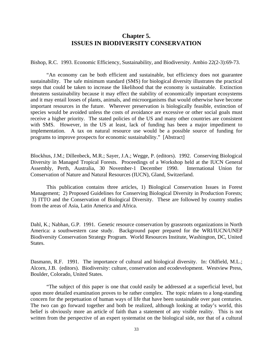### **Chapter 5. ISSUES IN BIODIVERSITY CONSERVATION**

Bishop, R.C. 1993. Economic Efficiency, Sustainability, and Biodiversity. Ambio 22(2-3):69-73.

 "An economy can be both efficient and sustainable, but efficiency does not guarantee sustainability. The safe minimum standard (SMS) for biological diversity illustrates the practical steps that could be taken to increase the likelihood that the economy is sustainable. Extinction threatens sustainability because it may effect the stability of economically important ecosystems and it may entail losses of plants, animals, and microorganisms that would otherwise have become important resources in the future. Wherever preservation is biologically feasible, extinction of species would be avoided unless the costs of avoidance are excessive or other social goals must receive a higher priority. The stated policies of the US and many other countries are consistent with SMS. However, in the US at least, lack of funding has been a major impediment to implementation. A tax on natural resource use would be a possible source of funding for programs to improve prospects for economic sustainability." [Abstract]

Blockhus, J.M.; Dillenbeck, M.R.; Sayer, J.A.; Wegge, P. (editors). 1992. Conserving Biological Diversity in Managed Tropical Forests. Proceedings of a Workshop held at the IUCN General Assembly, Perth, Australia, 30 November-1 December 1990. International Union for Conservation of Nature and Natural Resources (IUCN), Gland, Switzerland.

 This publication contains three articles, 1) Biological Conservation Issues in Forest Management; 2) Proposed Guidelines for Conserving Biological Diversity in Production Forests; 3) ITTO and the Conservation of Biological Diversity. These are followed by country studies from the areas of Asia, Latin America and Africa.

Dahl, K.; Nabhan, G.P. 1991. Genetic resource conservation by grassroots organizations in North America: a southwestern case study. Background paper prepared for the WRI/IUCN/UNEP Biodiversity Conservation Strategy Program. World Resources Institute, Washington, DC, United States.

Dasmann, R.F. 1991. The importance of cultural and biological diversity. In: Oldfield, M.L.; Alcorn, J.B. (editors). Biodiversity: culture, conservation and ecodevelopment. Westview Press, Boulder, Colorado, United States.

 "The subject of this paper is one that could easily be addressed at a superficial level, but upon more detailed examination proves to be rather complex. The topic relates to a long-standing concern for the perpetuation of human ways of life that have been sustainable over past centuries. The two can go forward together and both be realized, although looking at today's world, this belief is obviously more an article of faith than a statement of any visible reality. This is not written from the perspective of an expert systematist on the biological side, nor that of a cultural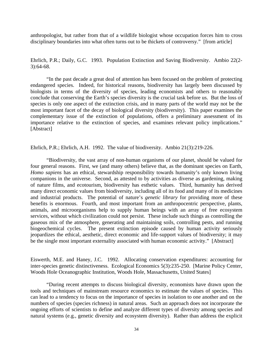anthropologist, but rather from that of a wildlife biologist whose occupation forces him to cross disciplinary boundaries into what often turns out to be thickets of controversy." [from article]

Ehrlich, P.R.; Daily, G.C. 1993. Population Extinction and Saving Biodiversity. Ambio 22(2- 3):64-68.

 "In the past decade a great deal of attention has been focused on the problem of protecting endangered species. Indeed, for historical reasons, biodiversity has largely been discussed by biologists in terms of the diversity of species, leading economists and others to reasonably conclude that conserving the Earth's species diversity is the crucial task before us. But the loss of species is only one aspect of the extinction crisis, and in many parts of the world may not be the most important facet of the decay of biological diversity (biodiversity). This paper examines the complementary issue of the extinction of populations, offers a preliminary assessment of its importance relative to the extinction of species, and examines relevant policy implications." [Abstract]

Ehrlich, P.R.; Ehrlich, A.H. 1992. The value of biodiversity. Ambio 21(3):219-226.

 "Biodiversity, the vast array of non-human organisms of our planet, should be valued for four general reasons. First, we (and many others) believe that, as the dominant species on Earth, *Homo sapiens* has an ethical, stewardship responsibility towards humanity's only known living companions in the universe. Second, as attested to by activities as diverse as gardening, making of nature films, and ecotourism, biodiversity has esthetic values. Third, humanity has derived many direct economic values from biodiversity, including all of its food and many of its medicines and industrial products. The potential of nature's *genetic library* for providing more of these benefits is enormous. Fourth, and most important from an anthropocentric perspective, plants, animals, and microorganisms help to supply human beings with an array of free ecosystem services, without which civilization could not persist. These include such things as controlling the gaseous mix of the atmosphere, generating and maintaining soils, controlling pests, and running biogeochemical cycles. The present extinction episode caused by human activity seriously jeopardizes the ethical, aesthetic, direct economic and life-support values of biodiversity; it may be the single most important externality associated with human economic activity." [Abstract]

Eiswerth, M.E. and Haney, J.C. 1992. Allocating conservation expenditures: accounting for inter-species genetic distinctiveness. Ecological Economics 5(3):235-250. [Marine Policy Center, Woods Hole Oceanographic Institution, Woods Hole, Massachusetts, United States]

 "During recent attempts to discuss biological diversity, economists have drawn upon the tools and techniques of mainstream resource economics to estimate the values of species. This can lead to a tendency to focus on the importance of species in isolation to one another and on the numbers of species (species richness) in natural areas. Such an approach does not incorporate the ongoing efforts of scientists to define and analyze different types of diversity among species and natural systems (e.g., genetic diversity and ecosystem diversity). Rather than address the explicit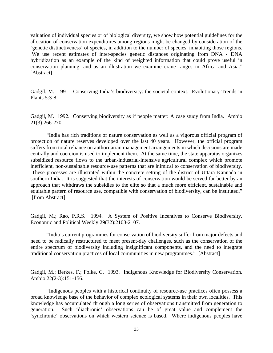valuation of individual species or of biological diversity, we show how potential guidelines for the allocation of conservation expenditures among regions might be changed by consideration of the 'genetic distinctiveness' of species, in addition to the number of species, inhabiting those regions. We use recent estimates of inter-species genetic distances originating from DNA - DNA hybridization as an example of the kind of weighted information that could prove useful in conservation planning, and as an illustration we examine crane ranges in Africa and Asia." [Abstract]

Gadgil, M. 1991. Conserving India's biodiversity: the societal context. Evolutionary Trends in Plants 5:3-8.

Gadgil, M. 1992. Conserving biodiversity as if people matter: A case study from India. Ambio 21(3):266-270.

 "India has rich traditions of nature conservation as well as a vigorous official program of protection of nature reserves developed over the last 40 years. However, the official program suffers from total reliance on authoritarian management arrangements in which decisions are made centrally and coercion is used to implement them. At the same time, the state apparatus organizes subsidized resource flows to the urban-industrial-intensive agricultural complex which promote inefficient, non-sustainable resource-use patterns that are inimical to conservation of biodiversity. These processes are illustrated within the concrete setting of the district of Uttara Kannada in southern India. It is suggested that the interests of conservation would be served far better by an approach that withdraws the subsidies to the elite so that a much more efficient, sustainable and equitable pattern of resource use, compatible with conservation of biodiversity, can be instituted." [from Abstract]

Gadgil, M.; Rao, P.R.S. 1994. A System of Positive Incentives to Conserve Biodiversity. Economic and Political Weekly 29(32):2103-2107.

 "India's current programmes for conservation of biodiversity suffer from major defects and need to be radically restructured to meet present-day challenges, such as the conservation of the entire spectrum of biodiversity including insignificant components, and the need to integrate traditional conservation practices of local communities in new programmes." [Abstract]

Gadgil, M.; Berkes, F.; Folke, C. 1993. Indigenous Knowledge for Biodiversity Conservation. Ambio 22(2-3):151-156.

 "Indigenous peoples with a historical continuity of resource-use practices often possess a broad knowledge base of the behavior of complex ecological systems in their own localities. This knowledge has accumulated through a long series of observations transmitted from generation to generation. Such 'diachronic' observations can be of great value and complement the 'synchronic' observations on which western science is based. Where indigenous peoples have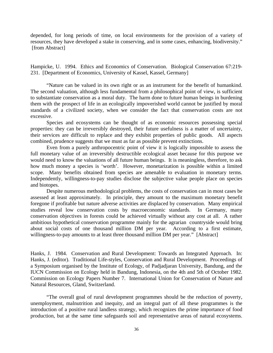depended, for long periods of time, on local environments for the provision of a variety of resources, they have developed a stake in conserving, and in some cases, enhancing, biodiversity." [from Abstract]

Hampicke, U. 1994. Ethics and Economics of Conservation. Biological Conservation 67:219- 231. [Department of Economics, University of Kassel, Kassel, Germany]

 "Nature can be valued in its own right or as an instrument for the benefit of humankind. The second valuation, although less fundamental from a philosophical point of view, is sufficient to substantiate conservation as a moral duty. The harm done to future human beings in burdening them with the prospect of life in an ecologically impoverished world cannot be justified by moral standards of a civilized society, when we consider the fact that conservation costs are not excessive.

 Species and ecosystems can be thought of as economic resources possessing special properties: they can be irreversibly destroyed, their future usefulness is a matter of uncertainty, their services are difficult to replace and they exhibit properties of public goods. All aspects combined, prudence suggests that we must as far as possible prevent extinctions.

 Even from a purely anthropocentric point of view it is logically impossible to assess the full monetary value of an irreversibly destructible ecological asset because for this purpose we would need to know the valuations of all future human beings. It is meaningless, therefore, to ask how much money a species is 'worth'. However, monetarization is possible within a limited scope. Many benefits obtained from species are amenable to evaluation in monetary terms. Independently, willingness-to-pay studies disclose the subjective value people place on species and biotopes.

 Despite numerous methodological problems, the costs of conservation can in most cases be assessed at least approximately. In principle, they amount to the maximum monetary benefit foregone if profitable but nature adverse activities are displaced by conservation. Many empirical studies reveal low conservation costs by macroeconomic standards. In Germany, many conservation objectives in forests could be achieved virtually without any cost at all. A rather ambitious hypothetical conservation programme mainly for the agrarian countryside would bring about social costs of one thousand million DM per year. According to a first estimate, willingness-to-pay amounts to at least three thousand million DM per year." [Abstract]

Hanks, J. 1984. Conservation and Rural Development: Towards an Integrated Approach. In: Hanks, J. (editor). Traditional Life-styles, Conservation and Rural Development. Proceedings of a Symposium organised by the Institute of Ecology, of Padjadjaran University, Bandung, and the IUCN Commission on Ecology held in Bandung, Indonesia, on the 4th and 5th of October 1982. Commission on Ecology Papers Number 7. International Union for Conservation of Nature and Natural Resources, Gland, Switzerland.

 "The overall goal of rural development programmes should be the reduction of poverty, unemployment, malnutrition and inequity, and an integral part of all these programmes is the introduction of a positive rural landless strategy, which recognizes the prime importance of food production, but at the same time safeguards soil and representative areas of natural ecosystems.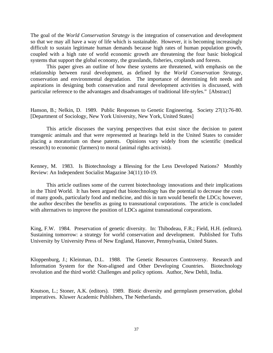The goal of the *World Conservation Strategy* is the integration of conservation and development so that we may all have a way of life which is sustainable. However, it is becoming increasingly difficult to sustain legitimate human demands because high rates of human population growth, coupled with a high rate of world economic growth are threatening the four basic biological systems that support the global economy, the grasslands, fisheries, croplands and forests.

 This paper gives an outline of how these systems are threatened, with emphasis on the relationship between rural development, as defined by the *World Conservation Strategy*, conservation and environmental degradation. The importance of determining felt needs and aspirations in designing both conservation and rural development activities is discussed, with particular reference to the advantages and disadvantages of traditional life-styles." [Abstract]

Hanson, B.; Nelkin, D. 1989. Public Responses to Genetic Engineering. Society 27(1):76-80. [Department of Sociology, New York University, New York, United States]

 This article discusses the varying perspectives that exist since the decision to patent transgenic animals and that were represented at hearings held in the United States to consider placing a moratorium on these patents. Opinions vary widely from the scientific (medical research) to economic (farmers) to moral (animal rights activists).

Kenney, M. 1983. Is Biotechnology a Blessing for the Less Developed Nations? Monthly Review: An Independent Socialist Magazine 34(11):10-19.

 This article outlines some of the current biotechnology innovations and their implications in the Third World. It has been argued that biotechnology has the potential to decrease the costs of many goods, particularly food and medicine, and this in turn would benefit the LDCs; however, the author describes the benefits as going to transnational corporations. The article is concluded with alternatives to improve the position of LDCs against transnational corporations.

King, F.W. 1984. Preservation of genetic diversity. In: Thibodeau, F.R.; Field, H.H. (editors). Sustaining tomorrow: a strategy for world conservation and development. Published for Tufts University by University Press of New England, Hanover, Pennsylvania, United States.

Kloppenburg, J.; Kleinman, D.L. 1988. The Genetic Resources Controversy. Research and Information System for the Non-aligned and Other Developing Countries. Biotechnology revolution and the third world: Challenges and policy options. Author, New Dehli, India.

Knutson, L.; Stoner, A.K. (editors). 1989. Biotic diversity and germplasm preservation, global imperatives. Kluwer Academic Publishers, The Netherlands.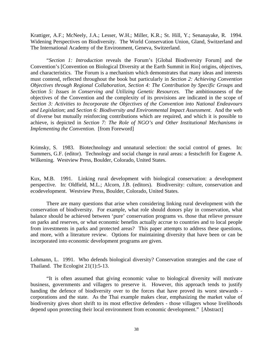Krattiger, A.F.; McNeely, J.A.; Lesser, W.H.; Miller, K.R.; St. Hill, Y.; Senanayake, R. 1994. Widening Perspectives on Biodiversity. The World Conservation Union, Gland, Switzerland and The International Academy of the Environment, Geneva, Switzerland.

 "*Section 1: Introduction* reveals the Forum's [Global Biodiversity Forum] and the Convention's [Convention on Biological Diversity at the Earth Summit in Rio] origins, objectives, and characteristics. The Forum is a mechanism which demonstrates that many ideas and interests must contend, reflected throughout the book but particularly in *Section 2: Achieving Convention Objectives through Regional Collaboration, Section 4: The Contribution by Specific Groups* and *Section 5: Issues in Conserving and Utilizing Genetic Resources.* The ambitiousness of the objectives of the Convention and the complexity of its provisions are indicated in the scope of *Section 3: Activities to Incorporate the Objectives of the Convention into National Endeavours and Legislation*; and *Section 6: Biodiversity and Environmental Impact Assessment*. And the web of diverse but mutually reinforcing contributions which are required, and which it is possible to achieve, is depicted in *Section 7: The Role of NGO's and Other Institutional Mechanisms in Implementing the Convention.* [from Foreword]

Krimsky, S. 1983. Biotechnology and unnatural selection: the social control of genes. In: Summers, G.F. (editor). Technology and social change in rural areas: a festschrift for Eugene A. Wilkening. Westview Press, Boulder, Colorado, United States.

Kux, M.B. 1991. Linking rural development with biological conservation: a development perspective. In: Oldfield, M.L.; Alcorn, J.B. (editors). Biodiversity: culture, conservation and ecodevelopment. Westview Press, Boulder, Colorado, United States.

 There are many questions that arise when considering linking rural development with the conservation of biodiversity. For example, what role should donors play in conservation, what balance should be achieved between 'pure' conservation programs vs. those that relieve pressure on parks and reserves, or what economic benefits actually accrue to countries and to local people from investments in parks and protected areas? This paper attempts to address these questions, and more, with a literature review. Options for maintaining diversity that have been or can be incorporated into economic development programs are given.

Lohmann, L. 1991. Who defends biological diversity? Conservation strategies and the case of Thailand. The Ecologist 21(1):5-13.

 "It is often assumed that giving economic value to biological diversity will motivate business, governments and villagers to preserve it. However, this approach tends to justify handing the defence of biodiversity over to the forces that have proved its worst stewards corporations and the state. As the Thai example makes clear, emphasizing the market value of biodiversity gives short shrift to its most effective defenders - those villagers whose livelihoods depend upon protecting their local environment from economic development." [Abstract]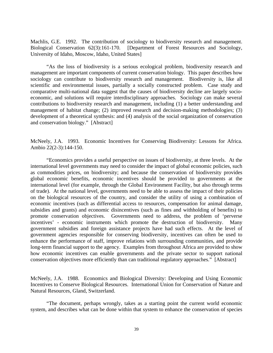Machlis, G.E. 1992. The contribution of sociology to biodiversity research and management. Biological Conservation 62(3):161-170. [Department of Forest Resources and Sociology, University of Idaho, Moscow, Idaho, United States]

 "As the loss of biodiversity is a serious ecological problem, biodiversity research and management are important components of current conservation biology. This paper describes how sociology can contribute to biodiversity research and management. Biodiversity is, like all scientific and environmental issues, partially a socially constructed problem. Case study and comparative multi-national data suggest that the causes of biodiversity decline are largely socioeconomic, and solutions will require interdisciplinary approaches. Sociology can make several contributions to biodiversity research and management, including (1) a better understanding and management of habitat change; (2) improved research and decision-making methodologies; (3) development of a theoretical synthesis: and (4) analysis of the social organization of conservation and conservation biology." [Abstract]

McNeely, J.A. 1993. Economic Incentives for Conserving Biodiversity: Lessons for Africa. Ambio 22(2-3):144-150.

 "Economics provides a useful perspective on issues of biodiversity, at three levels. At the international level governments may need to consider the impact of global economic policies, such as commodities prices, on biodiversity; and because the conservation of biodiversity provides global economic benefits, economic incentives should be provided to governments at the international level (for example, through the Global Environment Facility, but also through terms of trade). At the national level, governments need to be able to assess the impact of their policies on the biological resources of the country, and consider the utility of using a combination of economic incentives (such as differential access to resources, compensation for animal damage, subsidies and grants) and economic disincentives (such as fines and withholding of benefits) to promote conservation objectives. Governments need to address, the problem of 'perverse incentives' - economic instruments which promote the destruction of biodiversity. Many government subsidies and foreign assistance projects have had such effects. At the level of government agencies responsible for conserving biodiversity, incentives can often be used to enhance the performance of staff, improve relations with surrounding communities, and provide long-term financial support to the agency. Examples from throughout Africa are provided to show how economic incentives can enable governments and the private sector to support national conservation objectives more efficiently than can traditional regulatory approaches." [Abstract]

McNeely, J.A. 1988. Economics and Biological Diversity: Developing and Using Economic Incentives to Conserve Biological Resources. International Union for Conservation of Nature and Natural Resources, Gland, Switzerland.

 "The document, perhaps wrongly, takes as a starting point the current world economic system, and describes what can be done within that system to enhance the conservation of species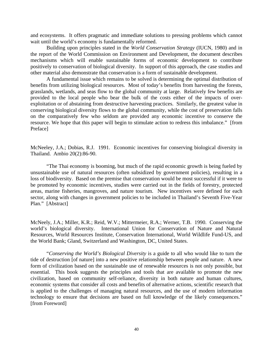and ecosystems. It offers pragmatic and immediate solutions to pressing problems which cannot wait until the world's economy is fundamentally reformed.

 Building upon principles stated in the *World Conservation Strategy* (IUCN, 1980) and in the report of the World Commission on Environment and Development, the document describes mechanisms which will enable sustainable forms of economic development to contribute positively to conservation of biological diversity. In support of this approach, the case studies and other material also demonstrate that conservation is a form of sustainable development.

 A fundamental issue which remains to be solved is determining the optimal distribution of benefits from utilizing biological resources. Most of today's benefits from harvesting the forests, grasslands, wetlands, and seas flow to the global community at large. Relatively few benefits are provided to the local people who bear the bulk of the costs either of the impacts of overexploitation or of abstaining from destructive harvesting practices. Similarly, the greatest value in conserving biological diversity flows to the global community, while the cost of preservation falls on the comparatively few who seldom are provided any economic incentive to conserve the resource. We hope that this paper will begin to stimulate action to redress this imbalance." [from Preface]

McNeeley, J.A.; Dobias, R.J. 1991. Economic incentives for conserving biological diversity in Thailand. Ambio 20(2):86-90.

 "The Thai economy is booming, but much of the rapid economic growth is being fueled by unsustainable use of natural resources (often subsidized by government policies), resulting in a loss of biodiversity. Based on the premise that conservation would be most successful if it were to be promoted by economic incentives, studies were carried out in the fields of forestry, protected areas, marine fisheries, mangroves, and nature tourism. New incentives were defined for each sector, along with changes in government policies to be included in Thailand's Seventh Five-Year Plan." [Abstract]

McNeely, J.A.; Miller, K.R.; Reid, W.V.; Mittermeier, R.A.; Werner, T.B. 1990. Conserving the world's biological diversity. International Union for Conservation of Nature and Natural Resources, World Resources Institute, Conservation International, World Wildlife Fund-US, and the World Bank; Gland, Switzerland and Washington, DC, United States.

 "*Conserving the World's Biological Diversity* is a guide to all who would like to turn the tide of destruction [of nature] into a new positive relationship between people and nature. A new form of civilization based on the sustainable use of renewable resources is not only possible, but essential. This book suggests the principles and tools that are available to promote the new civilization, based on community self-reliance, diversity in both nature and human cultures, economic systems that consider all costs and benefits of alternative actions, scientific research that is applied to the challenges of managing natural resources, and the use of modern information technology to ensure that decisions are based on full knowledge of the likely consequences." [from Foreword]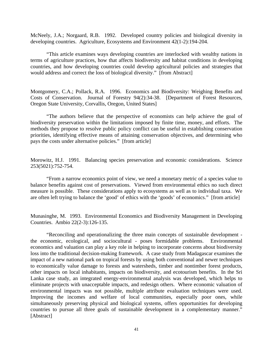McNeely, J.A.; Norgaard, R.B. 1992. Developed country policies and biological diversity in developing countries. Agriculture, Ecosystems and Environment 42(1-2):194-204.

 "This article examines ways developing countries are interlocked with wealthy nations in terms of agriculture practices, how that affects biodiversity and habitat conditions in developing countries, and how developing countries could develop agricultural policies and strategies that would address and correct the loss of biological diversity." [from Abstract]

Montgomery, C.A.; Pollack, R.A. 1996. Economics and Biodiversity: Weighing Benefits and Costs of Conservation. Journal of Forestry 94(2):34-38. [Department of Forest Resources, Oregon State University, Corvallis, Oregon, United States]

 "The authors believe that the perspective of economists can help achieve the goal of biodiversity preservation within the limitations imposed by finite time, money, and efforts. The methods they propose to resolve public policy conflict can be useful in establishing conservation priorities, identifying effective means of attaining conservation objectives, and determining who pays the costs under alternative policies." [from article]

Morowitz, H.J. 1991. Balancing species preservation and economic considerations. Science 253(5021):752-754.

 "From a narrow economics point of view, we need a monetary metric of a species value to balance benefits against cost of preservations. Viewed from environmental ethics no such direct measure is possible. These considerations apply to ecosystems as well as to individual taxa. We are often left trying to balance the 'good' of ethics with the 'goods' of economics." [from article]

Munasinghe, M. 1993. Environmental Economics and Biodiversity Management in Developing Countries. Ambio 22(2-3):126-135.

 "Reconciling and operationalizing the three main concepts of sustainable development the economic, ecological, and sociocultural - poses formidable problems. Environmental economics and valuation can play a key role in helping to incorporate concerns about biodiversity loss into the traditional decision-making framework. A case study from Madagascar examines the impact of a new national park on tropical forests by using both conventional and newer techniques to economically value damage to forests and watersheds, timber and nontimber forest products, other impacts on local inhabitants, impacts on biodiversity, and ecotourism benefits. In the Sri Lanka case study, an integrated energy-environmental analysis was developed, which helps to eliminate projects with unacceptable impacts, and redesign others. Where economic valuation of environmental impacts was not possible, multiple attribute evaluation techniques were used. Improving the incomes and welfare of local communities, especially poor ones, while simultaneously preserving physical and biological systems, offers opportunities for developing countries to pursue all three goals of sustainable development in a complementary manner." [Abstract]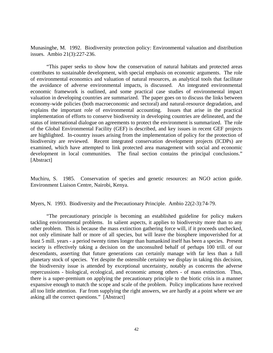Munasinghe, M. 1992. Biodiversity protection policy: Environmental valuation and distribution issues. Ambio 21(3):227-236.

 "This paper seeks to show how the conservation of natural habitats and protected areas contributes to sustainable development, with special emphasis on economic arguments. The role of environmental economics and valuation of natural resources, as analytical tools that facilitate the avoidance of adverse environmental impacts, is discussed. An integrated environmental economic framework is outlined, and some practical case studies of environmental impact valuation in developing countries are summarized. The paper goes on to discuss the links between economy-wide policies (both macroeconomic and sectoral) and natural-resource degradation, and explains the important role of environmental accounting. Issues that arise in the practical implementation of efforts to conserve biodiversity in developing countries are delineated, and the status of international dialogue on agreements to protect the environment is summarized. The role of the Global Environmental Facility (GEF) is described, and key issues in recent GEF projects are highlighted. In-country issues arising from the implementation of policy for the protection of biodiversity are reviewed. Recent integrated conservation development projects (ICDPs) are examined, which have attempted to link protected area management with social and economic development in local communities. The final section contains the principal conclusions." [Abstract]

Muchiru, S. 1985. Conservation of species and genetic resources: an NGO action guide. Environment Liaison Centre, Nairobi, Kenya.

Myers, N. 1993. Biodiversity and the Precautionary Principle. Ambio 22(2-3):74-79.

 "The precautionary principle is becoming an established guideline for policy makers tackling environmental problems. In salient aspects, it applies to biodiversity more than to any other problem. This is because the mass extinction gathering force will, if it proceeds unchecked, not only eliminate half or more of all species, but will leave the biosphere impoverished for at least 5 mill. years - a period twenty times longer than humankind itself has been a species. Present society is effectively taking a decision on the unconsulted behalf of perhaps 100 trill. of our descendants, asserting that future generations can certainly manage with far less than a full planetary stock of species. Yet despite the ostensible certainty we display in taking this decision, the biodiversity issue is attended by exceptional uncertainty, notably as concerns the adverse repercussions - biological, ecological, and economic among others - of mass extinction. Thus, there is a super-premium on applying the precautionary principle to the biotic crisis in a manner expansive enough to match the scope and scale of the problem. Policy implications have received all too little attention. Far from supplying the right answers, we are hardly at a point where we are asking all the correct questions." [Abstract]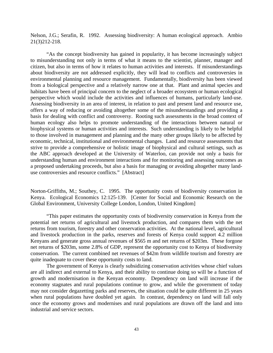Nelson, J.G.; Serafin, R. 1992. Assessing biodiversity: A human ecological approach. Ambio 21(3)212-218.

 "As the concept biodiversity has gained in popularity, it has become increasingly subject to misunderstanding not only in terms of what it means to the scientist, planner, manager and citizen, but also in terms of how it relates to human activities and interests. If misunderstandings about biodiversity are not addressed explicitly, they will lead to conflicts and controversies in environmental planning and resource management. Fundamentally, biodiversity has been viewed from a biological perspective and a relatively narrow one at that. Plant and animal species and habitats have been of principal concern to the neglect of a broader ecosystem or human ecological perspective which would include the activities and influences of humans, particularly land-use. Assessing biodiversity in an area of interest, in relation to past and present land and resource use, offers a way of reducing or avoiding altogether some of the misunderstandings and providing a basis for dealing with conflict and controversy. Rooting such assessments in the broad context of human ecology also helps to promote understanding of the interactions between natural or biophysical systems or human activities and interests. Such understanding is likely to be helpful to those involved in management and planning and the many other groups likely to be affected by economic, technical, institutional and environmental changes. Land and resource assessments that strive to provide a comprehensive or holistic image of biophysical and cultural settings, such as the ABC approach developed at the University of Waterloo, can provide not only a basis for understanding human and environment interactions and for monitoring and assessing outcomes as a proposed undertaking proceeds, but also a basis for managing or avoiding altogether many landuse controversies and resource conflicts." [Abstract]

Norton-Griffiths, M.; Southey, C. 1995. The opportunity costs of biodiversity conservation in Kenya. Ecological Economics 12:125-139. [Center for Social and Economic Research on the Global Environment, University College London, London, United Kingdom]

 "This paper estimates the opportunity costs of biodiversity conservation in Kenya from the potential net returns of agricultural and livestock production, and compares them with the net returns from tourism, forestry and other conservation activities. At the national level, agricultural and livestock production in the parks, reserves and forests of Kenya could support 4.2 million Kenyans and generate gross annual revenues of \$565 m and net returns of \$203m. These forgone net returns of \$203m, some 2.8% of GDP, represent the opportunity cost to Kenya of biodiversity conservation. The current combined net revenues of \$42m from wildlife tourism and forestry are quite inadequate to cover these opportunity costs to land.

 The government of Kenya is clearly subsidizing conservation activities whose chief values are all indirect and external to Kenya, and their ability to continue doing so will be a function of growth and modernisation in the Kenyan economy. Dependency on land will increase if the economy stagnates and rural populations continue to grow, and while the government of today may not consider degazetting parks and reserves, the situation could be quite different in 25 years when rural populations have doubled yet again. In contrast, dependency on land will fall only once the economy grows and modernises and rural populations are drawn off the land and into industrial and service sectors.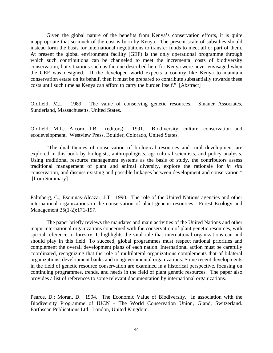Given the global nature of the benefits from Kenya's conservation efforts, it is quite inappropriate that so much of the cost is born by Kenya. The present scale of subsidies should instead form the basis for international negotiations to transfer funds to meet all or part of them. At present the global environment facility (GEF) is the only operational programme through which such contributions can be channeled to meet the incremental costs of biodiversity conservation, but situations such as the one described here for Kenya were never envisaged when the GEF was designed. If the developed world expects a country like Kenya to maintain conservation estate on its behalf, then it must be prepared to contribute substantially towards these costs until such time as Kenya can afford to carry the burden itself." [Abstract]

Oldfield, M.L. 1989. The value of conserving genetic resources. Sinauer Associates, Sunderland, Massachusetts, United States.

Oldfield, M.L.; Alcorn, J.B. (editors). 1991. Biodiversity: culture, conservation and ecodevelopment. Westview Press, Boulder, Colorado, United States.

 "The dual themes of conservation of biological resources and rural development are explored in this book by biologists, anthropologists, agricultural scientists, and policy analysts. Using traditional resource management systems as the basis of study, the contributors assess traditional management of plant and animal diversity, explore the rationale for *in situ* conservation, and discuss existing and possible linkages between development and conservation." [from Summary]

Palmberg, C.; Esquinas-Alcazar, J.T. 1990. The role of the United Nations agencies and other international organizations in the conservation of plant genetic resources. Forest Ecology and Management 35(1-2):171-197.

 The paper briefly reviews the mandates and main activities of the United Nations and other major international organizations concerned with the conservation of plant genetic resources, with special reference to forestry. It highlights the vital role that international organizations can and should play in this field. To succeed, global programmes must respect national priorities and complement the overall development plans of each nation. International action must be carefully coordinated, recognizing that the role of multilateral organizations complements that of bilateral organizations, development banks and nongovernmental organizations. Some recent developments in the field of genetic resource conservation are examined in a historical perspective, focusing on continuing programmes, trends, and needs in the field of plant genetic resources. The paper also provides a list of references to some relevant documentation by international organizations.

Pearce, D.; Moran, D. 1994. The Economic Value of Biodiversity. In association with the Biodiversity Programme of IUCN - The World Conservation Union, Gland, Switzerland. Earthscan Publications Ltd., London, United Kingdom.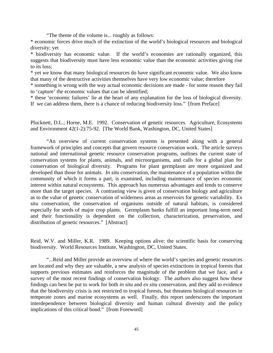"The theme of the volume is... roughly as follows:

\* economic forces drive much of the extinction of the world's biological resources and biological diversity; yet

\* biodiversity has economic value. If the world's economies are rationally organized, this suggests that biodiversity must have less economic value than the economic activities giving rise to its loss;

\* yet we know that many biological resources do have significant economic value. We also know that many of the destructive activities themselves have very low economic value; therefore

\* something is wrong with the way actual economic decisions are made - for some reason they fail to 'capture' the economic values that can be identified;

\* these 'economic failures' lie at the heart of any explanation for the loss of biological diversity. If we can address them, there is a chance of reducing biodiversity loss." [from Preface]

Plucknett, D.L.; Horne, M.E. 1992. Conservation of genetic resources. Agriculture, Ecosystems and Environment 42(1-2):75-92. [The World Bank, Washington, DC, United States]

 "An overview of current conservation systems is presented along with a general framework of principles and concepts that govern resource conservation work. The article surveys national and international genetic resource conservation programs, outlines the current state of conservation systems for plants, animals, and microorganisms, and calls for a global plan for conservation of biological diversity. Programs for plant germplasm are more organized and developed than those for animals. *In situ* conservation, the maintenance of a population within the community of which it forms a part, is examined, including maintenance of species economic interest within natural ecosystems. This approach has numerous advantages and tends to conserve more than the target species. A contrasting view is given of conservation biology and agriculture as to the value of genetic conservation of wilderness areas as reservoirs for genetic variability. Ex situ conservation, the conservation of organisms outside of natural habitats, is considered especially for seeds of major crop plants. Germplasm banks fulfill an important long-term need and their functionality is dependent on the collection, characterization, preservation, and distribution of genetic resources." [Abstract]

Reid, W.V. and Miller, K.R. 1989. Keeping options alive: the scientific basis for conserving biodiversity. World Resources Institute, Washington, DC, United States.

 "...Reid and Miller provide an overview of where the world's species and genetic resources are located and why they are valuable, a new analysis of species extinctions in tropical forests that supports previous estimates and reinforces the magnitude of the problem that we face, and a survey of the most recent findings of conservation biology. The authors also suggest how these findings can best be put to work for both *in situ* and *ex situ* conservation, and they add to evidence that the biodiversity crisis is not restricted to tropical forests, but threatens biological resources in temperate zones and marine ecosystems as well. Finally, this report underscores the important interdependence between biological diversity and human cultural diversity and the policy implications of this critical bond." [from Foreword]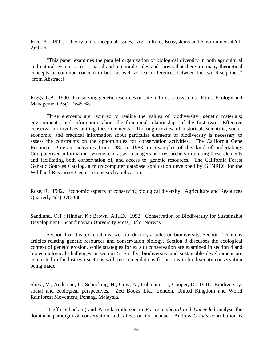Rice, K. 1992. Theory and conceptual issues. Agriculture, Ecosystems and Environment 42(1- 2):9-26.

 "This paper examines the parallel organization of biological diversity in both agricultural and natural systems across spatial and temporal scales and shows that there are many theoretical concepts of common concern to both as well as real differences between the two disciplines." [from Abstract]

Riggs, L.A. 1990. Conserving genetic resources on-site in forest ecosystems. Forest Ecology and Management 35(1-2):45-68.

 Three elements are required to realize the values of biodiversity: genetic materials; environments; and information about the functional relationships of the first two. Effective conservation involves uniting these elements. Thorough review of historical, scientific, socioeconomic, and practical information about particular elements of biodiversity is necessary to assess the constraints on the opportunities for conservation activities. The California Gene Resources Program activities from 1980 to 1983 are examples of this kind of undertaking. Computerized information systems can assist managers and researchers in uniting these elements and facilitating both conservation of, and access to, genetic resources. The California Forest Genetic Sources Catalog, a microcomputer database application developed by GENREC for the Wildland Resources Center, is one such application.

Rose, R. 1992. Economic aspects of conserving biological diversity. Agriculture and Resources Quarterly 4(3):378-388.

Sandlund, O.T.; Hindar, K.; Brown, A.H.D. 1992. Conservation of Biodiversity for Sustainable Development. Scandinavian University Press, Oslo, Norway.

 Section 1 of this text contains two introductory articles on biodiversity. Section 2 contains articles relating genetic resources and conservation biology. Section 3 discusses the ecological context of genetic erosion, while strategies for ex situ conservation are examined in section 4 and biotechnological challenges in section 5. Finally, biodiversity and sustainable development are connected in the last two sections with recommendations for actions in biodiversity conservation being made.

Shiva, V.; Anderson, P.; Schucking, H.; Gray, A.; Lohmann, L.; Cooper, D. 1991. Biodiversity: social and ecological perspectives. Zed Books Ltd., London, United Kingdom and World Rainforest Movement, Penang, Malaysia.

 "Heffa Schucking and Patrick Anderson in *Voices Unheard and Unheeded* analyse the dominant paradigm of conservation and reflect on its lacunae. Andrew Gray's contribution is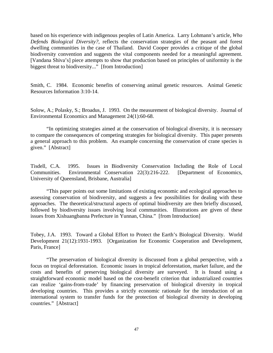based on his experience with indigenous peoples of Latin America. Larry Lohmann's article, *Who Defends Biological Diversity?,* reflects the conservation strategies of the peasant and forest dwelling communities in the case of Thailand. David Cooper provides a critique of the global biodiversity convention and suggests the vital components needed for a meaningful agreement. [Vandana Shiva's] piece attempts to show that production based on principles of uniformity is the biggest threat to biodiversity..." [from Introduction]

Smith, C. 1984. Economic benefits of conserving animal genetic resources. Animal Genetic Resources Information 3:10-14.

Solow, A.; Polasky, S.; Broadus, J. 1993. On the measurement of biological diversity. Journal of Environmental Economics and Management 24(1):60-68.

 "In optimizing strategies aimed at the conservation of biological diversity, it is necessary to compare the consequences of competing strategies for biological diversity. This paper presents a general approach to this problem. An example concerning the conservation of crane species is given." [Abstract]

Tisdell, C.A. 1995. Issues in Biodiversity Conservation Including the Role of Local Communities. Environmental Conservation 22(3):216-222. [Department of Economics, University of Queensland, Brisbane, Australia]

 "This paper points out some limitations of existing economic and ecological approaches to assessing conservation of biodiversity, and suggests a few possibilities for dealing with these approaches. The theoretical/structural aspects of optimal biodiversity are then briefly discussed, followed by biodiversity issues involving local communities. Illustrations are given of these issues from Xishuangbanna Prefecture in Yunnan, China." [from Introduction]

Tobey, J.A. 1993. Toward a Global Effort to Protect the Earth's Biological Diversity. World Development 21(12):1931-1993. [Organization for Economic Cooperation and Development, Paris, France]

 "The preservation of biological diversity is discussed from a global perspective, with a focus on tropical deforestation. Economic issues in tropical deforestation, market failure, and the costs and benefits of preserving biological diversity are surveyed. It is found using a straightforward economic model based on the cost-benefit criterion that industrialized countries can realize 'gains-from-trade' by financing preservation of biological diversity in tropical developing countries. This provides a strictly economic rationale for the introduction of an international system to transfer funds for the protection of biological diversity in developing countries." [Abstract]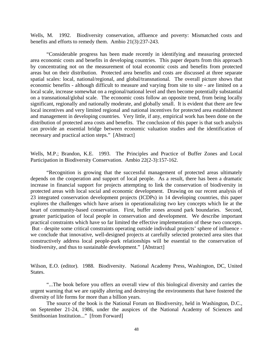Wells, M. 1992. Biodiversity conservation, affluence and poverty: Mismatched costs and benefits and efforts to remedy them. Ambio 21(3):237-243.

 "Considerable progress has been made recently in identifying and measuring protected area economic costs and benefits in developing countries. This paper departs from this approach by concentrating not on the measurement of total economic costs and benefits from protected areas but on their distribution. Protected area benefits and costs are discussed at three separate spatial scales: local, national/regional, and global/transnational. The overall picture shows that economic benefits - although difficult to measure and varying from site to site - are limited on a local scale, increase somewhat on a regional/national level and then become potentially substantial on a transnational/global scale. The economic costs follow an opposite trend, from being locally significant, regionally and nationally moderate, and globally small. It is evident that there are few local incentives and very limited regional and national incentives for protected area establishment and management in developing countries. Very little, if any, empirical work has been done on the distribution of protected area costs and benefits. The conclusion of this paper is that such analysis can provide an essential bridge between economic valuation studies and the identification of necessary and practical action steps." [Abstract]

Wells, M.P.; Brandon, K.E. 1993. The Principles and Practice of Buffer Zones and Local Participation in Biodiversity Conservation. Ambio 22(2-3):157-162.

 "Recognition is growing that the successful management of protected areas ultimately depends on the cooperation and support of local people. As a result, there has been a dramatic increase in financial support for projects attempting to link the conservation of biodiversity in protected areas with local social and economic development. Drawing on our recent analysis of 23 integrated conservation development projects (ICDPs) in 14 developing countries, this paper explores the challenges which have arisen in operationalizing two key concepts which lie at the heart of community-based conservation. First, buffer zones around park boundaries. Second, greater participation of local people in conservation and development. We describe important practical constraints which have so far limited the effective implementation of these two concepts. But - despite some critical constraints operating outside individual projects' sphere of influence we conclude that innovative, well-designed projects at carefully selected protected area sites that constructively address local people-park relationships will be essential to the conservation of biodiversity, and thus to sustainable development." [Abstract]

Wilson, E.O. (editor). 1988. Biodiversity. National Academy Press, Washington, DC, United States.

 "...The book before you offers an overall view of this biological diversity and carries the urgent warning that we are rapidly altering and destroying the environments that have fostered the diversity of life forms for more than a billion years.

 The source of the book is the National Forum on Biodiversity, held in Washington, D.C., on September 21-24, 1986, under the auspices of the National Academy of Sciences and Smithsonian Institution..." [from Forward]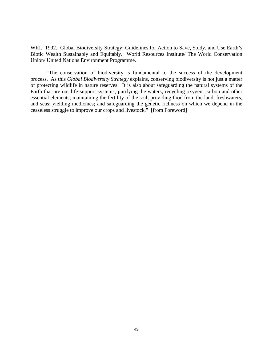WRI. 1992. Global Biodiversity Strategy: Guidelines for Action to Save, Study, and Use Earth's Biotic Wealth Sustainably and Equitably. World Resources Institute/ The World Conservation Union/ United Nations Environment Programme.

 "The conservation of biodiversity is fundamental to the success of the development process. As this *Global Biodiversity Strategy* explains, conserving biodiversity is not just a matter of protecting wildlife in nature reserves. It is also about safeguarding the natural systems of the Earth that are our life-support systems; purifying the waters; recycling oxygen, carbon and other essential elements; maintaining the fertility of the soil; providing food from the land, freshwaters, and seas; yielding medicines; and safeguarding the genetic richness on which we depend in the ceaseless struggle to improve our crops and livestock." [from Foreword]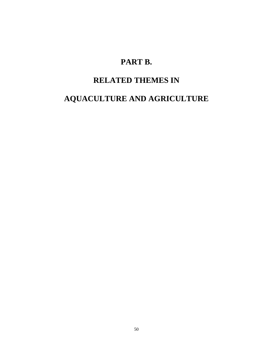## **PART B.**

## **RELATED THEMES IN**

# **AQUACULTURE AND AGRICULTURE**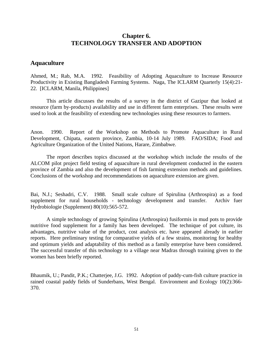### **Chapter 6. TECHNOLOGY TRANSFER AND ADOPTION**

#### **Aquaculture**

Ahmed, M.; Rab, M.A. 1992. Feasibility of Adopting Aquaculture to Increase Resource Productivity in Existing Bangladesh Farming Systems. Naga, The ICLARM Quarterly 15(4):21- 22. [ICLARM, Manila, Philippines]

 This article discusses the results of a survey in the district of Gazipur that looked at resource (farm by-products) availability and use in different farm enterprises. These results were used to look at the feasibility of extending new technologies using these resources to farmers.

Anon. 1990. Report of the Workshop on Methods to Promote Aquaculture in Rural Development, Chipata, eastern province, Zambia, 10-14 July 1989. FAO/SIDA; Food and Agriculture Organization of the United Nations, Harare, Zimbabwe.

 The report describes topics discussed at the workshop which include the results of the ALCOM pilot project field testing of aquaculture in rural development conducted in the eastern province of Zambia and also the development of fish farming extension methods and guidelines. Conclusions of the workshop and recommendations on aquaculture extension are given.

Bai, N.J.; Seshadri, C.V. 1988. Small scale culture of Spirulina (Arthrospira) as a food supplement for rural households - technology development and transfer. Archiv fuer Hydrobiologie (Supplement) 80(10):565-572.

 A simple technology of growing Spirulina (Arthrospira) fusiformis in mud pots to provide nutritive food supplement for a family has been developed. The technique of pot culture, its advantages, nutritive value of the product, cost analysis etc. have appeared already in earlier reports. Here preliminary testing for comparative yields of a few strains, monitoring for healthy and optimum yields and adaptability of this method as a family enterprise have been considered. The successful transfer of this technology to a village near Madras through training given to the women has been briefly reported.

Bhaumik, U.; Pandit, P.K.; Chatterjee, J.G. 1992. Adoption of paddy-cum-fish culture practice in rained coastal paddy fields of Sunderbans, West Bengal. Environment and Ecology 10(2):366- 370.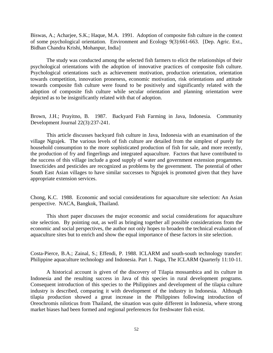Biswas, A.; Acharjee, S.K.; Haque, M.A. 1991. Adoption of composite fish culture in the context of some psychological orientation. Environment and Ecology 9(3):661-663. [Dep. Agric. Ext., Bidhan Chandra Krishi, Mohanpur, India]

 The study was conducted among the selected fish farmers to elicit the relationships of their psychological orientations with the adoption of innovative practices of composite fish culture. Psychological orientations such as achievement motivation, production orientation, orientation towards competition, innovation proneness, economic motivation, risk orientations and attitude towards composite fish culture were found to be positively and significantly related with the adoption of composite fish culture while secular orientation and planning orientation were depicted as to be insignificantly related with that of adoption.

Brown, J.H.; Prayitno, B. 1987. Backyard Fish Farming in Java, Indonesia. Community Development Journal 22(3):237-241.

 This article discusses backyard fish culture in Java, Indonesia with an examination of the village Ngrajek. The various levels of fish culture are detailed from the simplest of purely for household consumption to the more sophisticated production of fish for sale, and more recently, the production of fry and fingerlings and integrated aquaculture. Factors that have contributed to the success of this village include a good supply of water and government extension progammes. Insecticides and pesticides are recognized as problems by the government. The potential of other South East Asian villages to have similar successes to Ngrajek is promoted given that they have appropriate extension services.

Chong, K.C. 1988. Economic and social considerations for aquaculture site selection: An Asian perspective. NACA, Bangkok, Thailand.

 This short paper discusses the major economic and social considerations for aquaculture site selection. By pointing out, as well as bringing together all possible considerations from the economic and social perspectives, the author not only hopes to broaden the technical evaluation of aquaculture sites but to enrich and show the equal importance of these factors in site selection.

Costa-Pierce, B.A.; Zainal, S.; Effendi, P. 1988. ICLARM and south-south technology transfer: Philippine aquaculture technology and Indonesia. Part 1. Naga, The ICLARM Quarterly 11:10-11.

 A historical account is given of the discovery of Tilapia mossambica and its culture in Indonesia and the resulting success in Java of this species in rural development programs. Consequent introduction of this species to the Philippines and development of the tilapia culture industry is described, comparing it with development of the industry in Indonesia. Although tilapia production showed a great increase in the Philippines following introduction of Oreochromis niloticus from Thailand, the situation was quite different in Indonesia, where strong market biases had been formed and regional preferences for freshwater fish exist.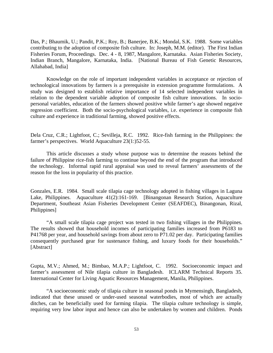Das, P.; Bhaumik, U.; Pandit, P.K.; Roy, B.; Banerjee, B.K.; Mondal, S.K. 1988. Some variables contributing to the adoption of composite fish culture. In: Joseph, M.M. (editor). The First Indian Fisheries Forum, Proceedings. Dec. 4 - 8, 1987, Mangalore, Karnataka. Asian Fisheries Society, Indian Branch, Mangalore, Karnataka, India. [National Bureau of Fish Genetic Resources, Allahabad, India]

 Knowledge on the role of important independent variables in acceptance or rejection of technological innovations by farmers is a prerequisite in extension programme formulations. A study was designed to establish relative importance of 14 selected independent variables in relation to the dependent variable adoption of composite fish culture innovations. In sociopersonal variables, education of the farmers showed positive while farmer's age showed negative regression coefficient. Both the socio-psychological variables, i.e. experience in composite fish culture and experience in traditional farming, showed positive effects.

Dela Cruz, C.R.; Lightfoot, C.; Sevilleja, R.C. 1992. Rice-fish farming in the Philippines: the farmer's perspectives. World Aquaculture 23(1:)52-55.

 This article discusses a study whose purpose was to determine the reasons behind the failure of Philippine rice-fish farming to continue beyond the end of the program that introduced the technology. Informal rapid rural appraisal was used to reveal farmers' assessments of the reason for the loss in popularity of this practice.

Gonzales, E.R. 1984. Small scale tilapia cage technology adopted in fishing villages in Laguna Lake, Philippines. Aquaculture 41(2):161-169. [Binangonan Research Station, Aquaculture Department, Southeast Asian Fisheries Development Center (SEAFDEC), Binangonan, Rizal, Philippines]

 "A small scale tilapia cage project was tested in two fishing villages in the Philippines. The results showed that household incomes of participating families increased from P6183 to P41768 per year, and household savings from about zero to P71.02 per day. Participating families consequently purchased gear for sustenance fishing, and luxury foods for their households." [Abstract]

Gupta, M.V.; Ahmed, M.; Bimbao, M.A.P.; Lightfoot, C. 1992. Socioeconomic impact and farmer's assessment of Nile tilapia culture in Bangladesh. ICLARM Technical Reports 35. International Center for Living Aquatic Resources Management, Manila, Philippines.

 "A socioeconomic study of tilapia culture in seasonal ponds in Mymensingh, Bangladesh, indicated that these unused or under-used seasonal waterbodies, most of which are actually ditches, can be beneficially used for farming tilapia. The tilapia culture technology is simple, requiring very low labor input and hence can also be undertaken by women and children. Ponds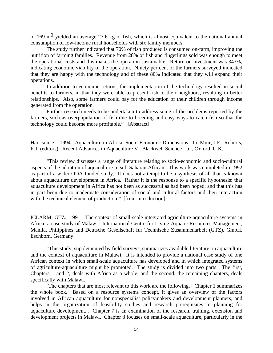of 169 m2 yielded an average 23.6 kg of fish, which is almost equivalent to the national annual consumption of low-income rural households with six family members.

 The study further indicated that 70% of fish produced is consumed on-farm, improving the nutrition of farming families. Revenue from 28% of fish and fingerlings sold was enough to meet the operational costs and this makes the operation sustainable. Return on investment was 343%, indicating economic viability of the operation. Ninety per cent of the farmers surveyed indicated that they are happy with the technology and of these 80% indicated that they will expand their operations.

 In addition to economic returns, the implementation of the technology resulted in social benefits to farmers, in that they were able to present fish to their neighbors, resulting in better relationships. Also, some farmers could pay for the education of their children through income generated from the operation.

 Further research needs to be undertaken to address some of the problems reported by the farmers, such as overpopulation of fish due to breeding and easy ways to catch fish so that the technology could become more profitable." [Abstract]

Harrison, E. 1994. Aquaculture in Africa: Socio-Economic Dimensions. In: Muir, J.F.; Roberts, R.J. (editors). Recent Advances in Aquaculture V. Blackwell Science Ltd., Oxford, U.K.

 "This review discusses a range of literature relating to socio-economic and socio-cultural aspects of the adoption of aquaculture in sub-Saharan African. This work was completed in 1992 as part of a wider ODA funded study. It does not attempt to be a synthesis of all that is known about aquaculture development in Africa. Rather it is the response to a specific hypothesis: that aquaculture development in Africa has not been as successful as had been hoped, and that this has in part been due to inadequate consideration of social and cultural factors and their interaction with the technical element of production." [from Introduction]

ICLARM; GTZ. 1991. The context of small-scale integrated agriculture-aquaculture systems in Africa: a case study of Malawi. International Centre for Living Aquatic Resources Management, Manila, Philippines and Deutsche Gesellschaft fur Technische Zusammenarbeit (GTZ), GmbH, Eschborn, Germany.

 "This study, supplemented by field surveys, summarizes available literature on aquaculture and the context of aquaculture in Malawi. It is intended to provide a national case study of one African context in which small-scale aquaculture has developed and in which integrated systems of agriculture-aquaculture might be promoted. The study is divided into two parts. The first, Chapters 1 and 2, deals with Africa as a whole, and the second, the remaining chapters, deals specifically with Malawi.

 [The chapters that are most relevant to this work are the following.] Chapter 1 summarizes the whole book. Based on a resource systems concept, it gives an overview of the factors involved in African aquaculture for nonspecialist policymakers and development planners, and helps in the organization of feasibility studies and research prerequisites to planning for aquaculture development... Chapter 7 is an examination of the research, training, extension and development projects in Malawi. Chapter 8 focuses on small-scale aquaculture, particularly in the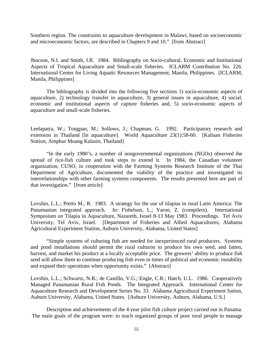Southern region. The constraints to aquaculture development in Malawi, based on socioeconomic and microeconomic factors, are described in Chapters 9 and 10." [from Abstract]

Jhocson, N.I. and Smith, I.R. 1984. Bibliography on Socio-cultural, Economic and Institutional Aspects of Tropical Aquaculture and Small-scale fisheries. ICLARM Contribution No. 226. International Center for Living Aquatic Resources Management, Manila, Philippines. [ICLARM, Manila, Philippines]

 The bibliography is divided into the following five sections 1) socio-economic aspects of aquaculture, 2) technology transfer in aquaculture, 3) general issues in aquaculture, 4) social, economic and institutional aspects of capture fisheries and, 5) socio-economic aspects of aquaculture and small-scale fisheries.

Leelapatra, W.; Tongpan, M.; Sollows, J.; Chapman, G. 1992. Participatory research and extension in Thailand [In aquaculture]. World Aquaculture 23(1):58-60. [Kalisan Fisheries Station, Amphur Muang Kalasin, Thailand]

 "In the early 1980's, a number of nongovernmental organizations (NGOs) observed the spread of rice-fish culture and took steps to extend it. In 1984, the Canadian volunteer organization, CUSO, in cooperation with the Farming Systems Research Institute of the Thai Department of Agriculture, documented the viability of the practice and investigated its interrelationships with other farming systems components. The results presented here are part of that investigation." [from article]

Lovshin, L.L.; Pretto M., R. 1983. A strategy for the use of tilapias in rural Latin America: The Panamanian integrated approach. In: Fishelson, L.; Yaron, Z. (compilers). International Symposium on Tilapia in Aquaculture, Nazareth, Israel 8-13 May 1983. Proceedings. Tel Aviv University, Tel Aviv, Israel. [Department of Fisheries and Allied Aquacultures, Alabama Agricultural Experiment Station, Auburn University, Alabama, United States]

 "Simple systems of culturing fish are needed for inexperienced rural producers. Systems and pond installations should permit the rural culturist to produce his own seed, and fatten, harvest, and market his product at a locally acceptable price. The growers' ability to produce fish seed will allow them to continue producing fish even in times of political and economic instability and expand their operations when opportunity exists." [Abstract]

Lovshin, L.L.; Schwartz, N.B.; de Castillo, V.G.; Engle, C.R.; Hatch, U.L. 1986. Cooperatively Managed Panamanian Rural Fish Ponds. The Integrated Approach. International Center for Aquaculture Research and Development Series No. 33. Alabama Agricultural Experiment Sation, Auburn University, Alabama, United States. [Auburn University, Auburn, Alabama, U.S.]

 Description and achievements of the 4 year pilot fish culture project carried out in Panama. The main goals of the program were: to teach organized groups of poor rural people to manage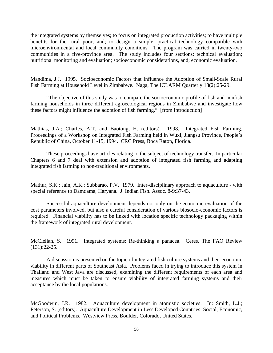the integrated systems by themselves; to focus on integrated production activities; to have multiple benefits for the rural poor, and; to design a simple, practical technology compatible with microenvironmental and local community conditions. The program was carried in twenty-two communities in a five-province area. The study includes four sections: technical evaluation; nutritional monitoring and evaluation; socioeconomic considerations, and; economic evaluation.

Mandima, J.J. 1995. Socioeconomic Factors that Influence the Adoption of Small-Scale Rural Fish Farming at Household Level in Zimbabwe. Naga, The ICLARM Quarterly 18(2):25-29.

 "The objective of this study was to compare the socioeconomic profile of fish and nonfish farming households in three different agroecological regions in Zimbabwe and investigate how these factors might influence the adoption of fish farming." [from Introduction]

Mathias, J.A.; Charles, A.T. and Baotong, H. (editors). 1998. Integrated Fish Farming. Proceedings of a Workshop on Integrated Fish Farming held in Wuxi, Jiangsu Province, People's Republic of China, October 11-15, 1994. CRC Press, Boca Raton, Florida.

 These proceedings have articles relating to the subject of technology transfer. In particular Chapters 6 and 7 deal with extension and adoption of integrated fish farming and adapting integrated fish farming to non-traditional environments.

Mathur, S.K.; Jain, A.K.; Subbarao, P.V. 1979. Inter-disciplinary approach to aquaculture - with special reference to Damdama, Haryana. J. Indian Fish. Assoc. 8-9:37-43.

 Successful aquaculture development depends not only on the economic evaluation of the cost parameters involved, but also a careful consideration of various biosocio-economic factors is required. Financial viability has to be linked with location specific technology packaging within the framework of integrated rural development.

McClellan, S. 1991. Integrated systems: Re-thinking a panacea. Ceres, The FAO Review (131):22-25.

 A discussion is presented on the topic of integrated fish culture systems and their economic viability in different parts of Southeast Asia. Problems faced in trying to introduce this system in Thailand and West Java are discussed, examining the different requirements of each area and measures which must be taken to ensure viability of integrated farming systems and their acceptance by the local populations.

McGoodwin, J.R. 1982. Aquaculture development in atomistic societies. In: Smith, L.J.; Peterson, S. (editors). Aquaculture Development in Less Developed Countries: Social, Economic, and Political Problems. Westview Press, Boulder, Colorado, United States.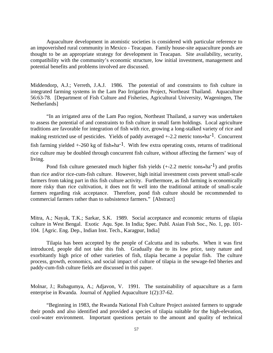Aquaculture development in atomistic societies is considered with particular reference to an impoverished rural community in Mexico - Teacapan. Family house-site aquaculture ponds are thought to be an appropriate strategy for development in Teacapan. Site availability, security, compatibility with the community's economic structure, low initial investment, management and potential benefits and problems involved are discussed.

Middendorp, A.J.; Verreth, J.A.J. 1986. The potential of and constraints to fish culture in integrated farming systems in the Lam Pao Irrigation Project, Northeast Thailand. Aquaculture 56:63-78. [Department of Fish Culture and Fisheries, Agricultural University, Wageningen, The Netherlands]

 "In an irrigated area of the Lam Pao region, Northeast Thailand, a survey was undertaken to assess the potential of and constraints to fish culture in small farm holdings. Local agriculture traditions are favorable for integration of fish with rice, growing a long-stalked variety of rice and making restricted use of pesticides. Yields of paddy averaged  $+2.2$  metric tons $*ha^{-1}$ . Concurrent fish farming yielded  $+260 \text{ kg of fish}$  fish\*ha<sup>-1</sup>. With few extra operating costs, returns of traditional rice culture may be doubled through concurrent fish culture, without affecting the farmers' way of living.

Pond fish culture generated much higher fish yields  $(+2.2 \text{ metric tons} * \text{ha}^{-1})$  and profits than rice and/or rice-cum-fish culture. However, high initial investment costs prevent small-scale farmers from taking part in this fish culture activity. Furthermore, as fish farming is economically more risky than rice cultivation, it does not fit well into the traditional attitude of small-scale farmers regarding risk acceptance. Therefore, pond fish culture should be recommended to commercial farmers rather than to subsistence farmers." [Abstract]

Mitra, A.; Nayak, T.K.; Sarkar, S.K. 1989. Social acceptance and economic returns of tilapia culture in West Bengal. Exotic Aqu. Spe. In India; Spec. Publ. Asian Fish Soc., No. 1, pp. 101- 104. [Agric. Eng. Dep., Indian Inst. Tech., Karagpur, India]

 Tilapia has been accepted by the people of Calcutta and its suburbs. When it was first introduced, people did not take this fish. Gradually due to its low price, tasty nature and exorbitantly high price of other varieties of fish, tilapia became a popular fish. The culture process, growth, economics, and social impact of culture of tilapia in the sewage-fed bheries and paddy-cum-fish culture fields are discussed in this paper.

Molnar, J.; Rubagumya, A.; Adjavon, V. 1991. The sustainability of aquaculture as a farm enterprise in Rwanda. Journal of Applied Aquaculture 1(2):37-62.

 "Beginning in 1983, the Rwanda National Fish Culture Project assisted farmers to upgrade their ponds and also identified and provided a species of tilapia suitable for the high-elevation, cool-water environment. Important questions pertain to the amount and quality of technical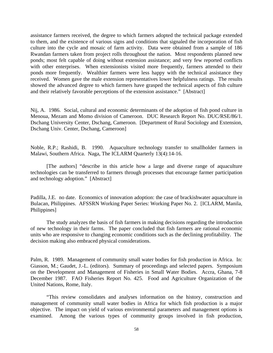assistance farmers received, the degree to which farmers adopted the technical package extended to them, and the existence of various signs and conditions that signaled the incorporation of fish culture into the cycle and mosaic of farm activity. Data were obtained from a sample of 186 Rwandan farmers taken from project rolls throughout the nation. Most respondents planned new ponds; most felt capable of doing without extension assistance; and very few reported conflicts with other enterprises. When extensionists visited more frequently, farmers attended to their ponds more frequently. Wealthier farmers were less happy with the technical assistance they received. Women gave the male extension representatives lower helpfulness ratings. The results showed the advanced degree to which farmers have grasped the technical aspects of fish culture and their relatively favorable perceptions of the extension assistance." [Abstract]

Nij, A. 1986. Social, cultural and economic determinants of the adoption of fish pond culture in Menoua, Mezam and Momo division of Cameroon. DUC Research Report No. DUC/RSE/86/1. Dschang University Center, Dschang, Cameroon. [Department of Rural Sociology and Extension, Dschang Univ. Center, Dschang, Cameroon]

Noble, R.P.; Rashidi, B. 1990. Aquaculture technology transfer to smallholder farmers in Malawi, Southern Africa. Naga, The ICLARM Quarterly 13(4):14-16.

 [The authors] "describe in this article how a large and diverse range of aquaculture technologies can be transferred to farmers through processes that encourage farmer participation and technology adoption." [Abstract]

Padilla, J.E. no date. Economics of innovation adoption: the case of brackishwater aquaculture in Bulacan, Philippines. AFSSRN Working Paper Series: Working Paper No. 2. [ICLARM, Manila, Philippines]

 The study analyzes the basis of fish farmers in making decisions regarding the introduction of new technology in their farms. The paper concluded that fish farmers are rational economic units who are responsive to changing economic conditions such as the declining profitability. The decision making also embraced physical considerations.

Palm, R. 1989. Management of community small water bodies for fish production in Africa. In: Giasson, M.; Gaudet, J.-L. (editors). Summary of proceedings and selected papers. Symposium on the Development and Management of Fisheries in Small Water Bodies. Accra, Ghana, 7-8 December 1987. FAO Fisheries Report No. 425. Food and Agriculture Organization of the United Nations, Rome, Italy.

 "This review consolidates and analyses information on the history, construction and management of community small water bodies in Africa for which fish production is a major objective. The impact on yield of various environmental parameters and management options is examined. Among the various types of community groups involved in fish production,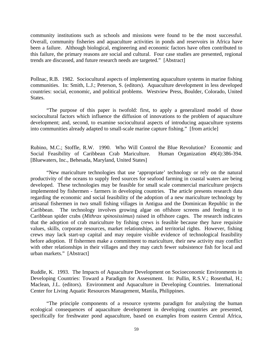community institutions such as schools and missions were found to be the most successful. Overall, community fisheries and aquaculture activities in ponds and reservoirs in Africa have been a failure. Although biological, engineering and economic factors have often contributed to this failure, the primary reasons are social and cultural. Four case studies are presented, regional trends are discussed, and future research needs are targeted." [Abstract]

Pollnac, R.B. 1982. Sociocultural aspects of implementing aquaculture systems in marine fishing communities. In: Smith, L.J.; Peterson, S. (editors). Aquaculture development in less developed countries: social, economic, and political problems. Westview Press, Boulder, Colorado, United States.

 "The purpose of this paper is twofold: first, to apply a generalized model of those sociocultural factors which influence the diffusion of innovations to the problem of aquaculture development; and, second, to examine sociocultural aspects of introducing aquaculture systems into communities already adapted to small-scale marine capture fishing." [from article]

Rubino, M.C.; Stoffle, R.W. 1990. Who Will Control the Blue Revolution? Economic and Social Feasibility of Caribbean Crab Mariculture. Human Organization 49(4):386-394. [Bluewaters, Inc., Behesada, Maryland, United States]

 "New mariculture technologies that use 'appropriate' technology or rely on the natural productivity of the oceans to supply feed sources for seafood farming in coastal waters are being developed. These technologies may be feasible for small scale commercial mariculture projects implemented by fishermen - farmers in developing countries. The article presents research data regarding the economic and social feasibility of the adoption of a new mariculture technology by artisanal fishermen in two small fishing villages in Antigua and the Dominican Republic in the Caribbean. The technology involves growing algae on offshore screens and feeding it to Caribbean spider crabs (*Mithrax spinosissimus*) raised in offshore cages. The research indicates that the adoption of crab mariculture by fishing crews is feasible because they have requisite values, skills, corporate resources, market relationships, and territorial rights. However, fishing crews may lack start-up capital and may require visible evidence of technological feasibility before adoption. If fishermen make a commitment to mariculture, their new activity may conflict with other relationships in their villages and they may catch fewer subsistence fish for local and urban markets." [Abstract]

Ruddle, K. 1993. The Impacts of Aquaculture Development on Socioeconomic Environments in Developing Countries: Toward a Paradigm for Assessment. In: Pullin, R.S.V.; Rosenthal, H.; Maclean, J.L. (editors). Environment and Aquaculture in Developing Countries. International Center for Living Aquatic Resources Management, Manila, Philippines.

 "The principle components of a resource systems paradigm for analyzing the human ecological consequences of aquaculture development in developing countries are presented, specifically for freshwater pond aquaculture, based on examples from eastern Central Africa,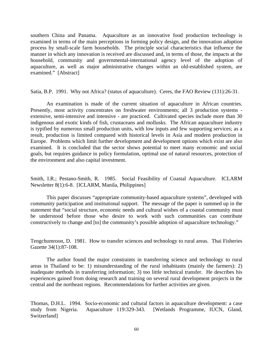southern China and Panama. Aquaculture as an innovative food production technology is examined in terms of the main perceptions in forming policy design, and the innovation adoption process by small-scale farm households. The principle social characteristics that influence the manner in which any innovation is received are discussed and, in terms of those, the impacts at the household, community and governmental-international agency level of the adoption of aquaculture, as well as major administrative changes within an old-established system, are examined." [Abstract]

Satia, B.P. 1991. Why not Africa? (status of aquaculture). Ceres, the FAO Review (131):26-31.

 An examination is made of the current situation of aquaculture in African countries. Presently, most activity concentrates on freshwater environments; all 3 production systems extensive, semi-intensive and intensive - are practiced. Cultivated species include more than 30 indigenous and exotic kinds of fish, crustaceans and mollusks. The African aquaculture industry is typified by numerous small production units, with low inputs and few supporting services; as a result, production is limited compared with historical levels in Asia and modern production in Europe. Problems which limit further development and development options which exist are also examined. It is concluded that the sector shows potential to meet many economic and social goals, but requires guidance in policy formulation, optimal use of natural resources, protection of the environment and also capital investment.

Smith, I.R.; Pestano-Smith, R. 1985. Social Feasibility of Coastal Aquaculture. ICLARM Newsletter 8(1):6-8. [ICLARM, Manila, Philippines]

 This paper discusses "appropriate community-based aquaculture systems", developed with community participation and institutional support. The message of the paper is summed up in the statement that "social structure, economic needs and cultural wishes of a coastal community must be understood before those who desire to work with such communities can contribute constructively to change and [to] the community's possible adoption of aquaculture technology."

Tengchumroon, D. 1981. How to transfer sciences and technology to rural areas. Thai Fisheries Gazette 34(1):87-108.

 The author found the major constraints in transferring science and technology to rural areas in Thailand to be: 1) misunderstanding of the rural inhabitants (mainly the farmers): 2) inadequate methods in transferring information; 3) too little technical transfer. He describes his experiences gained from doing research and training on several rural development projects in the central and the northeast regions. Recommendations for further activities are given.

Thomas, D.H.L. 1994. Socio-economic and cultural factors in aquaculture development: a case study from Nigeria. Aquaculture 119:329-343. [Wetlands Programme, IUCN, Gland, Switzerland]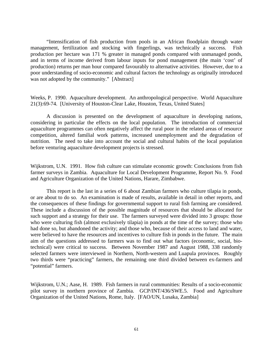"Intensification of fish production from pools in an African floodplain through water management, fertilization and stocking with fingerlings, was technically a success. Fish production per hectare was 171 % greater in managed ponds compared with unmanaged ponds, and in terms of income derived from labour inputs for pond management (the main 'cost' of production) returns per man hour compared favourably to alternative activities. However, due to a poor understanding of socio-economic and cultural factors the technology as originally introduced was not adopted by the community." [Abstract]

Weeks, P. 1990. Aquaculture development. An anthropological perspective. World Aquaculture 21(3):69-74. [University of Houston-Clear Lake, Houston, Texas, United States]

 A discussion is presented on the development of aquaculture in developing nations, considering in particular the effects on the local population. The introduction of commercial aquaculture programmes can often negatively affect the rural poor in the related areas of resource competition, altered familial work patterns, increased unemployment and the degradation of nutrition. The need to take into account the social and cultural habits of the local population before venturing aquaculture development projects is stressed.

Wijkstrom, U.N. 1991. How fish culture can stimulate economic growth: Conclusions from fish farmer surveys in Zambia. Aquaculture for Local Development Programme, Report No. 9. Food and Agriculture Organization of the United Nations, Harare, Zimbabwe.

 This report is the last in a series of 6 about Zambian farmers who culture tilapia in ponds, or are about to do so. An examination is made of results, available in detail in other reports, and the consequences of these findings for governmental support to rural fish farming are considered. These include a discussion of the possible magnitude of resources that should be allocated for such support and a strategy for their use. The farmers surveyed were divided into 3 groups: those who were culturing fish (almost exclusively tilapia) in ponds at the time of the survey; those who had done so, but abandoned the activity; and those who, because of their access to land and water, were believed to have the resources and incentives to culture fish in ponds in the future. The main aim of the questions addressed to farmers was to find out what factors (economic, social, biotechnical) were critical to success. Between November 1987 and August 1988, 338 randomly selected farmers were interviewed in Northern, North-western and Luapula provinces. Roughly two thirds were "practicing" farmers, the remaining one third divided between ex-farmers and "potential" farmers.

Wijkstrom, U.N.; Aase, H. 1989. Fish farmers in rural communities: Results of a socio-economic pilot survey in northern province of Zambia. GCP/INT/436/SWE.5. Food and Agriculture Organization of the United Nations, Rome, Italy. [FAO/UN, Lusaka, Zambia]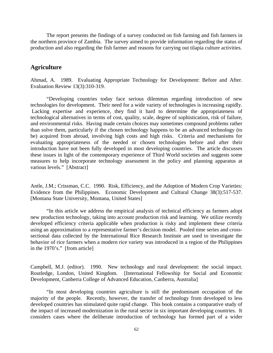The report presents the findings of a survey conducted on fish farming and fish farmers in the northern province of Zambia. The survey aimed to provide information regarding the status of production and also regarding the fish farmer and reasons for carrying out tilapia culture activities.

#### **Agriculture**

Ahmad, A. 1989. Evaluating Appropriate Technology for Development: Before and After. Evaluation Review 13(3):310-319.

 "Developing countries today face serious dilemmas regarding introduction of new technologies for development. Their need for a wide variety of technologies is increasing rapidly. Lacking expertise and experience, they find it hard to determine the appropriateness of technological alternatives in terms of cost, quality, scale, degree of sophistication, risk of failure, and environmental risks. Having made certain choices may sometimes compound problems rather than solve them, particularly if the chosen technology happens to be an advanced technology (to be) acquired from abroad, involving high costs and high risks. Criteria and mechanisms for evaluating appropriateness of the needed or chosen technologies before and after their introduction have not been fully developed in most developing countries. The article discusses these issues in light of the contemporary experience of Third World societies and suggests some measures to help incorporate technology assessment in the policy and planning apparatus at various levels." [Abstract]

Antle, J.M.; Crissman, C.C. 1990. Risk, Efficiency, and the Adoption of Modern Crop Varieties: Evidence from the Philippines. Economic Development and Cultural Change 38(3):517-537. [Montana State University, Montana, United States]

 "In this article we address the empirical analysis of technical efficiency as farmers adopt new production technology, taking into account production risk and learning. We utilize recently developed efficiency criteria applicable when production is risky and implement these criteria using an approximation to a representative farmer's decision model. Pooled time series and crosssectional data collected by the International Rice Research Institute are used to investigate the behavior of rice farmers when a modern rice variety was introduced in a region of the Philippines in the 1970's." [from article]

Campbell, M.J. (editor). 1990. New technology and rural development: the social impact. Routledge, London, United Kingdom. [International Fellowship for Social and Economic Development, Canberra College of Advanced Education, Canberra, Australia]

 "In most developing countries agriculture is still the predominant occupation of the majority of the people. Recently, however, the transfer of technology from developed to less developed countries has stimulated quite rapid change. This book contains a comparative study of the impact of increased modernization in the rural sector in six important developing countries. It considers cases where the deliberate introduction of technology has formed part of a wider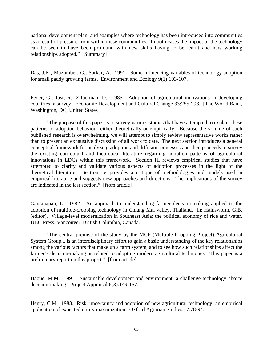national development plan, and examples where technology has been introduced into communities as a result of pressure from within these communities. In both cases the impact of the technology can be seen to have been profound with new skills having to be learnt and new working relationships adopted." [Summary]

Das, J.K.; Mazumber, G.; Sarkar, A. 1991. Some influencing variables of technology adoption for small paddy growing farms. Environment and Ecology 9(1):103-107.

Feder, G.; Just, R.; Zilberman, D. 1985. Adoption of agricultural innovations in developing countries: a survey. Economic Development and Cultural Change 33:255-298. [The World Bank, Washington, DC, United States]

 "The purpose of this paper is to survey various studies that have attempted to explain these patterns of adoption behaviour either theoretically or empirically. Because the volume of such published research is overwhelming, we will attempt to simply review representative works rather than to present an exhaustive discussion of all work to date. The next section introduces a general conceptual framework for analyzing adoption and diffusion processes and then proceeds to survey the existing conceptual and theoretical literature regarding adoption patterns of agricultural innovations in LDCs within this framework. Section III reviews empirical studies that have attempted to clarify and validate various aspects of adoption processes in the light of the theoretical literature. Section IV provides a critique of methodologies and models used in empirical literature and suggests new approaches and directions. The implications of the survey are indicated in the last section." [from article]

Ganjanapan, L. 1982. An approach to understanding farmer decision-making applied to the adoption of multiple-cropping technology in Chiang Mai valley, Thailand. In: Hainsworth, G.B. (editor). Village-level modernization in Southeast Asia: the political economy of rice and water. UBC Press, Vancouver, British Columbia, Canada.

 "The central premise of the study by the MCP (Multiple Cropping Project) Agricultural System Group... is an interdisciplinary effort to gain a basic understanding of the key relationships among the various factors that make up a farm system, and to see how such relationships affect the farmer's decision-making as related to adopting modern agricultural techniques. This paper is a preliminary report on this project." [from article]

Haque, M.M. 1991. Sustainable development and environment: a challenge technology choice decision-making. Project Appraisal 6(3):149-157.

Henry, C.M. 1988. Risk, uncertainty and adoption of new agricultural technology: an empirical application of expected utility maximization. Oxford Agrarian Studies 17:78-94.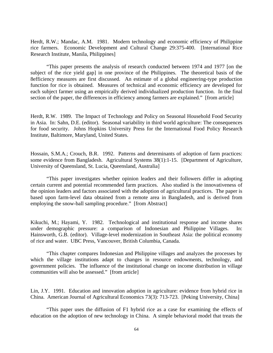Herdt, R.W.; Mandac, A.M. 1981. Modern technology and economic efficiency of Philippine rice farmers. Economic Development and Cultural Change 29:375-400. [International Rice Research Institute, Manila, Philippines]

 "This paper presents the analysis of research conducted between 1974 and 1977 [on the subject of the rice yield gap] in one province of the Philippines. The theoretical basis of the 8efficiency measures are first discussed. An estimate of a global engineering-type production function for rice is obtained. Measures of technical and economic efficiency are developed for each subject farmer using an empirically derived individualized production function. In the final section of the paper, the differences in efficiency among farmers are explained." [from article]

Herdt, R.W. 1989. The Impact of Technology and Policy on Seasonal Household Food Security in Asia. In: Sahn, D.E. (editor). Seasonal variability in third world agriculture: The consequences for food security. Johns Hopkins University Press for the International Food Policy Research Institute, Baltimore, Maryland, United States.

Hossain, S.M.A.; Crouch, B.R. 1992. Patterns and determinants of adoption of farm practices: some evidence from Bangladesh. Agricultural Systems 38(1):1-15. [Department of Agriculture, University of Queensland, St. Lucia, Queensland, Australia]

 "This paper investigates whether opinion leaders and their followers differ in adopting certain current and potential recommended farm practices. Also studied is the innovativeness of the opinion leaders and factors associated with the adoption of agricultural practices. The paper is based upon farm-level data obtained from a remote area in Bangladesh, and is derived from employing the snow-ball sampling procedure." [from Abstract]

Kikuchi, M.; Hayami, Y. 1982. Technological and institutional response and income shares under demographic pressure: a comparison of Indonesian and Philippine Villages. In: Hainsworth, G.B. (editor). Village-level modernization in Southeast Asia: the political economy of rice and water. UBC Press, Vancouver, British Columbia, Canada.

 "This chapter compares Indonesian and Philippine villages and analyzes the processes by which the village institutions adapt to changes in resource endowments, technology, and government policies. The influence of the institutional change on income distribution in village communities will also be assessed." [from article]

Lin, J.Y. 1991. Education and innovation adoption in agriculture: evidence from hybrid rice in China. American Journal of Agricultural Economics 73(3): 713-723. [Peking University, China]

 "This paper uses the diffusion of F1 hybrid rice as a case for examining the effects of education on the adoption of new technology in China. A simple behavioral model that treats the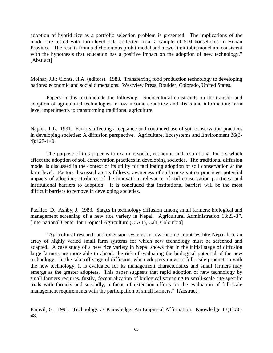adoption of hybrid rice as a portfolio selection problem is presented. The implications of the model are tested with farm-level data collected from a sample of 500 households in Hunan Province. The results from a dichotomous probit model and a two-limit tobit model are consistent with the hypothesis that education has a positive impact on the adoption of new technology." [Abstract]

Molnar, J.J.; Clonts, H.A. (editors). 1983. Transferring food production technology to developing nations: economic and social dimensions. Westview Press, Boulder, Colorado, United States.

 Papers in this text include the following: Sociocultural constraints on the transfer and adoption of agricultural technologies in low income countries; and Risks and information: farm level impediments to transforming traditional agriculture.

Napier, T.L. 1991. Factors affecting acceptance and continued use of soil conservation practices in developing societies: A diffusion perspective. Agriculture, Ecosystems and Environment 36(3- 4):127-140.

 The purpose of this paper is to examine social, economic and institutional factors which affect the adoption of soil conservation practices in developing societies. The traditional diffusion model is discussed in the context of its utility for facilitating adoption of soil conservation at the farm level. Factors discussed are as follows: awareness of soil conservation practices; potential impacts of adoption; attributes of the innovation; relevance of soil conservation practices; and institutional barriers to adoption. It is concluded that institutional barriers will be the most difficult barriers to remove in developing societies.

Pachico, D.; Ashby, J. 1983. Stages in technology diffusion among small farmers: biological and management screening of a new rice variety in Nepal. Agricultural Administration 13:23-37. [International Center for Tropical Agriculture (CIAT), Cali, Colombia]

 "Agricultural research and extension systems in low-income countries like Nepal face an array of highly varied small farm systems for which new technology must be screened and adapted. A case study of a new rice variety in Nepal shows that in the initial stage of diffusion large farmers are more able to absorb the risk of evaluating the biological potential of the new technology. In the take-off stage of diffusion, when adopters move to full-scale production with the new technology, it is evaluated for its management characteristics and small farmers may emerge as the greater adopters. This paper suggests that rapid adoption of new technology by small farmers requires, firstly, decentralization of biological screening to small-scale site-specific trials with farmers and secondly, a focus of extension efforts on the evaluation of full-scale management requirements with the participation of small farmers." [Abstract]

Parayil, G. 1991. Technology as Knowledge: An Empirical Affirmation. Knowledge 13(1):36- 48.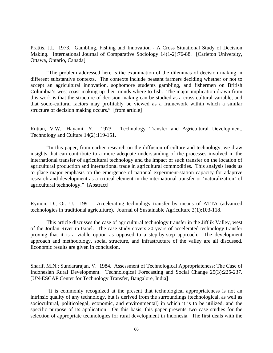Prattis, J.I. 1973. Gambling, Fishing and Innovation - A Cross Situational Study of Decision Making. International Journal of Comparative Sociology 14(1-2):76-88. [Carleton University, Ottawa, Ontario, Canada]

 "The problem addressed here is the examination of the dilemmas of decision making in different substantive contexts. The contexts include peasant farmers deciding whether or not to accept an agricultural innovation, sophomore students gambling, and fishermen on British Columbia's west coast making up their minds where to fish. The major implication drawn from this work is that the structure of decision making can be studied as a cross-cultural variable, and that socio-cultural factors may profitably be viewed as a framework within which a similar structure of decision making occurs." [from article]

Ruttan, V.W.; Hayami, Y. 1973. Technology Transfer and Agricultural Development. Technology and Culture 14(2):119-151.

 "In this paper, from earlier research on the diffusion of culture and technology, we draw insights that can contribute to a more adequate understanding of the processes involved in the international transfer of agricultural technology and the impact of such transfer on the location of agricultural production and international trade in agricultural commodities. This analysis leads us to place major emphasis on the emergence of national experiment-station capacity for adaptive research and development as a critical element in the international transfer or 'naturalization' of agricultural technology." [Abstract]

Rymon, D.; Or, U. 1991. Accelerating technology transfer by means of ATTA (advanced technologies in traditional agriculture). Journal of Sustainable Agriculture 2(1):103-118.

 This article discusses the case of agricultural technology transfer in the Jiftlik Valley, west of the Jordan River in Israel. The case study covers 20 years of accelerated technology transfer proving that it is a viable option as opposed to a step-by-step approach. The development approach and methodology, social structure, and infrastructure of the valley are all discussed. Economic results are given in conclusion.

Sharif, M.N.; Sundararajan, V. 1984. Assessment of Technological Appropriateness: The Case of Indonesian Rural Development. Technological Forecasting and Social Change 25(3):225-237. [UN-ESCAP Center for Technology Transfer, Bangalore, India]

 "It is commonly recognized at the present that technological appropriateness is not an intrinsic quality of any technology, but is derived from the surroundings (technological, as well as sociocultural, politicolegal, economic, and environmental) in which it is to be utilized, and the specific purpose of its application. On this basis, this paper presents two case studies for the selection of appropriate technologies for rural development in Indonesia. The first deals with the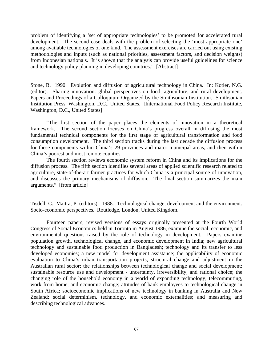problem of identifying a 'set of appropriate technologies' to be promoted for accelerated rural development. The second case deals with the problem of selecting the 'most appropriate one' among available technologies of one kind. The assessment exercises are carried out using existing methodologies and inputs (such as national priorities, assessment factors, and decision weights) from Indonesian nationals. It is shown that the analysis can provide useful guidelines for science and technology policy planning in developing countries." [Abstract]

Stone, B. 1990. Evolution and diffusion of agricultural technology in China. In: Kotler, N.G. (editor). Sharing innovation: global perspectives on food, agriculture, and rural development. Papers and Proceedings of a Colloquium Organized by the Smithsonian Institution. Smithsonian Institution Press, Washington, D.C., United States. [International Food Policy Research Institute, Washington, D.C., United States]

 "The first section of the paper places the elements of innovation in a theoretical framework. The second section focuses on China's progress overall in diffusing the most fundamental technical components for the first stage of agricultural transformation and food consumption development. The third section tracks during the last decade the diffusion process for these components within China's 29 provinces and major municipal areas, and then within China's poorest and most remote counties.

 The fourth section reviews economic system reform in China and its implications for the diffusion process. The fifth section identifies several areas of applied scientific research related to agriculture, state-of-the-art farmer practices for which China is a principal source of innovation, and discusses the primary mechanisms of diffusion. The final section summarizes the main arguments." [from article]

Tisdell, C.; Maitra, P. (editors). 1988. Technological change, development and the environment: Socio-economic perspectives. Routledge, London, United Kingdom.

 Fourteen papers, revised versions of essays originally presented at the Fourth World Congress of Social Economics held in Toronto in August 1986, examine the social, economic, and environmental questions raised by the role of technology in development. Papers examine population growth, technological change, and economic development in India; new agricultural technology and sustainable food production in Bangladesh; technology and its transfer to less developed economies; a new model for development assistance; the applicability of economic evaluation to China's urban transportation projects; structural change and adjustment in the Australian rural sector; the relationships between technological change and social development; sustainable resource use and development - uncertainty, irreversibility, and rational choice; the changing role of the household economy in a world of expanding technology; telecommuting, work from home, and economic change; attitudes of bank employees to technological change in South Africa; socioeconomic implications of new technology in banking in Australia and New Zealand; social determinism, technology, and economic externalities; and measuring and describing technological advances.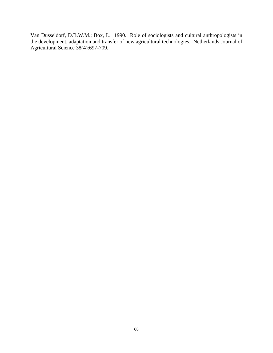Van Dusseldorf, D.B.W.M.; Box, L. 1990. Role of sociologists and cultural anthropologists in the development, adaptation and transfer of new agricultural technologies. Netherlands Journal of Agricultural Science 38(4):697-709.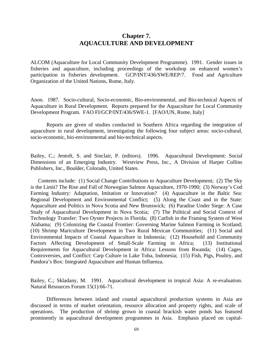# **Chapter 7. AQUACULTURE AND DEVELOPMENT**

ALCOM (Aquaculture for Local Community Development Programme). 1991. Gender issues in fisheries and aquaculture, including proceedings of the workshop on enhanced women's participation in fisheries development. GCP/INT/436/SWE/REP/7. Food and Agriculture Organization of the United Nations, Rome, Italy.

Anon. 1987. Socio-cultural, Socio-economic, Bio-environmental, and Bio-technical Aspects of Aquaculture in Rural Development. Reports prepared for the Aquaculture for Local Community Development Program. FAO FI/GCP/INT/436/SWE-1. [FAO/UN, Rome, Italy]

 Reports are given of studies conducted in Southern Africa regarding the integration of aquaculture in rural development, investigating the following four subject areas: socio-cultural, socio-economic, bio-environmental and bio-technical aspects.

Bailey, C.; Jentoft, S. and Sinclair, P. (editors). 1996. Aquacultural Development: Social Dimensions of an Emerging Industry. Westview Press, Inc., A Division of Harper Collins Publishers, Inc., Boulder, Colorado, United States.

 Contents include: (1) Social Change Contributions to Aquaculture Development; (2) The Sky is the Limit? The Rise and Fall of Norwegian Salmon Aquaculture, 1970-1990; (3) Norway's Cod Farming Industry: Adaptation, Imitation or Innovation? (4) Aquaculture in the Baltic Sea: Regional Development and Environmental Conflict; (5) Along the Coast and in the State: Aquaculture and Politics in Nova Scotia and New Brunswick; (6) Paradise Under Siege: A Case Study of Aquacultural Development in Nova Scotia; (7) The Political and Social Context of Technology Transfer: Two Oyster Projects in Florida; (8) Catfish in the Framing System of West Alabama; (9) Colonizing the Coastal Frontier: Governing Marine Salmon Farming in Scotland; (10) Shrimp Mariculture Development in Two Rural Mexican Communities; (11) Social and Environmental Impacts of Coastal Aquaculture in Indonesia; (12) Household and Community Factors Affecting Development of Small-Scale Farming in Africa; (13) Institutional Requirements for Aquacultural Development in Africa: Lessons from Rwanda; (14) Cages, Controversies, and Conflict: Carp Culture in Lake Toba, Indonesia; (15) Fish, Pigs, Poultry, and Pandora's Box: Integrated Aquaculture and Human Influenza.

Bailey, C.; Skladany, M. 1991. Aquacultural development in tropical Asia: A re-evaluation. Natural Resources Forum 15(1):66-71.

 Differences between inland and coastal aquacultural production systems in Asia are discussed in terms of market orientation, resource allocation and property rights, and scale of operations. The production of shrimp grown in coastal brackish water ponds has featured prominently in aquacultural development programmes in Asia. Emphasis placed on capital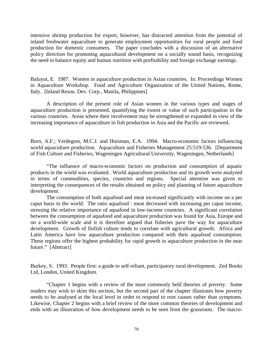intensive shrimp production for export, however, has distracted attention from the potential of inland freshwater aquaculture to generate employment opportunities for rural people and food production for domestic consumers. The paper concludes with a discussion of an alternative policy direction for promoting aquacultural development on a socially sound basis, recognizing the need to balance equity and human nutrition with profitability and foreign exchange earnings.

Baluyut, E. 1987. Women in aquaculture production in Asian countries. In: Proceedings Women in Aquaculture Workshop. Food and Agriculture Organization of the United Nations, Rome, Italy. [Inland Resou. Dev. Corp., Manila, Philippines]

 A description of the present role of Asian women in the various types and stages of aquaculture production is presented, quantifying the extent or value of such participation in the various countries. Areas where their involvement may be strengthened or expanded in view of the increasing importance of aquaculture in fish production in Asia and the Pacific are reviewed.

Born, A.F.; Verdegem, M.C.J. and Huisman, E.A. 1994. Macro-economic factors influencing world aquaculture production. Aquaculture and Fisheries Management 25:519-536. [Department of Fish Culture and Fisheries, Wageningen Agricultural University, Wageningen, Netherlands]

 "The influence of macro-economic factors on production and consumption of aquatic products in the world was evaluated. World aquaculture production and its growth were analyzed in terms of commodities, species, countries and regions. Special attention was given to interpreting the consequences of the results obtained on policy and planning of future aquaculture development.

 The consumption of both aquafood and meat increased significantly with income on a per caput basis in the world. The ratio aquafood : meat decreased with increasing per caput income, stressing the relative importance of aquafood in low-income countries. A significant correlation between the consumption of aquafood and aquaculture production was found for Asia, Europe and on a world-wide scale and it is therefore argued that fisheries pave the way for aquaculture development. Growth of finfish culture tends to correlate with agricultural growth. Africa and Latin America have low aquaculture production compared with their aquafood consumption. These regions offer the highest probability for rapid growth in aquaculture production in the near future." [Abstract]

Burkey, S. 1993. People first: a guide to self-reliant, participatory rural development. Zed Books Ltd, London, United Kingdom.

 "Chapter 1 begins with a review of the most commonly held theories of poverty. Some readers may wish to skim this section, but the second part of the chapter illustrates how poverty needs to be analysed at the local level in order to respond to root causes rather than symptoms. Likewise, Chapter 2 begins with a brief review of the more common theories of development and ends with an illustration of how development needs to be seen from the grassroots. The macro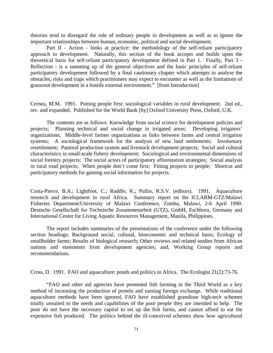theories tend to disregard the role of ordinary people in development as well as to ignore the important relationships between human, economic, political and social development.

 Part II - Action - looks at practice: the methodology of the self-reliant participatory approach to development. Naturally, this section of the book accepts and builds upon the theoretical basis for self-reliant participatory development defined in Part 1. Finally, Part 3 - Reflection - is a summing up of the general objectives and the basic principles of self-reliant participatory development followed by a final cautionary chapter which attempts to analyse the obstacles, risks and traps which practitioners may expect to encounter as well as the limitations of grassroot development in a hostile external environment." [from Introduction]

Cernea, M.M. 1991. Putting people first: sociological variables in rural development. 2nd ed., rev. and expanded. Published for the World Bank [by] Oxford University Press, Oxford, U.K.

 The contents are as follows: Knowledge from social science for development policies and projects; Planning technical and social change in irrigated areas; Developing irrigators' organizations; Middle-level farmer organizations as links between farms and central irrigation systems; A sociological framework for the analysis of new land settlements; Involuntary resettlement; Pastoral production system and livestock development projects; Social and cultural characteristics in small-scale fishery development; Sociological and environmental dimensions of social forestry projects; The social actors of participatory afforestation strategies; Social analysis in rural road projects; When people don't come first; Fitting projects to people; Shortcut and participatory methods for gaining social information for projects.

Costa-Pierce, B.A.; Lightfoot, C.; Ruddle, K.; Pullin, R.S.V. (editors). 1991. Aquaculture research and development in rural Africa. Summary report on the ICLARM-GTZ/Malawi Fisheries Department/University of Malawi Conference, Zomba, Malawi, 2-6 April 1990. Deutsche Gesellschaft fur Technische Zusammenarbeit (GTZ), GmbH, Eschborn, Germany and International Center for Living Aquatic Resources Management, Manila, Philippines.

 The report includes summaries of the presentations of the conference under the following section headings: Background social, cultural, bioeconomic and technical basis; Ecology of smallholder farms; Results of biological research; Other reviews and related studies from African nations and statements from development agencies; and, Working Group reports and recommendations.

Cross, D. 1991. FAO and aquaculture: ponds and politics in Africa. The Ecologist 21(2):73-76.

 "FAO and other aid agencies have promoted fish farming in the Third World as a key method of increasing the production of protein and earning foreign exchange. While traditional aquaculture methods have been ignored, FAO have established grandiose high-tech schemes totally unsuited to the needs and capabilities of the poor people they are intended to help. The poor do not have the necessary capital to set up the fish farms, and cannot afford to eat the expensive fish produced. The politics behind the ill-conceived schemes show how agricultural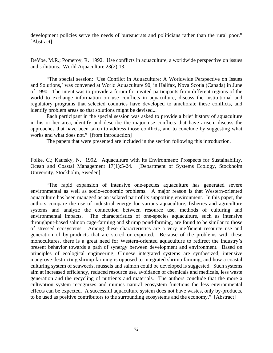development policies serve the needs of bureaucrats and politicians rather than the rural poor." [Abstract]

DeVoe, M.R.; Pomeroy, R. 1992. Use conflicts in aquaculture, a worldwide perspective on issues and solutions. World Aquaculture 23(2):13.

 "The special session: 'Use Conflict in Aquaculture: A Worldwide Perspective on Issues and Solutions,' was convened at World Aquaculture 90, in Halifax, Nova Scotia (Canada) in June of 1990. The intent was to provide a forum for invited participants from different regions of the world to exchange information on use conflicts in aquaculture, discuss the institutional and regulatory programs that selected countries have developed to ameliorate these conflicts, and identify problem areas so that solutions might be devised...

 Each participant in the special session was asked to provide a brief history of aquaculture in his or her area, identify and describe the major use conflicts that have arisen, discuss the approaches that have been taken to address those conflicts, and to conclude by suggesting what works and what does not." [from Introduction]

The papers that were presented are included in the section following this introduction.

Folke, C.; Kautsky, N. 1992. Aquaculture with its Environment: Prospects for Sustainability. Ocean and Coastal Management 17(1):5-24. [Department of Systems Ecology, Stockholm University, Stockholm, Sweden]

 "The rapid expansion of intensive one-species aquaculture has generated severe environmental as well as socio-economic problems. A major reason is that Western-oriented aquaculture has been managed as an isolated part of its supporting environment. In this paper, the authors compare the use of industrial energy for various aquaculture, fisheries and agriculture systems and analyze the connection between resource use, methods of culturing and environmental impacts. The characteristics of one-species aquaculture, such as intensive throughput-based salmon cage-farming and shrimp pond-farming, are found to be similar to those of stressed ecosystems. Among these characteristics are a very inefficient resource use and generation of by-products that are stored or exported. Because of the problems with these monocultures, there is a great need for Western-oriented aquaculture to redirect the industry's present behavior towards a path of synergy between development and environment. Based on principles of ecological engineering, Chinese integrated systems are synthesized, intensive mangrove-destructing shrimp farming is opposed to integrated shrimp farming, and how a coastal culturing system of seaweeds, mussels and salmon could be developed is suggested. Such systems aim at increased efficiency, reduced resource use, avoidance of chemicals and medicals, less waste generation and the recycling of nutrients and materials. The authors conclude that the more a cultivation system recognizes and mimics natural ecosystem functions the less environmental effects can be expected. A successful aquaculture system does not have wastes, only by-products, to be used as positive contributors to the surrounding ecosystems and the economy." [Abstract]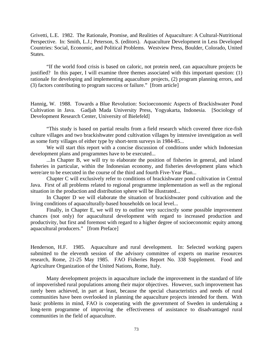Grivetti, L.E. 1982. The Rationale, Promise, and Realities of Aquaculture: A Cultural-Nutritional Perspective. In: Smith, L.J.; Peterson, S. (editors). Aquaculture Development in Less Developed Countries: Social, Economic, and Political Problems. Westview Press, Boulder, Colorado, United States.

 "If the world food crisis is based on caloric, not protein need, can aquaculture projects be justified? In this paper, I will examine three themes associated with this important question: (1) rationale for developing and implementing aquaculture projects, (2) program planning errors, and (3) factors contributing to program success or failure." [from article]

Hannig, W. 1988. Towards a Blue Revolution: Socioeconomic Aspects of Brackishwater Pond Cultivation in Java. Gadjah Mada University Press, Yogyakarta, Indonesia. [Sociology of Development Research Center, University of Bielefeld]

 "This study is based on partial results from a field research which covered three rice-fish culture villages and two brackishwater pond cultivation villages by intensive investigation as well as some forty villages of either type by short-term surveys in 1984-85...

 We will start this report with a concise discussion of conditions under which Indonesian development plans and programmes have to be executed...

 ...In Chapter B, we will try to elaborate the position of fisheries in general, and inland fisheries in particular, within the Indonesian economy, and fisheries development plans which were/are to be executed in the course of the third and fourth Five-Year Plan...

 Chapter C will exclusively refer to conditions of brackishwater pond cultivation in Central Java. First of all problems related to regional programme implementation as well as the regional situation in the production and distribution sphere will be illustrated...

 In Chapter D we will elaborate the situation of brackishwater pond cultivation and the living conditions of aquaculturally-based households on local level...

 Finally, in Chapter E, we will try to outline very succinctly some possible improvement chances (not only) for aquacultural development with regard to increased production and productivity, but first and foremost with regard to a higher degree of socioeconomic equity among aquacultural producers." [from Preface]

Henderson, H.F. 1985. Aquaculture and rural development. In: Selected working papers submitted to the eleventh session of the advisory committee of experts on marine resources research, Rome, 21-25 May 1985. FAO Fisheries Report No. 338 Supplement. Food and Agriculture Organization of the United Nations, Rome, Italy.

 Many development projects in aquaculture include the improvement in the standard of life of impoverished rural populations among their major objectives. However, such improvement has rarely been achieved, in part at least, because the special characteristics and needs of rural communities have been overlooked in planning the aquaculture projects intended for them. With basic problems in mind, FAO is cooperating with the government of Sweden in undertaking a long-term programme of improving the effectiveness of assistance to disadvantaged rural communities in the field of aquaculture.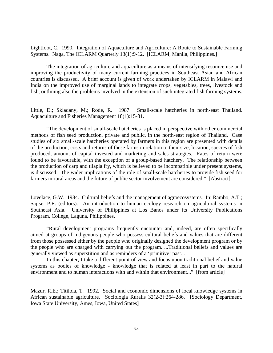Lightfoot, C. 1990. Integration of Aquaculture and Agriculture: A Route to Sustainable Farming Systems. Naga, The ICLARM Quarterly 13(1):9-12. [ICLARM, Manila, Philippines.]

 The integration of agriculture and aquaculture as a means of intensifying resource use and improving the productivity of many current farming practices in Southeast Asian and African countries is discussed. A brief account is given of work undertaken by ICLARM in Malawi and India on the improved use of marginal lands to integrate crops, vegetables, trees, livestock and fish, outlining also the problems involved in the extension of such integrated fish farming systems.

Little, D.; Skladany, M.; Rode, R. 1987. Small-scale hatcheries in north-east Thailand. Aquaculture and Fisheries Management 18(1):15-31.

 "The development of small-scale hatcheries is placed in perspective with other commercial methods of fish seed production, private and public, in the north-east region of Thailand. Case studies of six small-scale hatcheries operated by farmers in this region are presented with details of the production, costs and returns of these farms in relation to their size, location, species of fish produced, amount of capital invested and marketing and sales strategies. Rates of return were found to be favourable, with the exception of a group-based hatchery. The relationship between the production of carp and tilapia fry, which is believed to be incompatible under present systems, is discussed. The wider implications of the role of small-scale hatcheries to provide fish seed for farmers in rural areas and the future of public sector involvement are considered." [Abstract]

Lovelace, G.W. 1984. Cultural beliefs and the management of agroecosystems. In: Rambo, A.T.; Sajise, P.E. (editors). An introduction to human ecology research on agricultural systems in Southeast Asia. University of Philippines at Los Banos under its University Publications Program, College, Laguna, Philippines.

 "Rural development programs frequently encounter and, indeed, are often specifically aimed at groups of indigenous people who possess cultural beliefs and values that are different from those possessed either by the people who originally designed the development program or by the people who are charged with carrying out the program. ...Traditional beliefs and values are generally viewed as superstition and as reminders of a 'primitive' past...

 In this chapter, I take a different point of view and focus upon traditional belief and value systems as bodies of knowledge - knowledge that is related at least in part to the natural environment and to human interactions with and within that environment..." [from article]

Mazur, R.E.; Titilola, T. 1992. Social and economic dimensions of local knowledge systems in African sustainable agriculture. Sociologia Ruralis 32(2-3):264-286. [Sociology Department, Iowa State University, Ames, Iowa, United States]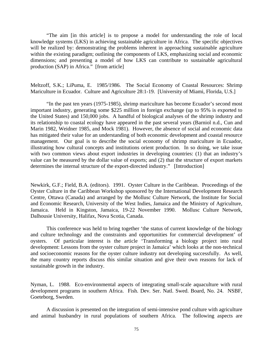"The aim [in this article] is to propose a model for understanding the role of local knowledge systems (LKS) in achieving sustainable agriculture in Africa. The specific objectives will be realized by: demonstrating the problems inherent in approaching sustainable agriculture within the existing paradigm; outlining the components of LKS, emphasizing social and economic dimensions; and presenting a model of how LKS can contribute to sustainable agricultural production (SAP) in Africa." [from article]

Meltzoff, S.K.; LiPuma, E. 1985/1986. The Social Economy of Coastal Resources: Shrimp Mariculture in Ecuador. Culture and Agriculture 28:1-19. [University of Miami, Florida, U.S.]

 "In the past ten years (1975-1985), shrimp mariculture has become Ecuador's second most important industry, generating some \$225 million in foreign exchange (up to 95% is exported to the United States) and 150,000 jobs. A handful of biological analyses of the shrimp industry and its relationship to coastal ecology have appeared in the past several years (Barniol n.d., Cun and Marin 1982, Weidner 1985, and Mock 1981). However, the absence of social and economic data has mitigated their value for an understanding of both economic development and coastal resource management. Our goal is to describe the social economy of shrimp mariculture in Ecuador, illustrating how cultural concepts and institutions orient production. In so doing, we take issue with two common views about export industries in developing countries: (1) that an industry's value can be measured by the dollar value of exports; and (2) that the structure of export markets determines the internal structure of the export-directed industry." [Introduction]

Newkirk, G.F.; Field, B.A. (editors). 1991. Oyster Culture in the Caribbean. Proceedings of the Oyster Culture in the Caribbean Workshop sponsored by the International Development Research Centre, Ottawa (Canada) and arranged by the Mollusc Culture Network, the Institute for Social and Economic Research, University of the West Indies, Jamaica and the Ministry of Agriculture, Jamaica. Held in Kingston, Jamaica, 19-22 November 1990. Mollusc Culture Network, Dalhousie University, Halifax, Nova Scotia, Canada.

 This conference was held to bring together 'the status of current knowledge of the biology and culture technology and the constraints and opportunities for commercial development' of oysters. Of particular interest is the article 'Transforming a biology project into rural development: Lessons from the oyster culture project in Jamaica' which looks at the non-technical and socioeconomic reasons for the oyster culture industry not developing successfully. As well, the many country reports discuss this similar situation and give their own reasons for lack of sustainable growth in the industry.

Nyman, L. 1988. Eco-environmental aspects of integrating small-scale aquaculture with rural development programs in southern Africa. Fish. Dev. Ser. Natl. Swed. Board, No. 24. NSBF, Goeteborg, Sweden.

 A discussion is presented on the integration of semi-intensive pond culture with agriculture and animal husbandry in rural populations of southern Africa. The following aspects are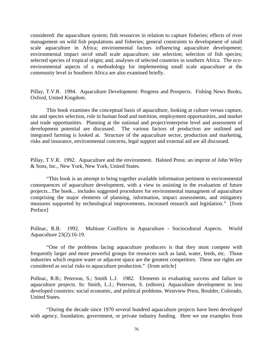considered: the aquaculture system; fish resources in relation to capture fisheries; effects of river management on wild fish populations and fisheries; general constraints to development of small scale aquaculture in Africa; environmental factors influencing aquaculture development; environmental impact on/of small scale aquaculture; site selection; selection of fish species; selected species of tropical origin; and, analyses of selected countries in southern Africa. The ecoenvironmental aspects of a methodology for implementing small scale aquaculture at the community level in Southern Africa are also examined briefly.

Pillay, T.V.R. 1994. Aquaculture Development: Progress and Prospects. Fishing News Books, Oxford, United Kingdom.

 This book examines the conceptual basis of aquaculture, looking at culture versus capture, site and species selection, role in human food and nutrition, employment opportunities, and market and trade opportunities. Planning at the national and project/enterprise level and assessment of development potential are discussed. The various factors of production are outlined and integrated farming is looked at. Structure of the aquaculture sector, production and marketing, risks and insurance, environmental concerns, legal support and external aid are all discussed.

Pillay, T.V.R. 1992. Aquaculture and the environment. Halsted Press: an imprint of John Wiley & Sons, Inc., New York, New York, United States.

 "This book is an attempt to bring together available information pertinent to environmental consequences of aquaculture development, with a view to assisting in the evaluation of future projects...The book... includes suggested procedures for environmental managment of aquaculture comprising the major elements of planning, information, impact assessments, and mitigatory measures supported by technological improvements, increased research and legislation." [from Preface]

Pollnac, R.B. 1992. Multiuse Conflicts in Aquaculture - Sociocultural Aspects. World Aquaculture 23(2):16-19.

 "One of the problems facing aquaculture producers is that they must compete with frequently larger and more powerful groups for resources such as land, water, feeds, etc. Those industries which require water or adjacent space are the greatest competitors. These use rights are considered as social risks to aquaculture production." [from article]

Pollnac, R.B.; Peterson, S.; Smith L.J. 1982. Elements in evaluating success and failure in aquaculture projects. In: Smith, L.J.; Peterson, S. (editors). Aquaculture development in less developed countries: social economic, and political problems. Westview Press, Boulder, Colorado, United States.

 "During the decade since 1970 several hundred aquaculture projects have been developed with agency, foundation, government, or private industry funding. Here we use examples from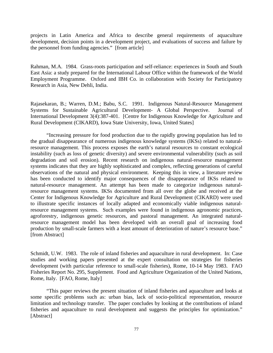projects in Latin America and Africa to describe general requirements of aquaculture development, decision points in a development project, and evaluations of success and failure by the personnel from funding agencies." [from article]

Rahman, M.A. 1984. Grass-roots participation and self-reliance: experiences in South and South East Asia: a study prepared for the International Labour Office within the framework of the World Employment Programme. Oxford and IBH Co. in collaboration with Society for Participatory Research in Asia, New Dehli, India.

Rajasekaran, B.; Warren, D.M.; Babu, S.C. 1991. Indigenous Natural-Resource Management Systems for Sustainable Agricultural Development- A Global Perspective. Journal of International Development 3(4):387-401. [Centre for Indigenous Knowledge for Agriculture and Rural Development (CIKARD), Iowa State University, Iowa, United States]

 "Increasing pressure for food production due to the rapidly growing population has led to the gradual disappearance of numerous indigenous knowledge systems (IKSs) related to naturalresource management. This process exposes the earth's natural resources to constant ecological instability (such as loss of genetic diversity) and severe environmental vulnerability (such as soil degradation and soil erosion). Recent research on indigenous natural-resource management systems indicates that they are highly sophisticated and complex, reflecting generations of careful observations of the natural and physical environment. Keeping this in view, a literature review has been conducted to identify major consequences of the disappearance of IKSs related to natural-resource management. An attempt has been made to categorize indigenous naturalresource management systems. IKSs documented from all over the globe and received at the Center for Indigenous Knowledge for Agriculture and Rural Development (CIKARD) were used to illustrate specific instances of locally adapted and economically viable indigenous naturalresource management systems. Such examples were found in indigenous agronomic practices, agroforestry, indigenous genetic resources, and pastoral management. An integrated naturalresource management model has been developed with an overall goal of increasing food production by small-scale farmers with a least amount of deterioration of nature's resource base." [from Abstract]

Schmidt, U.W. 1983. The role of inland fisheries and aquaculture in rural development. In: Case studies and working papers presented at the expert consultation on strategies for fisheries development (with particular reference to small-scale fisheries), Rome, 10-14 May 1983. FAO Fisheries Report No. 295, Supplement. Food and Agriculture Organization of the United Nations, Rome, Italy. [FAO, Rome, Italy]

 "This paper reviews the present situation of inland fisheries and aquaculture and looks at some specific problems such as: urban bias, lack of socio-political representation, resource limitation and technology transfer. The paper concludes by looking at the contributions of inland fisheries and aquaculture to rural development and suggests the principles for optimization." [Abstract]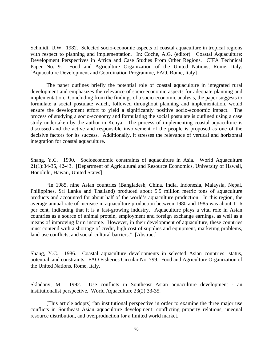Schmidt, U.W. 1982. Selected socio-economic aspects of coastal aquaculture in tropical regions with respect to planning and implementation. In: Coche, A.G. (editor). Coastal Aquaculture: Development Perspectives in Africa and Case Studies From Other Regions. CIFA Technical Paper No. 9. Food and Agriculture Organization of the United Nations, Rome, Italy. [Aquaculture Development and Coordination Programme, FAO, Rome, Italy]

 The paper outlines briefly the potential role of coastal aquaculture in integrated rural development and emphasizes the relevance of socio-economic aspects for adequate planning and implementation. Concluding from the findings of a socio-economic analysis, the paper suggests to formulate a social postulate which, followed throughout planning and implementation, would ensure the development effort to yield a significantly positive socio-economic impact. The process of studying a socio-economy and formulating the social postulate is outlined using a case study undertaken by the author in Kenya. The process of implementing coastal aquaculture is discussed and the active and responsible involvement of the people is proposed as one of the decisive factors for its success. Additionally, it stresses the relevance of vertical and horizontal integration for coastal aquaculture.

Shang, Y.C. 1990. Socioeconomic constraints of aquaculture in Asia. World Aquaculture 21(1):34-35, 42-43. [Department of Agricultural and Resource Economics, University of Hawaii, Honolulu, Hawaii, United States]

 "In 1985, nine Asian countries (Bangladesh, China, India, Indonesia, Malaysia, Nepal, Philippines, Sri Lanka and Thailand) produced about 5.5 million metric tons of aquaculture products and accounted for about half of the world's aquaculture production. In this region, the average annual rate of increase in aquaculture production between 1980 and 1985 was about 11.6 per cent, indicating that it is a fast-growing industry. Aquaculture plays a vital role in Asian countries as a source of animal protein, employment and foreign exchange earnings, as well as a means of improving farm income. However, in their development of aquaculture, these countries must contend with a shortage of credit, high cost of supplies and equipment, marketing problems, land-use conflicts, and social-cultural barriers." [Abstract]

Shang, Y.C. 1986. Coastal aquaculture developments in selected Asian countries: status, potential, and constraints. FAO Fisheries Circular No. 799. Food and Agriculture Organization of the United Nations, Rome, Italy.

Skladany, M. 1992. Use conflicts in Southeast Asian aquaculture development - an institutionalist perspective. World Aquaculture 23(2):33-35.

 [This article adopts] "an institutional perspective in order to examine the three major use conflicts in Southeast Asian aquaculture development: conflicting property relations, unequal resource distribution, and overproduction for a limited world market.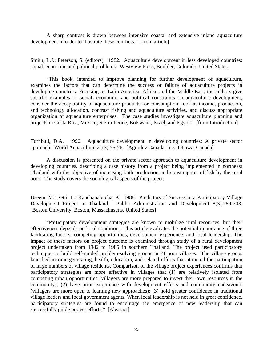A sharp contrast is drawn between intensive coastal and extensive inland aquaculture development in order to illustrate these conflicts." [from article]

Smith, L.J.; Peterson, S. (editors). 1982. Aquaculture development in less developed countries: social, economic and political problems. Westview Press, Boulder, Colorado, United States.

 "This book, intended to improve planning for further development of aquaculture, examines the factors that can determine the success or failure of aquaculture projects in developing countries. Focusing on Latin America, Africa, and the Middle East, the authors give specific examples of social, economic, and political constraints on aquaculture development, consider the acceptability of aquaculture products for consumption, look at income, production, and technology allocation, contrast fishing and aquaculture activities, and discuss appropriate organization of aquaculture enterprises. The case studies investigate aquaculture planning and projects in Costa Rica, Mexico, Sierra Leone, Botswana, Israel, and Egypt." [from Introduction]

Turnbull, D.A. 1990. Aquaculture development in developing countries: A private sector approach. World Aquaculture 21(3):75-76. [Agrodev Canada, Inc., Ottawa, Canada]

 A discussion is presented on the private sector approach to aquaculture development in developing countries, describing a case history from a project being implemented in northeast Thailand with the objective of increasing both production and consumption of fish by the rural poor. The study covers the sociological aspects of the project.

Useem, M.; Setti, L.; Kanchanabucha, K. 1988. Predictors of Success in a Participatory Village Development Project in Thailand. Public Administration and Development 8(3):289-303. [Boston University, Boston, Massachusetts, United States]

 "Participatory development strategies are known to mobilize rural resources, but their effectiveness depends on local conditions. This article evaluates the potential importance of three facilitating factors: competing opportunities, development experience, and local leadership. The impact of these factors on project outcome is examined through study of a rural development project undertaken from 1982 to 1985 in southern Thailand. The project used participatory techniques to build self-guided problem-solving groups in 21 poor villages. The village groups launched income-generating, health, education, and related efforts that attracted the participation of large numbers of village residents. Comparison of the village project experiences confirms that participatory strategies are more effective in villages that (1) are relatively isolated from competing urban opportunities (villagers are more prepared to invest their own resources in the community); (2) have prior experience with development efforts and community endeavours (villagers are more open to learning new approaches); (3) hold greater confidence in traditional village leaders and local government agents. When local leadership is not held in great confidence, participatory strategies are found to encourage the emergence of new leadership that can successfully guide project efforts." [Abstract]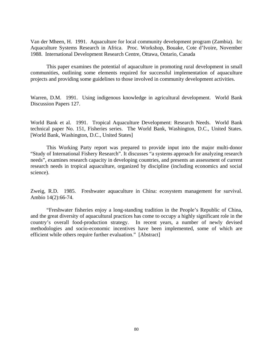Van der Mheen, H. 1991. Aquaculture for local community development program (Zambia). In: Aquaculture Systems Research in Africa. Proc. Workshop, Bouake, Cote d'Ivoire, November 1988. International Development Research Centre, Ottawa, Ontario, Canada

 This paper examines the potential of aquaculture in promoting rural development in small communities, outlining some elements required for successful implementation of aquaculture projects and providing some guidelines to those involved in community development activities.

Warren, D.M. 1991. Using indigenous knowledge in agricultural development. World Bank Discussion Papers 127.

World Bank et al. 1991. Tropical Aquaculture Development: Research Needs. World Bank technical paper No. 151, Fisheries series. The World Bank, Washington, D.C., United States. [World Bank, Washington, D.C., United States]

 This Working Party report was prepared to provide input into the major multi-donor "Study of International Fishery Research". It discusses "a systems approach for analyzing research needs", examines research capacity in developing countries, and presents an assessment of current research needs in tropical aquaculture, organized by discipline (including economics and social science).

Zweig, R.D. 1985. Freshwater aquaculture in China: ecosystem management for survival. Ambio 14(2):66-74.

 "Freshwater fisheries enjoy a long-standing tradition in the People's Republic of China, and the great diversity of aquacultural practices has come to occupy a highly significant role in the country's overall food-production strategy. In recent years, a number of newly devised methodologies and socio-economic incentives have been implemented, some of which are efficient while others require further evaluation." [Abstract]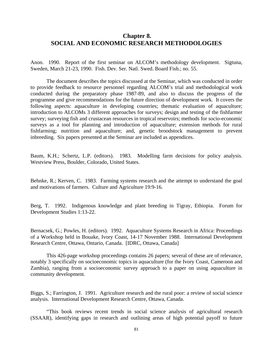# **Chapter 8. SOCIAL AND ECONOMIC RESEARCH METHODOLOGIES**

Anon. 1990. Report of the first seminar on ALCOM's methodology development. Sigtuna, Sweden, March 21-23, 1990. Fish. Dev. Ser. Natl. Swed. Board Fish.; no. 55.

 The document describes the topics discussed at the Seminar, which was conducted in order to provide feedback to resource personnel regarding ALCOM's trial and methodological work conducted during the preparatory phase 1987-89, and also to discuss the progress of the programme and give recommendations for the future direction of development work. It covers the following aspects: aquaculture in developing countries; thematic evaluation of aquaculture; introduction to ALCOMs 3 different approaches for surveys; design and testing of the fishfarmer survey; surveying fish and crustacean resources in tropical reservoirs; methods for socio-economic surveys as a tool for planning and introduction of aquaculture; extension methods for rural fishfarming; nutrition and aquaculture; and, genetic broodstock management to prevent inbreeding. Six papers presented at the Seminar are included as appendices.

Baum, K.H.; Schertz, L.P. (editors). 1983. Modelling farm decisions for policy analysis. Westview Press, Boulder, Colorado, United States.

Behnke, R.; Kerven, C. 1983. Farming systems research and the attempt to understand the goal and motivations of farmers. Culture and Agriculture 19:9-16.

Berg, T. 1992. Indigenous knowledge and plant breeding in Tigray, Ethiopia. Forum for Development Studies 1:13-22.

Bernacsek, G.; Powles, H. (editors). 1992. Aquaculture Systems Research in Africa: Proceedings of a Workshop held in Bouake, Ivory Coast, 14-17 November 1988. International Development Research Centre, Ottawa, Ontario, Canada. [IDRC, Ottawa, Canada]

 This 426-page workshop proceedings contains 26 papers; several of these are of relevance, notably 3 specifically on socioeconomic topics in aquaculture (for the Ivory Coast, Cameroon and Zambia), ranging from a socioeconomic survey approach to a paper on using aquaculture in community development.

Biggs, S.; Farrington, J. 1991. Agriculture research and the rural poor: a review of social science analysis. International Development Research Centre, Ottawa, Canada.

 "This book reviews recent trends in social science analysis of agricultural research (SSAAR), identifying gaps in research and outlining areas of high potential payoff to future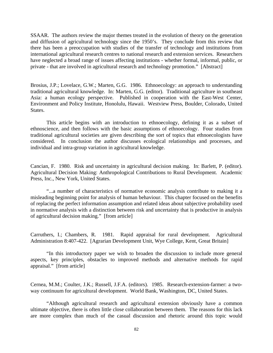SSAAR. The authors review the major themes treated in the evolution of theory on the generation and diffusion of agricultural technology since the 1950's. They conclude from this review that there has been a preoccupation with studies of the transfer of technology and institutions from international agricultural research centres to national research and extension services. Researchers have neglected a broad range of issues affecting institutions - whether formal, informal, public, or private - that are involved in agricultural research and technology promotion." [Abstract]

Brosius, J.P.; Lovelace, G.W.; Marten, G.G. 1986. Ethnoecology: an approach to understanding traditional agricultural knowledge. In: Marten, G.G. (editor). Traditional agriculture in southeast Asia: a human ecology perspective. Published in cooperation with the East-West Center, Environment and Policy Institute, Honolulu, Hawaii. Westview Press, Boulder, Colorado, United States.

 This article begins with an introduction to ethnoecology, defining it as a subset of ethnoscience, and then follows with the basic assumptions of ethnoecology. Four studies from traditional agricultural societies are given describing the sort of topics that ethnoecologists have considered. In conclusion the author discusses ecological relationships and processes, and individual and intra-group variation in agricultural knowledge.

Cancian, F. 1980. Risk and uncertainty in agricultural decision making. In: Barlett, P. (editor). Agricultural Decision Making: Anthropological Contributions to Rural Development. Academic Press, Inc., New York, United States.

 "...a number of characteristics of normative economic analysis contribute to making it a misleading beginning point for analysis of human behaviour. This chapter focused on the benefits of replacing the perfect information assumption and related ideas about subjective probability used in normative analysis with a distinction between risk and uncertainty that is productive in analysis of agricultural decision making." [from article]

Carruthers, I.; Chambers, R. 1981. Rapid appraisal for rural development. Agricultural Administration 8:407-422. [Agrarian Development Unit, Wye College, Kent, Great Britain]

 "In this introductory paper we wish to broaden the discussion to include more general aspects, key principles, obstacles to improved methods and alternative methods for rapid appraisal." [from article]

Cernea, M.M.; Coulter, J.K.; Russell, J.F.A. (editors). 1985. Research-extension-farmer: a twoway continuum for agricultural development. World Bank, Washington, DC, United States.

 "Although agricultural research and agricultural extension obviously have a common ultimate objective, there is often little close collaboration between them. The reasons for this lack are more complex than much of the casual discussion and rhetoric around this topic would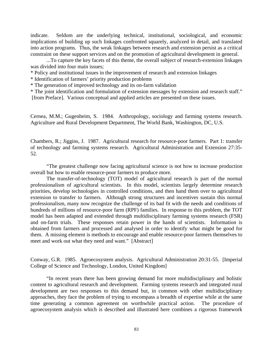indicate. Seldom are the underlying technical, institutional, sociological, and economic implications of building up such linkages confronted squarely, analyzed in detail, and translated into action programs. Thus, the weak linkages between research and extension persist as a critical constraint on these support services and on the promotion of agricultural development in general.

 ...To capture the key facets of this theme, the overall subject of research-extension linkages was divided into four main issues;

\* Policy and institutional issues in the improvement of research and extension linkages

\* Identification of farmers' priority production problems

\* The generation of improved technology and its on-farm validation

\* The joint identification and formulation of extension messages by extension and research staff." [from Preface]. Various conceptual and applied articles are presented on these issues.

Cernea, M.M.; Gugenheim, S. 1984. Anthropology, sociology and farming systems research. Agriculture and Rural Development Department, The World Bank, Washington, DC, U.S.

Chambers, R.; Jiggins, J. 1987. Agricultural research for resource-poor farmers. Part 1: transfer of technology and farming systems research. Agricultural Administration and Extension 27:35- 52.

 "The greatest challenge now facing agricultural science is not how to increase production overall but how to enable resource-poor farmers to produce more.

 The transfer-of-technology (TOT) model of agricultural research is part of the normal professionalism of agricultural scientists. In this model, scientists largely determine research priorities, develop technologies in controlled conditions, and then hand them over to agricultural extension to transfer to farmers. Although strong structures and incentives sustain this normal professionalism, many now recognize the challenge of its bad fit with the needs and conditions of hundreds of millions of resource-poor farm (RPF) families. In response to this problem, the TOT model has been adapted and extended through multidisciplinary farming systems research (FSR) and on-farm trials. These responses retain power in the hands of scientists. Information is obtained from farmers and processed and analysed in order to identify what might be good for them. A missing element is methods to encourage and enable resource-poor farmers themselves to meet and work out what they need and want." [Abstract]

Conway, G.R. 1985. Agroecosystem analysis. Agricultural Administration 20:31-55. [Imperial College of Science and Technology, London, United Kingdom]

 "In recent years there has been growing demand for more multidisciplinary and holistic content to agricultural research and development. Farming systems research and integrated rural development are two responses to this demand but, in common with other multidisciplinary approaches, they face the problem of trying to encompass a breadth of expertise while at the same time generating a common agreement on worthwhile practical action. The procedure of agroecosystem analysis which is described and illustrated here combines a rigorous framework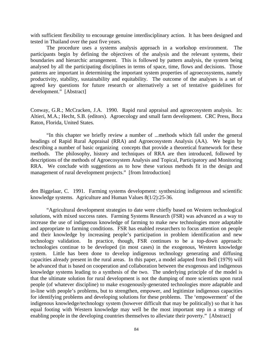with sufficient flexibility to encourage genuine interdisciplinary action. It has been designed and tested in Thailand over the past five years.

 The procedure uses a systems analysis approach in a workshop environment. The participants begin by defining the objectives of the analysis and the relevant systems, their boundaries and hierarchic arrangement. This is followed by pattern analysis, the system being analysed by all the participating disciplines in terms of space, time, flows and decisions. Those patterns are important in determining the important system properties of agroecosystems, namely productivity, stability, sustainability and equitability. The outcome of the analyses is a set of agreed key questions for future research or alternatively a set of tentative guidelines for development." [Abstract]

Conway, G.R.; McCracken, J.A. 1990. Rapid rural appraisal and agroecosystem analysis. In: Altieri, M.A.; Hecht, S.B. (editors). Agroecology and small farm development. CRC Press, Boca Raton, Florida, United States.

 "In this chapter we briefly review a number of ...methods which fall under the general headings of Rapid Rural Appraisal (RRA) and Agroecosystem Analysis (AA). We begin by describing a number of basic organizing concepts that provide a theoretical framework for these methods. The philosophy, history and techniques of RRA are then introduced, followed by descriptions of the methods of Agroecosystem Analysis and Topical, Participatory and Monitoring RRA. We conclude with suggestions as to how these various methods fit in the design and management of rural development projects." [from Introduction]

den Biggelaar, C. 1991. Farming systems development: synthesizing indigenous and scientific knowledge systems. Agriculture and Human Values 8(1/2):25-36.

 "Agricultural development strategies to date were chiefly based on Western technological solutions, with mixed success rates. Farming Systems Research (FSR) was advanced as a way to increase the use of indigenous knowledge of farming to make new technologies more adaptable and appropriate to farming conditions. FSR has enabled researchers to focus attention on people and their knowledge by increasing people's participation in problem identification and new technology validation. In practice, though, FSR continues to be a top-down approach: technologies continue to be developed (in most cases) in the exogenous, Western knowledge system. Little has been done to develop indigenous technology generating and diffusing capacities already present in the rural areas. In this paper, a model adapted from Bell (1979) will be advanced that is based on cooperation and collaboration between the exogenous and indigenous knowledge systems leading to a synthesis of the two. The underlying principle of the model is that the ultimate solution for rural development is not the dumping of more scientists upon rural people (of whatever discipline) to make exogenously-generated technologies more adaptable and in-line with people's problems, but to strengthen, empower, and legitimize indigenous capacities for identifying problems and developing solutions for these problems. The 'empowerment' of the indigenous knowledge/technology system (however difficult that may be politically) so that it has equal footing with Western knowledge may well be the most important step in a strategy of enabling people in the developing countries themselves to alleviate their poverty." [Abstract]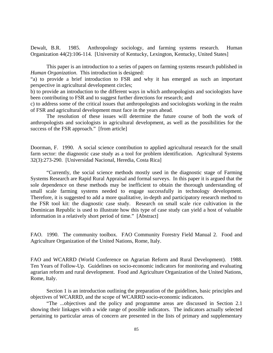Dewalt, B.R. 1985. Anthropology sociology, and farming systems research. Human Organization 44(2):106-114. [University of Kentucky, Lexington, Kentucky, United States]

 This paper is an introduction to a series of papers on farming systems research published in *Human Organization*. This introduction is designed:

"a) to provide a brief introduction to FSR and why it has emerged as such an important perspective in agricultural development circles;

b) to provide an introduction to the different ways in which anthropologists and sociologists have been contributing to FSR and to suggest further directions for research; and

c) to address some of the critical issues that anthropologists and sociologists working in the realm of FSR and agricultural development must face in the years ahead.

 The resolution of these issues will determine the future course of both the work of anthropologists and sociologists in agricultural development, as well as the possibilities for the success of the FSR approach." [from article]

Doorman, F. 1990. A social science contribution to applied agricultural research for the small farm sector: the diagnostic case study as a tool for problem identification. Agricultural Systems 32(3):273-290. [Universidad Nacional, Heredia, Costa Rica]

 "Currently, the social science methods mostly used in the diagnostic stage of Farming Systems Research are Rapid Rural Appraisal and formal surveys. In this paper it is argued that the sole dependence on these methods may be inefficient to obtain the thorough understanding of small scale farming systems needed to engage successfully in technology development. Therefore, it is suggested to add a more qualitative, in-depth and participatory research method to the FSR tool kit: the diagnostic case study. Research on small scale rice cultivation in the Dominican Republic is used to illustrate how this type of case study can yield a host of valuable information in a relatively short period of time." [Abstract]

FAO. 1990. The community toolbox. FAO Community Forestry Field Manual 2. Food and Agriculture Organization of the United Nations, Rome, Italy.

FAO and WCARRD (World Conference on Agrarian Reform and Rural Development). 1988. Ten Years of Follow-Up. Guidelines on socio-economic indicators for monitoring and evaluating agrarian reform and rural development. Food and Agriculture Organization of the United Nations, Rome, Italy.

 Section 1 is an introduction outlining the preparation of the guidelines, basic principles and objectives of WCARRD, and the scope of WCARRD socio-economic indicators.

 "The ...objectives and the policy and programme areas are discussed in Section 2.1 showing their linkages with a wide range of possible indicators. The indicators actually selected pertaining to particular areas of concern are presented in the lists of primary and supplementary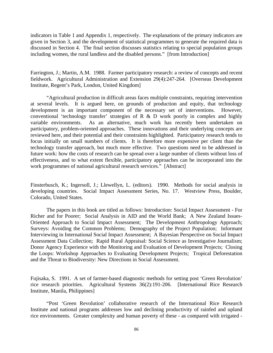indicators in Table 1 and Appendix 1, respectively. The explanations of the primary indicators are given in Section 3, and the development of statistical programmes to generate the required data is discussed in Section 4. The final section discusses statistics relating to special population groups including women, the rural landless and the disabled persons." [from Introduction]

Farrington, J.; Martin, A.M. 1988. Farmer participatory research: a review of concepts and recent fieldwork. Agricultural Administration and Extension 29(4):247-264. [Overseas Development Institute, Regent's Park, London, United Kingdom]

 "Agricultural production in difficult areas faces multiple constraints, requiring intervention at several levels. It is argued here, on grounds of production and equity, that technology development is an important component of the necessary set of interventions. However, conventional 'technology transfer' strategies of R & D work poorly in complex and highly variable environments. As an alternative, much work has recently been undertaken on participatory, problem-oriented approaches. These innovations and their underlying concepts are reviewed here, and their potential and their constraints highlighted. Participatory research tends to focus initially on small numbers of clients. It is therefore more expensive per client than the technology transfer approach, but much more effective. Two questions need to be addressed in future work: how the costs of research can be spread over a large number of clients without loss of effectiveness, and to what extent flexible, participatory approaches can be incorporated into the work programmes of national agricultural research services." [Abstract]

Finsterbusch, K.; Ingersoll, J.; Llewellyn, L. (editors). 1990. Methods for social analysis in developing countries. Social Impact Assessment Series, No. 17. Westview Press, Boulder, Colorado, United States.

 The papers in this book are titled as follows: Introduction: Social Impact Assessment - For Richer and for Poorer; Social Analysis in AID and the World Bank; A New Zealand Issues-Oriented Approach to Social Impact Assessment; The Development Anthropology Approach; Surveys: Avoiding the Common Problems; Demography of the Project Population; Informant Interviewing in International Social Impact Assessment; A Bayesian Perspective on Social Impact Assessment Data Collection; Rapid Rural Appraisal: Social Science as Investigative Journalism; Donor Agency Experience with the Monitoring and Evaluation of Development Projects; Closing the Loops: Workshop Approaches to Evaluating Development Projects; Tropical Deforestation and the Threat to Biodiversity: New Directions in Social Assessment.

Fujisaka, S. 1991. A set of farmer-based diagnostic methods for setting post 'Green Revolution' rice research priorities. Agricultural Systems 36(2):191-206. [International Rice Research Institute, Manila, Philippines]

 "Post 'Green Revolution' collaborative research of the International Rice Research Institute and national programs addresses low and declining productivity of rainfed and upland rice environments. Greater complexity and human poverty of these - as compared with irrigated -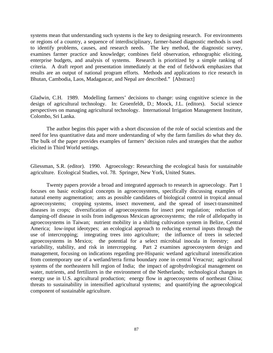systems mean that understanding such systems is the key to designing research. For environments or regions of a country, a sequence of interdisciplinary, farmer-based diagnostic methods is used to identify problems, causes, and research needs. The key method, the diagnostic survey, examines farmer practice and knowledge; combines field observation, ethnographic eliciting, enterprise budgets, and analysis of systems. Research is prioritized by a simple ranking of criteria. A draft report and presentation immediately at the end of fieldwork emphasizes that results are an output of national program efforts. Methods and applications to rice research in Bhutan, Cambodia, Laos, Madagascar, and Nepal are described." [Abstract]

Gladwin, C.H. 1989. Modelling farmers' decisions to change: using cognitive science in the design of agricultural technology. In: Groenfeldt, D.; Moock, J.L. (editors). Social science perspectives on managing agricultural technology. International Irrigation Management Institute, Colombo, Sri Lanka.

 The author begins this paper with a short discussion of the role of social scientists and the need for less quantitative data and more understanding of why the farm families do what they do. The bulk of the paper provides examples of farmers' decision rules and strategies that the author elicited in Third World settings.

Gliessman, S.R. (editor). 1990. Agroecology: Researching the ecological basis for sustainable agriculture. Ecological Studies, vol. 78. Springer, New York, United States.

 Twenty papers provide a broad and integrated approach to research in agroecology. Part 1 focuses on basic ecological concepts in agroecosystems, specifically discussing examples of natural enemy augmentation; ants as possible candidates of biological control in tropical annual agroecosystems; cropping systems, insect movement, and the spread of insect-transmitted diseases in crops; diversification of agroecosystems for insect pest regulation; reduction of damping-off disease in soils from indigenous Mexican agroecosystems; the role of allelopathy in agroecosystems in Taiwan; nutrient mobility in a shifting cultivation system in Belize, Central America; low-input ideotypes; an ecological approach to reducing external inputs through the use of intercropping; integrating trees into agriculture; the influence of trees in selected agroecosystems in Mexico; the potential for a select microbial inocula in forestry; and variability, stability, and risk in intercropping. Part 2 examines agroecosystem design and management, focusing on indications regarding pre-Hispanic wetland agricultural intensification from contemporary use of a wetland/terra firma boundary zone in central Veracruz; agricultural systems of the northeastern hill region of India; the impact of agrohydrological management on water, nutrients, and fertilizers in the environment of the Netherlands; technological changes in energy use in U.S. agricultural production; energy flow in agroecosystems of northeast China; threats to sustainability in intensified agricultural systems; and quantifying the agroecological component of sustainable agriculture.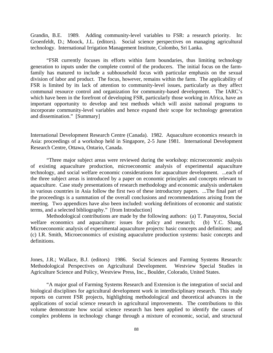Grandin, B.E. 1989. Adding community-level variables to FSR: a research priority. In: Groenfeldt, D.; Moock, J.L. (editors). Social science perspectives on managing agricultural technology. International Irrigation Management Institute, Colombo, Sri Lanka.

 "FSR currently focuses its efforts within farm boundaries, thus limiting technology generation to inputs under the complete control of the producers. The initial focus on the farmfamily has matured to include a subhousehold focus with particular emphasis on the sexual division of labor and product. The focus, however, remains within the farm. The applicability of FSR is limited by its lack of attention to community-level issues, particularly as they affect communal resource control and organization for community-based development. The IARC's which have been in the forefront of developing FSR, particularly those working in Africa, have an important opportunity to develop and test methods which will assist national programs to incorporate community-level variables and hence expand their scope for technology generation and dissemination." [Summary]

International Development Research Centre (Canada). 1982. Aquaculture economics research in Asia: proceedings of a workshop held in Singapore, 2-5 June 1981. International Development Research Centre, Ottawa, Ontario, Canada.

 "Three major subject areas were reviewed during the workshop: microeconomic analysis of existing aquaculture production, microeconomic analysis of experimental aquaculture technology, and social welfare economic considerations for aquaculture development. ...each of the three subject areas is introduced by a paper on economic principles and concepts relevant to aquaculture. Case study presentations of research methodology and economic analysis undertaken in various countries in Asia follow the first two of these introductory papers. ...The final part of the proceedings is a summation of the overall conclusions and recommendations arising from the meeting. Two appendices have also been included: working definitions of economic and statistic terms, and a selected bibliography." [from Introduction]

 Methodological contributions are made by the following authors: (a) T. Panayotou, Social welfare economics and aquaculture: issues for policy and research; (b) Y.C. Shang, Microeconomic analysis of experimental aquaculture projects: basic concepts and definitions; and (c) I.R. Smith, Microeconomics of existing aquaculutre production systems: basic concepts and definitions.

Jones, J.R.; Wallace, B.J. (editors) 1986. Social Sciences and Farming Systems Research: Methodological Perspectives on Agricultural Development. Westview Special Studies in Agriculture Science and Policy, Westview Press, Inc., Boulder, Colorado, United States.

 "A major goal of Farming Systems Research and Extension is the integration of social and biological disciplines for agricultural development work in interdisciplinary research. This study reports on current FSR projects, highlighting methodological and theoretical advances in the applications of social science research in agricultural improvements. The contributions to this volume demonstrate how social science research has been applied to identify the causes of complex problems in technology change through a mixture of economic, social, and structural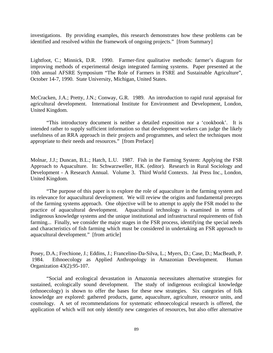investigations. By providing examples, this research demonstrates how these problems can be identified and resolved within the framework of ongoing projects." [from Summary]

Lightfoot, C.; Minnick, D.R. 1990. Farmer-first qualitative methods: farmer's diagram for improving methods of experimental design integrated farming systems. Paper presented at the 10th annual AFSRE Symposium "The Role of Farmers in FSRE and Sustainable Agriculture", October 14-7, 1990. State University, Michigan, United States.

McCracken, J.A.; Pretty, J.N.; Conway, G.R. 1989. An introduction to rapid rural appraisal for agricultural development. International Institute for Environment and Development, London, United Kingdom.

 "This introductory document is neither a detailed exposition nor a 'cookbook'. It is intended rather to supply sufficient information so that development workers can judge the likely usefulness of an RRA approach in their projects and programmes, and select the techniques most appropriate to their needs and resources." [from Preface]

Molnar, J.J.; Duncan, B.L.; Hatch, L.U. 1987. Fish in the Farming System: Applying the FSR Approach to Aquaculture. In: Schwarzweller, H.K. (editor). Research in Rural Sociology and Development - A Research Annual. Volume 3. Third World Contexts. Jai Press Inc., London, United Kingdom.

 "The purpose of this paper is to explore the role of aquaculture in the farming system and its relevance for aquacultural development. We will review the origins and fundamental precepts of the farming systems approach. One objective will be to attempt to apply the FSR model to the practice of aquacultural development. Aquacultural technology is examined in terms of indigenous knowledge systems and the unique institutional and infrastructural requirements of fish farming... Finally, we consider the major stages in the FSR process, identifying the special needs and characteristics of fish farming which must be considered in undertaking an FSR approach to aquacultural development." [from article]

Posey, D.A.; Frechione, J.; Eddins, J.; Francelino-Da-Silva, L.; Myers, D.; Case, D.; MacBeath, P. 1984. Ethnoecology as Applied Anthropology in Amazonian Development. Human Organization 43(2):95-107.

 "Social and ecological devastation in Amazonia necessitates alternative strategies for sustained, ecologically sound development. The study of indigenous ecological knowledge (ethnoecology) is shown to offer the bases for these new strategies. Six categories of folk knowledge are explored: gathered products, game, aquaculture, agriculture, resource units, and cosmology. A set of recommendations for systematic ethnoecological research is offered, the application of which will not only identify new categories of resources, but also offer alternative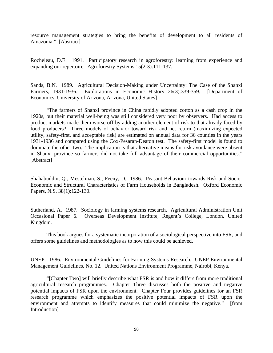resource management strategies to bring the benefits of development to all residents of Amazonia." [Abstract]

Rocheleau, D.E. 1991. Participatory research in agroforestry: learning from experience and expanding our repertoire. Agroforestry Systems 15(2-3):111-137.

Sands, B.N. 1989. Agricultural Decision-Making under Uncertainty: The Case of the Shanxi Farmers, 1931-1936. Explorations in Economic History 26(3):339-359. [Department of Economics, University of Arizona, Arizona, United States]

 "The farmers of Shanxi province in China rapidly adopted cotton as a cash crop in the 1920s, but their material well-being was still considered very poor by observers. Had access to product markets made them worse off by adding another element of risk to that already faced by food producers? Three models of behavior toward risk and net return (maximizing expected utility, safety-first, and acceptable risk) are estimated on annual data for 36 counties in the years 1931-1936 and compared using the Cox-Pesaran-Deaton test. The safety-first model is found to dominate the other two. The implication is that alternative means for risk avoidance were absent in Shanxi province so farmers did not take full advantage of their commercial opportunities." [Abstract]

Shahabuddin, Q.; Mestelman, S.; Feeny, D. 1986. Peasant Behaviour towards Risk and Socio-Economic and Structural Characteristics of Farm Households in Bangladesh. Oxford Economic Papers, N.S. 38(1):122-130.

Sutherland, A. 1987. Sociology in farming systems research. Agricultural Administration Unit Occasional Paper 6. Overseas Development Institute, Regent's College, London, United Kingdom.

 This book argues for a systematic incorporation of a sociological perspective into FSR, and offers some guidelines and methodologies as to how this could be achieved.

UNEP. 1986. Environmental Guidelines for Farming Systems Research. UNEP Environmental Management Guidelines, No. 12. United Nations Environment Programme, Nairobi, Kenya.

 "[Chapter Two] will briefly describe what FSR is and how it differs from more traditional agricultural research programmes. Chapter Three discusses both the positive and negative potential impacts of FSR upon the environment. Chapter Four provides guidelines for an FSR research programme which emphasizes the positive potential impacts of FSR upon the environment and attempts to identify measures that could minimize the negative." [from Introduction]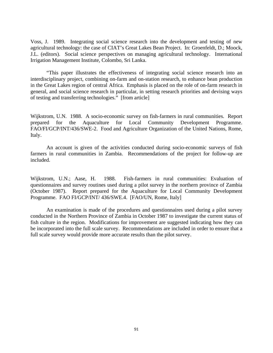Voss, J. 1989. Integrating social science research into the development and testing of new agricultural technology: the case of CIAT's Great Lakes Bean Project. In: Groenfeldt, D.; Moock, J.L. (editors). Social science perspectives on managing agricultural technology. International Irrigation Management Institute, Colombo, Sri Lanka.

 "This paper illustrates the effectiveness of integrating social science research into an interdisciplinary project, combining on-farm and on-station research, to enhance bean production in the Great Lakes region of central Africa. Emphasis is placed on the role of on-farm research in general, and social science research in particular, in setting research priorities and devising ways of testing and transferring technologies." [from article]

Wijkstrom, U.N. 1988. A socio-economic survey on fish-farmers in rural communities. Report prepared for the Aquaculture for Local Community Development Programme. FAO/FI/GCP/INT/436/SWE-2. Food and Agriculture Organization of the United Nations, Rome, Italy.

 An account is given of the activities conducted during socio-economic surveys of fish farmers in rural communities in Zambia. Recommendations of the project for follow-up are included.

Wijkstrom, U.N.; Aase, H. 1988. Fish-farmers in rural communities: Evaluation of questionnaires and survey routines used during a pilot survey in the northern province of Zambia (October 1987). Report prepared for the Aquaculture for Local Community Development Programme. FAO FI/GCP/INT/ 436/SWE.4. [FAO/UN, Rome, Italy]

 An examination is made of the procedures and questionnaires used during a pilot survey conducted in the Northern Province of Zambia in October 1987 to investigate the current status of fish culture in the region. Modifications for improvement are suggested indicating how they can be incorporated into the full scale survey. Recommendations are included in order to ensure that a full scale survey would provide more accurate results than the pilot survey.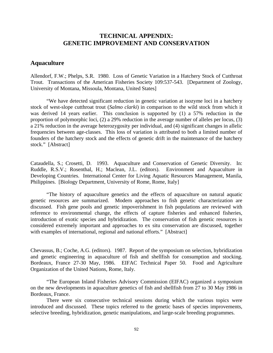# **TECHNICAL APPENDIX: GENETIC IMPROVEMENT AND CONSERVATION**

#### **Aquaculture**

Allendorf, F.W.; Phelps, S.R. 1980. Loss of Genetic Variation in a Hatchery Stock of Cutthroat Trout. Transactions of the American Fisheries Society 109:537-543. [Department of Zoology, University of Montana, Missoula, Montana, United States]

 "We have detected significant reduction in genetic variation at isozyme loci in a hatchery stock of west-slope cutthroat trout (*Salmo clarki*) in comparison to the wild stock from which it was derived 14 years earlier. This conclusion is supported by (1) a 57% reduction in the proportion of polymorphic loci, (2) a 29% reduction in the average number of alleles per locus, (3) a 21% reduction in the average heterozygosity per individual, and (4) significant changes in allelic frequencies between age-classes. This loss of variation is attributed to both a limited number of founders of the hatchery stock and the effects of genetic drift in the maintenance of the hatchery stock." [Abstract]

Cataudella, S.; Crosetti, D. 1993. Aquaculture and Conservation of Genetic Diversity. In: Ruddle, R.S.V.; Rosenthal, H.; Maclean, J.L. (editors). Environment and Aquaculture in Developing Countries. International Center for Living Aquatic Resources Management, Manila, Philippines. [Biology Department, University of Rome, Rome, Italy]

 "The history of aquaculture genetics and the effects of aquaculture on natural aquatic genetic resources are summarized. Modern approaches to fish genetic characterization are discussed. Fish gene pools and genetic impoverishment in fish populations are reviewed with reference to environmental change, the effects of capture fisheries and enhanced fisheries, introduction of exotic species and hybridization. The conservation of fish genetic resources is considered extremely important and approaches to ex situ conservation are discussed, together with examples of international, regional and national efforts." [Abstract]

Chevassus, B.; Coche, A.G. (editors). 1987. Report of the symposium on selection, hybridization and genetic engineering in aquaculture of fish and shellfish for consumption and stocking. Bordeaux, France 27-30 May, 1986. EIFAC Technical Paper 50. Food and Agriculture Organization of the United Nations, Rome, Italy.

 "The European Inland Fisheries Advisory Commission (EIFAC) organized a symposium on the new developments in aquaculture genetics of fish and shellfish from 27 to 30 May 1986 in Bordeaux, France.

 There were six consecutive technical sessions during which the various topics were introduced and discussed. These topics referred to the genetic bases of species improvements, selective breeding, hybridization, genetic manipulations, and large-scale breeding programmes.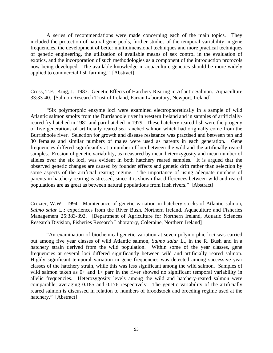A series of recommendations were made concerning each of the main topics. They included the protection of natural gene pools, further studies of the temporal variability in gene frequencies, the development of better multidimensional techniques and more practical techniques of genetic engineering, the utilization of available means of sex control in the evaluation of exotics, and the incorporation of such methodologies as a component of the introduction protocols now being developed. The available knowledge in aquaculture genetics should be more widely applied to commercial fish farming." [Abstract]

Cross, T.F.; King, J. 1983. Genetic Effects of Hatchery Rearing in Atlantic Salmon. Aquaculture 33:33-40. [Salmon Research Trust of Ireland, Farran Laboratory, Newport, Ireland]

 "Six polymorphic enzyme loci were examined electrophoretically in a sample of wild Atlantic salmon smolts from the Burrishoole river in western Ireland and in samples of artificiallyreared fry hatched in 1981 and parr hatched in 1979. These hatchery reared fish were the progeny of five generations of artificially reared sea ranched salmon which had originally come from the Burrishoole river. Selection for growth and disease resistance was practised and between ten and 30 females and similar numbers of males were used as parents in each generation. Gene frequencies differed significantly at a number of loci between the wild and the artificially reared samples. Erosion of genetic variability, as measured by mean heterozygosity and mean number of alleles over the six loci, was evident in both hatchery reared samples. It is argued that the observed genetic changes are caused by founder effects and genetic drift rather than selection by some aspects of the artificial rearing regime. The importance of using adequate numbers of parents in hatchery rearing is stressed, since it is shown that differences between wild and reared populations are as great as between natural populations from Irish rivers." [Abstract]

Crozier, W.W. 1994. Maintenance of genetic variation in hatchery stocks of Atlantic salmon, *Salmo salar* L.: experiences from the River Bush, Northern Ireland. Aquaculture and Fisheries Management 25:383-392. [Department of Agriculture for Northern Ireland, Aquatic Sciences Research Division, Fisheries Research Laboratory, Coleraine, Northern Ireland]

 "An examination of biochemical-genetic variation at seven polymorphic loci was carried out among five year classes of wild Atlantic salmon, *Salmo salar* L., in the R. Bush and in a hatchery strain derived from the wild population. Within some of the year classes, gene frequencies at several loci differed significantly between wild and artificially reared salmon. Highly significant temporal variation in gene frequencies was detected among successive year classes of the hatchery strain, while this was less significant among the wild salmon. Samples of wild salmon taken as  $0+$  and  $1+$  parr in the river showed no significant temporal variability in allelic frequencies. Heterozygosity levels among the wild and hatchery-reared salmon were comparable, averaging 0.185 and 0.176 respectively. The genetic variability of the artificially reared salmon is discussed in relation to numbers of broodstock and breeding regime used at the hatchery." [Abstract]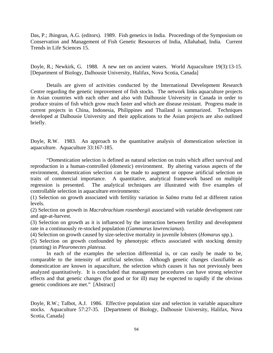Das, P.; Jhingran, A.G. (editors). 1989. Fish genetics in India. Proceedings of the Symposium on Conservation and Management of Fish Genetic Resources of India, Allahabad, India. Current Trends in Life Sciences 15.

Doyle, R.; Newkirk, G. 1988. A new net on ancient waters. World Aquaculture 19(3):13-15. [Department of Biology, Dalhousie University, Halifax, Nova Scotia, Canada]

 Details are given of activities conducted by the International Development Research Centre regarding the genetic improvement of fish stocks. The network links aquaculture projects in Asian countries with each other and also with Dalhousie University in Canada in order to produce strains of fish which grow much faster and which are disease resistant. Progress made in current projects in China, Indonesia, Philippines and Thailand is summarized. Techniques developed at Dalhousie University and their applications to the Asian projects are also outlined briefly.

Doyle, R.W. 1983. An approach to the quantitative analysis of domestication selection in aquaculture. Aquaculture 33:167-185.

 "Domestication selection is defined as natural selection on traits which affect survival and reproduction in a human-controlled (domestic) environment. By altering various aspects of the environment, domestication selection can be made to augment or oppose artificial selection on traits of commercial importance. A quantitative, analytical framework based on multiple regression is presented. The analytical techniques are illustrated with five examples of controllable selection in aquaculture environments:

(1) Selection on growth associated with fertility variation in *Salmo trutta* fed at different ration levels.

(2) Selection on growth in *Macrobrachium rosenbergii* associated with variable development rate and age-at-harvest.

(3) Selection on growth as it is influenced by the interaction between fertility and development rate in a continuously re-stocked population (*Gammarus lawrencianus*).

(4) Selection on growth caused by size-selective mortality in juvenile lobsters (*Homarus* spp.).

(5) Selection on growth confounded by phenotypic effects associated with stocking density (stunting) in *Pleuronectes platessa*.

 In each of the examples the selection differential is, or can easily be made to be, comparable to the intensity of artificial selection. Although genetic changes classifiable as domestication are known in aquaculture, the selection which causes it has not previously been analyzed quantitatively. It is concluded that management procedures can have strong selective effects and that genetic changes (for good or for ill) may be expected to rapidly if the obvious genetic conditions are met." [Abstract]

Doyle, R.W.; Talbot, A.J. 1986. Effective population size and selection in variable aquaculture stocks. Aquaculture 57:27-35. [Department of Biology, Dalhousie University, Halifax, Nova Scotia, Canada]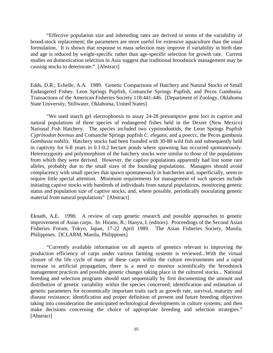"Effective population size and inbreeding rates are derived in terms of the variability of brood-stock replacement; the parameters are more useful for extensive aquaculture than the usual formulation. It is shown that response to mass selection may improve if variability in birth date and age is reduced by weight-specific rather than age-specific selection for growth rate. Current studies on domestication selection in Asia suggest that traditional broodstock management may be causing stocks to deteriorate." [Abstract]

Edds, D.R.; Echelle, A.A. 1989. Genetic Comparisons of Hatchery and Natural Stocks of Small Endangered Fishes: Leon Springs Pupfish, Comanche Springs Pupfish, and Pecos Gambusia. Transactions of the American Fisheries Society 118:441-446. [Department of Zoology, Oklahoma State University, Stillwater, Oklahoma, United States]

 "We used starch gel electrophoesis to assay 24-28 presumptive gene loci in captive and natural populations of three species of endangered fishes held in the Dexter (New Mexico) National Fish Hatchery. The species included two cyprinodontids, the Leon Springs Pupfish *Cyprinodon bovinus* and Comanche Springs pupfish *C. elegans,* and a poeccc, the Pecos gambusia *Gambusia nobilis.* Hatchery stocks had been founded with 30-80 wild fish and subsequently held in captivity for 6-8 years in 0.1-0.2 hectare ponds where spawning has occurred spontaneously. Heterozygosity and polymorphism of the hatchery stocks were similar to those of the populations from which they were derived. However, the captive populations apparently had lost some rare alleles, probably due to the small sizes of the founding populations. Managers should avoid complacency with small species that spawn spontaneously in hatcheries and, superficially, seem to require little special attention. Minimum requirements for management of such species include initiating captive stocks with hundreds of individuals from natural populations, monitoring genetic status and population size of captive stocks, and, where possible, periodically moculating genetic material from natural populations" [Abstract]

Eknath, A.E. 1990. A review of carp genetic research and possible approaches to genetic improvement of Asian carps. In: Hirano, R.; Hanyu, I. (editors). Proceedings of the Second Asian Fisheries Forum, Tokyo, Japan, 17-22 April 1989. The Asian Fisheries Society, Manila, Philippines. [ICLARM, Manila, Philippines]

 "Currently available information on all aspects of genetics relevant to improving the production efficiency of carps under various farming systems is reviewed...With the virtual closure of the life cycle of many of these carps within the culture environments and a rapid increase in artificial propagation, there is a need to monitor scientifically the broodstock management practices and possible genetic changes taking place in the cultured stocks... National breeding and selection programs should start sequentially by first documenting the amount and distribution of genetic variability within the species concerned; identification and estimation of genetic parameters for economically important traits such as growth rate, survival, maturity and disease resistance; identification and proper definition of present and future breeding objectives taking into consideration the anticipated technological developments in culture systems; and then make decisions concerning the choice of appropriate breeding and selection strategies." [Abstract]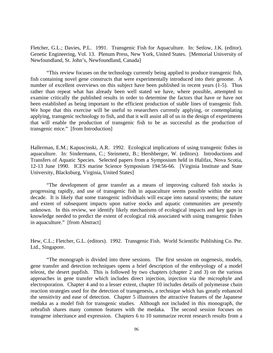Fletcher, G.L.; Davies, P.L. 1991. Transgenic Fish for Aquaculture. In: Setlow, J.K. (editor). Genetic Engineering, Vol. 13. Plenum Press, New York, United States. [Memorial University of Newfoundland, St. John's, Newfoundland, Canada]

 "This review focuses on the technology currently being applied to produce transgenic fish, fish containing novel gene constructs that were experimentally introduced into their genome. A number of excellent overviews on this subject have been published in recent years (1-5). Thus rather than repeat what has already been well stated we have, where possible, attempted to examine critically the published results in order to determine the factors that have or have not been established as being important to the efficient production of stable lines of transgenic fish. We hope that this exercise will be useful to researchers currently applying, or contemplating applying, transgenic technology to fish, and that it will assist all of us in the design of experiments that will enable the production of transgenic fish to be as successful as the production of transgenic mice." [from Introduction]

Hallerman, E.M.; Kapuscinski, A.R. 1992. Ecological implications of using transgenic fishes in aquaculture. In: Sindermann, C.; Steinmetz, B.; Hershberger, W. (editors). Introductions and Transfers of Aquatic Species. Selected papers from a Symposium held in Halifax, Nova Scotia, 12-13 June 1990. ICES marine Science Symposium 194:56-66. [Virginia Institute and State University, Blacksburg, Virginia, United States]

 "The development of gene transfer as a means of improving cultured fish stocks is progressing rapidly, and use of transgenic fish in aquaculture seems possible within the next decade. It is likely that some transgenic individuals will escape into natural systems; the nature and extent of subsequent impacts upon native stocks and aquatic communities are presently unknown. In this review, we identify likely mechanisms of ecological impacts and key gaps in knowledge needed to predict the extent of ecological risk associated with using transgenic fishes in aquaculture." [from Abstract]

Hew, C.L.; Fletcher, G.L. (editors). 1992. Transgenic Fish. World Scientific Publishing Co. Pte. Ltd., Singapore.

 "The monograph is divided into three sessions. The first session on oogenesis, models, gene transfer and detection techniques opens a brief description of the embryology of a model teleost, the desert pupfish. This is followed by two chapters (chapter 2 and 3) on the various approaches in gene transfer which includes direct injection, injection via the microphyle and electroporation. Chapter 4 and to a lesser extent, chapter 10 includes details of polymerase chain reaction strategies used for the detection of transgenesis, a technique which has greatly enhanced the sensitivity and ease of detection. Chapter 5 illustrates the attractive features of the Japanese medaka as a model fish for transgenic studies. Although not included in this monograph, the zebrafish shares many common features with the medaka. The second session focuses on transgene inheritance and expression. Chapters 6 to 10 summarize recent research results from a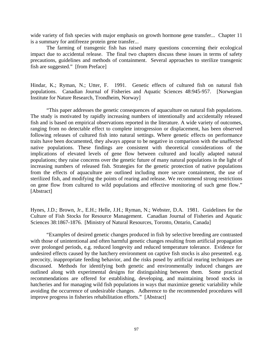wide variety of fish species with major emphasis on growth hormone gene transfer... Chapter 11 is a summary for antifreeze protein gene transfer...

 The farming of transgenic fish has raised many questions concerning their ecological impact due to accidental release. The final two chapters discuss these issues in terms of safety precautions, guidelines and methods of containment. Several approaches to sterilize transgenic fish are suggested." [from Preface]

Hindar, K.; Ryman, N.; Utter, F. 1991. Genetic effects of cultured fish on natural fish populations. Canadian Journal of Fisheries and Aquatic Sciences 48:945-957. [Norwegian Institute for Nature Research, Trondheim, Norway]

 "This paper addresses the genetic consequences of aquaculture on natural fish populations. The study is motivated by rapidly increasing numbers of intentionally and accidentally released fish and is based on empirical observations reported in the literature. A wide variety of outcomes, ranging from no detectable effect to complete introgression or displacement, has been observed following releases of cultured fish into natural settings. Where genetic effects on performance traits have been documented, they always appear to be negative in comparison with the unaffected native populations. These findings are consistent with theoretical considerations of the implications of elevated levels of gene flow between cultured and locally adapted natural populations; they raise concerns over the genetic future of many natural populations in the light of increasing numbers of released fish. Strategies for the genetic protection of native populations from the effects of aquaculture are outlined including more secure containment, the use of sterilized fish, and modifying the points of rearing and release. We recommend strong restrictions on gene flow from cultured to wild populations and effective monitoring of such gene flow." [Abstract]

Hynes, J.D.; Brown, Jr., E.H.; Helle, J.H.; Ryman, N.; Webster, D.A. 1981. Guidelines for the Culture of Fish Stocks for Resource Management. Canadian Journal of Fisheries and Aquatic Sciences 38:1867-1876. [Ministry of Natural Resources, Toronto, Ontario, Canada]

 "Examples of desired genetic changes produced in fish by selective breeding are contrasted with those of unintentional and often harmful genetic changes resulting from artificial propagation over prolonged periods, e.g. reduced longevity and reduced temperature tolerance. Evidence for undesired effects caused by the hatchery environment on captive fish stocks is also presented. e.g. precocity, inappropriate feeding behavior, and the risks posed by artificial rearing techniques are discussed. Methods for identifying both genetic and environmentally induced changes are outlined along with experimental designs for distinguishing between them. Some practical recommendations are offered for establishing, developing, and maintaining brood stocks in hatcheries and for managing wild fish populations in ways that maximize genetic variability while avoiding the occurrence of undesirable changes. Adherence to the recommended procedures will improve progress in fisheries rehabilitation efforts." [Abstract]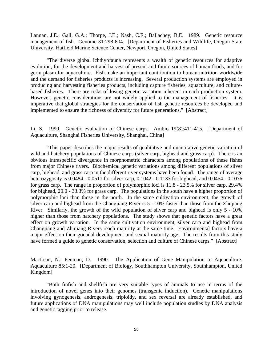Lannan, J.E.; Gall, G.A.; Thorpe, J.E.; Nash, C.E.; Ballachey, B.E. 1989. Genetic resource management of fish. Genome 31:798-804. [Department of Fisheries and Wildlife, Oregon State University, Hatfield Marine Science Center, Newport, Oregon, United States]

 "The diverse global ichthyofauna represents a wealth of genetic resources for adaptive evolution, for the development and harvest of present and future sources of human foods, and for germ plasm for aquaculture. Fish make an important contribution to human nutrition worldwide and the demand for fisheries products is increasing. Several production systems are employed in producing and harvesting fisheries products, including capture fisheries, aquaculture, and culturebased fisheries. There are risks of losing genetic variation inherent in each production system. However, genetic considerations are not widely applied to the management of fisheries. It is imperative that global strategies for the conservation of fish genetic resources be developed and implemented to ensure the richness of diversity for future generations." [Abstract]

Li, S. 1990. Genetic evaluation of Chinese carps. Ambio 19(8):411-415. [Department of Aquaculture, Shanghai Fisheries University, Shanghai, China]

 "This paper describes the major results of qualitative and quantitative genetic variation of wild and hatchery populations of Chinese carps (silver carp, bighead and grass carp). There is an obvious intraspecific divergence in morphometric characters among populations of these fishes from major Chinese rivers. Biochemical genetic variations among different populations of silver carp, bighead, and grass carp in the different river systems have been found. The range of average heterozygosity is 0.0484 - 0.0511 for silver carp, 0.1042 - 0.1133 for bighead, and 0.0454 - 0.1076 for grass carp. The range in proportion of polymorphic loci is 11.8 - 23.5% for silver carp, 29.4% for bighead, 20.0 - 33.3% for grass carp. The populations in the south have a higher proportion of polymorphic loci than those in the north. In the same cultivation environment, the growth of silver carp and bighead from the Changjiang River is 5 - 10% faster than those from the Zhujiang River. Similarly, the growth of the wild population of silver carp and bighead is only 5 - 10% higher than those from hatchery populations. The study shows that genetic factors have a great effect on growth variation. In the same cultivation environment, silver carp and bighead from Changjiang and Zhujiang Rivers reach maturity at the same time. Environmental factors have a major effect on their gonadal development and sexual maturity age. The results from this study have formed a guide to genetic conservation, selection and culture of Chinese carps." [Abstract]

MacLean, N.; Penman, D. 1990. The Application of Gene Manipulation to Aquaculture. Aquaculture 85:1-20. [Department of Biology, Southhampton University, Southhampton, United Kingdom]

 "Both finfish and shellfish are very suitable types of animals to use in terms of the introduction of novel genes into their genomes (transgenic induction). Genetic manipulations involving gynogenesis, androgenesis, triploidy, and sex reversal are already established, and future applications of DNA manipulations may well include population studies by DNA analysis and genetic tagging prior to release.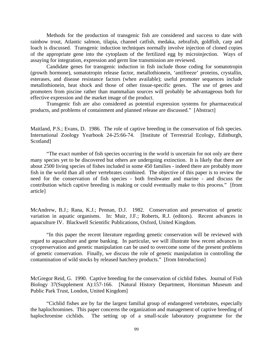Methods for the production of transgenic fish are considered and success to date with rainbow trout, Atlantic salmon, tilapia, channel catfish, medaka, zebrafish, goldfish, carp and loach is discussed. Transgenic induction techniques normally involve injection of cloned copies of the appropriate gene into the cytoplasm of the fertilized egg by microinjection. Ways of assaying for integration, expression and germ line transmission are reviewed.

 Candidate genes for transgenic induction in fish include those coding for somatotropin (growth hormone), somatotropin release factor, metallothionein, 'antifreeze' proteins, crystallin, esterases, and disease resistance factors (when available); useful promoter sequences include metallothionein, heat shock and those of other tissue-specific genes. The use of genes and promoters from piscine rather than mammalian sources will probably be advantageous both for effective expression and the market image of the product.

 Transgenic fish are also considered as potential expression systems for pharmaceutical products, and problems of containment and planned release are discussed." [Abstract]

Maitland, P.S.; Evans, D. 1986. The role of captive breeding in the conservation of fish species. International Zoology Yearbook 24-25:66-74. [Institute of Terrestrial Ecology, Edinburgh, Scotland]

 "The exact number of fish species occurring in the world is uncertain for not only are there many species yet to be discovered but others are undergoing extinction. It is likely that there are about 2500 living species of fishes included in some 450 families - indeed there are probably more fish in the world than all other vertebrates combined. The objective of this paper is to review the need for the conservation of fish species - both freshwater and marine - and discuss the contribution which captive breeding is making or could eventually make to this process." [from article]

McAndrew, B.J.; Rana, K.J.; Pennan, D.J. 1982. Conservation and preservation of genetic variation in aquatic organisms. In: Muir, J.F.; Roberts, R.J. (editors). Recent advances in aquaculture IV. Blackwell Scientific Publications, Oxford, United Kingdom.

 "In this paper the recent literature regarding genetic conservation will be reviewed with regard to aquaculture and gene banking. In particular, we will illustrate how recent advances in cryopreservation and genetic manipulation can be used to overcome some of the present problems of genetic conservation. Finally, we discuss the role of genetic manipulation in controlling the contamination of wild stocks by released hatchery products." [from Introduction]

McGregor Reid, G. 1990. Captive breeding for the conservation of cichlid fishes. Journal of Fish Biology 37(Supplement A):157-166. [Natural History Department, Horniman Museum and Public Park Trust, London, United Kingdom]

 "Cichlid fishes are by far the largest familial group of endangered vertebrates, especially the haplochromines. This paper concerns the organization and management of captive breeding of haplochromine cichlids. The setting up of a small-scale laboratory programme for the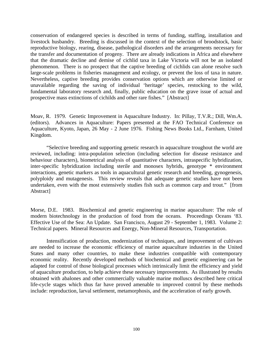conservation of endangered species is described in terms of funding, staffing, installation and livestock husbandry. Breeding is discussed in the context of the selection of broodstock, basic reproductive biology, rearing, disease, pathological disorders and the arrangements necessary for the transfer and documentation of progeny. There are already indications in Africa and elsewhere that the dramatic decline and demise of cichlid taxa in Lake Victoria will not be an isolated phenomenon. There is no prospect that the captive breeding of cichlids can alone resolve such large-scale problems in fisheries management and ecology, or prevent the loss of taxa in nature. Nevertheless, captive breeding provides conservation options which are otherwise limited or unavailable regarding the saving of individual 'heritage' species, restocking to the wild, fundamental laboratory research and, finally, public education on the grave issue of actual and prospective mass extinctions of cichilds and other rare fishes." [Abstract]

Moav, R. 1979. Genetic Improvement in Aquaculture Industry. In: Pillay, T.V.R.; Dill, Wm.A. (editors). Advances in Aquaculture: Papers presented at the FAO Technical Conference on Aquaculture, Kyoto, Japan, 26 May - 2 June 1976. Fishing News Books Ltd., Farnham, United Kingdom.

 "Selective breeding and supporting genetic research in aquaculture troughout the world are reviewed, including: intra-population selection (including selection for disease resistance and behaviour characters), biometrical analysis of quantitative characters, intraspecific hybridization, inter-specific hybridization including sterile and monosex hybrids, genotype \* environment interactions, genetic markers as tools in aquacultural genetic research and breeding, gynogenesis, polyploidy and mutagenesis. This review reveals that adequate genetic studies have not been undertaken, even with the most extensively studies fish such as common carp and trout." [from Abstract]

Morse, D.E. 1983. Biochemical and genetic engineering in marine aquaculture: The role of modern biotechnology in the production of food from the oceans. Proceedings Oceans '83. Effective Use of the Sea: An Update. San Francisco, August 29 - September 1, 1983. Volume 2: Technical papers. Mineral Resources and Energy, Non-Mineral Resources, Transportation.

 Intensification of production, modernization of techniques, and improvement of cultivars are needed to increase the economic efficiency of marine aquaculture industries in the United States and many other countries, to make these industries compatible with contemporary economic reality. Recently developed methods of biochemical and genetic engineering can be adapted for control of those biological processes which intrinsically limit the efficiency and yield of aquaculture production, to help achieve these necessary improvements. As illustrated by results obtained with abalones and other commercially valuable marine molluscs described here critical life-cycle stages which thus far have proved amenable to improved control by these methods include: reproduction, larval settlement, metamorphosis, and the acceleration of early growth.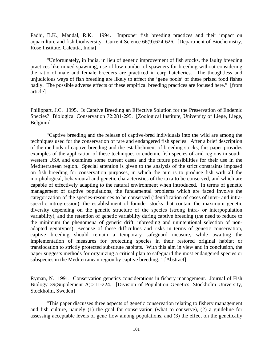Padhi, B.K.; Mandal, R.K. 1994. Improper fish breeding practices and their impact on aquaculture and fish biodiversity. Current Science 66(9):624-626. [Department of Biochemistry, Rose Institute, Calcutta, India]

 "Unfortunately, in India, in lieu of genetic improvement of fish stocks, the faulty breeding practices like mixed spawning, use of low number of spawners for breeding without considering the ratio of male and female breeders are practiced in carp hatcheries. The thoughtless and unjudicious ways of fish breeding are likely to affect the 'gene pools' of these prized food fishes badly. The possible adverse effects of these empirical breeding practices are focused here." [from article]

Philippart, J.C. 1995. Is Captive Breeding an Effective Solution for the Preservation of Endemic Species? Biological Conservation 72:281-295. [Zoological Institute, University of Liege, Liege, Belgium]

 "Captive breeding and the release of captive-bred individuals into the wild are among the techniques used for the conservation of rare and endangered fish species. After a brief description of the methods of captive breeding and the establishment of breeding stocks, this paper provides examples of the application of these techniques to endemic fish species of arid regions in southwestern USA and examines some current cases and the future possibilities for their use in the Mediterranean region. Special attention is given to the analysis of the strict constraints imposed on fish breeding for conservation purposes, in which the aim is to produce fish with all the morphological, behavioural and genetic characteristics of the taxa to be conserved, and which are capable of effectively adapting to the natural environment when introduced. In terms of genetic management of captive populations, the fundamental problems which are faced involve the categorization of the species-resources to be conserved (identification of cases of inter- and intraspecific introgression), the establishment of founder stocks that contain the maximum genetic diversity depending on the genetic structure of the species (strong intra- or interpopulation variability), and the retention of genetic variability during captive breeding (the need to reduce to the minimum the phenomena of genetic drift, inbreeding and unintentional selection of nonadapted genotypes). Because of these difficulties and risks in terms of genetic conservation, captive breeding should remain a temporary safeguard measure, while awaiting the implementation of measures for protecting species in their restored original habitat or translocation to strictly protected substitute habitats. With this aim in view and in conclusion, the paper suggests methods for organizing a critical plan to safeguard the most endangered species or subspecies in the Mediterranean region by captive breeding." [Abstract]

Ryman, N. 1991. Conservation genetics considerations in fishery management. Journal of Fish Biology 39(Supplement A):211-224. [Division of Population Genetics, Stockholm University, Stockholm, Sweden]

 "This paper discusses three aspects of genetic conservation relating to fishery management and fish culture, namely (1) the goal for conservation (what to conserve), (2) a guideline for assessing acceptable levels of gene flow among populations, and (3) the effect on the genetically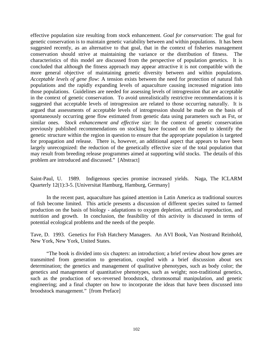effective population size resulting from stock enhancement. *Goal for conservation*: The goal for genetic conservation is to maintain genetic variability between and within populations. It has been suggested recently, as an alternative to that goal, that in the context of fisheries management conservation should strive at maintaining the variance or the distribution of fitness. The characteristics of this model are discussed from the perspective of population genetics. It is concluded that although the fitness approach may appear attractive it is not compatible with the more general objective of maintaining genetic diversity between and within populations. *Acceptable levels of gene flow*: A tension exists between the need for protection of natural fish populations and the rapidly expanding levels of aquaculture causing increased migration into those populations. Guidelines are needed for assessing levels of introgression that are acceptable in the context of genetic conservation. To avoid unrealistically restrictive recommendations it is suggested that acceptable levels of introgression are related to those occurring naturally. It is argued that assessments of acceptable levels of introgression should be made on the basis of spontaneously occurring gene flow estimated from genetic data using parameters such as Fst, or similar ones. *Stock enhancement and effective size*: In the context of genetic conservation previously published recommendations on stocking have focused on the need to identify the genetic structure within the region in question to ensure that the appropriate population is targeted for propagation and release. There is, however, an additional aspect that appears to have been largely unrecognized: the reduction of the genetically effective size of the total population that may result from breeding release programmes aimed at supporting wild stocks. The details of this problem are introduced and discussed." [Abstract]

Saint-Paul, U. 1989. Indigenous species promise increased yields. Naga, The ICLARM Quarterly 12(1):3-5. [Universitat Hamburg, Hamburg, Germany]

 In the recent past, aquaculture has gained attention in Latin America as traditional sources of fish become limited. This article presents a discussion of different species suited to farmed production on the basis of biology - adaptations to oxygen depletion, artificial reproduction, and nutrition and growth. In conclusion, the feasibility of this activity is discussed in terms of potential ecological problems and the needs of the people.

Tave, D. 1993. Genetics for Fish Hatchery Managers. An AVI Book, Van Nostrand Reinhold, New York, New York, United States.

 "The book is divided into six chapters: an introduction; a brief review about how genes are transmitted from generation to generation, coupled with a brief discussion about sex determination; the genetics and management of qualitative phenotypes, such as body color; the genetics and management of quantitative phenotypes, such as weight; non-traditional genetics, such as the production of sex-reversed broodstock, chromosomal manipulation, and genetic engineering; and a final chapter on how to incorporate the ideas that have been discussed into broodstock management." [from Preface]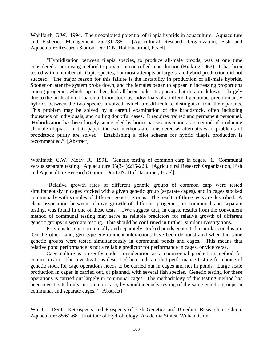Wohlfarth, G.W. 1994. The unexploited potential of tilapia hybrids in aquaculture. Aquaculture and Fisheries Management 25:781-788. [Agricultural Research Organization, Fish and Aquaculture Research Station, Dor D.N. Hof Hacarmel, Israel]

 "Hybridization between tilapia species, to produce all-male broods, was at one time considered a promising method to prevent uncontrolled reproduction (Hicking 1963). It has been tested with a number of tilapia species, but most attempts at large-scale hybrid production did not succeed. The major reason for this failure is the instability in production of all-male hybrids. Sooner or later the system broke down, and the females began to appear in increasing proportions among progenies which, up to then, had all been male. It appears that this breakdown is largely due to the infiltration of parental broodstock by individuals of a different genotype, predominantly hybrids between the two species involved, which are difficult to distinguish from their parents. This problem may be solved by a careful examination of the broodstock, often including thousands of individuals, and culling doubtful cases. It requires trained and permanent personnel. Hybridization has been largely superseded by hormonal sex inversion as a method of producing all-male tilapias. In this paper, the two methods are considered as alternatives, if problems of broodstock purity are solved. Establishing a pilot scheme for hybrid tilapia production is recommended." [Abstract]

Wohlfarth, G.W.; Moav, R. 1991. Genetic testing of common carp in cages. 1. Communal versus separate testing. Aquaculture 95(3-4):215-223. [Agricultural Research Organization, Fish and Aquaculture Research Station, Dor D.N. Hof Hacarmel, Israel]

 "Relative growth rates of different genetic groups of common carp were tested simultaneously in cages stocked with a given genetic group (separate cages), and in cages stocked communally with samples of different genetic groups. The results of three tests are described. A clear association between relative growth of different progenies, in communal and separate testing, was found in one of these tests. ...We suggest that, in cages, results from the convenient method of communal testing may serve as reliable predictors for relative growth of different genetic groups in separate testing. This should be confirmed in further, similar investigations.

 Previous tests in communally and separately stocked ponds generated a similar conclusion. On the other hand, genotype-environment interactions have been demonstrated when the same genetic groups were tested simultaneously in communal ponds and cages. This means that relative pond performance is not a reliable predictor for performance in cages, or vice versa.

 Cage culture is presently under consideration as a commercial production method for common carp. The investigations described here indicate that performance testing for choice of genetic stock for cage operations needs to be carried out in cages and not in ponds. Large scale production in cages is carried out, or planned, with several fish species. Genetic testing for these operations is carried out largely in communal cages. The methodology of this testing method has been investigated only in common carp, by simultaneously testing of the same genetic groups in communal and separate cages." [Abstract]

Wu, C. 1990. Retrospects and Prospects of Fish Genetics and Breeding Research in China. Aquaculture 85:61-68. [Institute of Hydrobiology, Academia Sinica, Wuhan, China]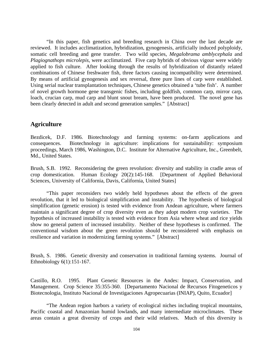"In this paper, fish genetics and breeding research in China over the last decade are reviewed. It includes acclimatization, hybridization, gynogenesis, artificially induced polyploidy, somatic cell breeding and gene transfer. Two wild species, *Megalobrama amblycephala* and *Plagiognathops microlepis*, were acclimatized. Five carp hybrids of obvious vigour were widely applied to fish culture. After looking through the results of hybridization of distantly related combinations of Chinese freshwater fish, three factors causing incompatibility were determined. By means of artificial gynogenesis and sex reversal, three pure lines of carp were established. Using serial nuclear transplantation techniques, Chinese genetics obtained a 'tube fish'. A number of novel growth hormone gene transgenic fishes, including goldfish, common carp, mirror carp, loach, crucian carp, mud carp and blunt snout bream, have been produced. The novel gene has been clearly detected in adult and second generation samples." [Abstract]

#### **Agriculture**

Bezdicek, D.F. 1986. Biotechnology and farming systems: on-farm applications and consequences. Biotechnology in agriculture: implications for sustainability: symposium proceedings, March 1986, Washington, D.C. Institute for Alternative Agriculture, Inc., Greenbelt, Md., United States.

Brush, S.B. 1992. Reconsidering the green revolution: diversity and stability in cradle areas of crop domestication. Human Ecology 20(2):145-168. [Department of Applied Behavioral Sciences, University of California, Davis, California, United States]

 "This paper reconsiders two widely held hypotheses about the effects of the green revolution, that it led to biological simplification and instability. The hypothesis of biological simplification (genetic erosion) is tested with evidence from Andean agriculture, where farmers maintain a significant degree of crop diversity even as they adopt modern crop varieties. The hypothesis of increased instability is tested with evidence from Asia where wheat and rice yields show no general pattern of increased instability. Neither of these hypotheses is confirmed. The conventional wisdom about the green revolution should be reconsidered with emphasis on resilience and variation in modernizing farming systems." [Abstract]

Brush, S. 1986. Genetic diversity and conservation in traditional farming systems. Journal of Ethnobiology 6(1):151-167.

Castillo, R.O. 1995. Plant Genetic Resources in the Andes: Impact, Conservation, and Management. Crop Science 35:355-360. [Departamento Nacional de Recursos Fitogeneticos y Biotecnologia, Instituto Nacional de Investigaciones Agropecuarias (INIAP), Quito, Ecuador]

 "The Andean region harbors a variety of ecological niches including tropical mountains, Pacific coastal and Amazonian humid lowlands, and many intermediate microclimates. These areas contain a great diversity of crops and their wild relatives. Much of this diversity is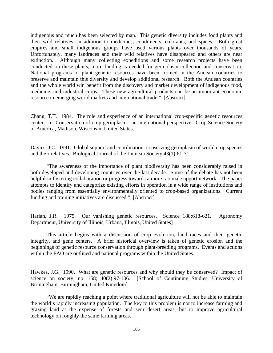indigenous and much has been selected by man. This genetic diversity includes food plants and their wild relatives, in addition to medicines, condiments, colorants, and spices. Both great empires and small indigenous groups have used various plants over thousands of years. Unfortunately, many landraces and their wild relatives have disappeared and others are near extinction. Although many collecting expeditions and some research projects have been conducted on these plants, more funding is needed for germplasm collection and conservation. National programs of plant genetic resources have been formed in the Andean countries to preserve and maintain this diversity and develop additional research. Both the Andean countries and the whole world win benefit from the discovery and market development of indigenous food, medicine, and industrial crops. These new agricultural products can be an important economic resource in emerging world markets and international trade." [Abstract]

Chang, T.T. 1984. The role and experience of an international crop-specific genetic resources center. In: Conservation of crop germplasm - an international perspective. Crop Science Society of America, Madison, Wisconsin, United States.

Davies, J.C. 1991. Global support and coordination: conserving germplasm of world crop species and their relatives. Biological Journal of the Linnean Society 43(1):61-71.

 "The awareness of the importance of plant biodiversity has been considerably raised in both developed and developing countries over the last decade. Some of the debate has not been helpful in fostering collaboration or progress towards a more rational support network. The paper attempts to identify and categorize existing efforts in operation in a wide range of institutions and bodies ranging from essentially environmentally oriented to crop-based organizations. Current funding and training initiatives are discussed." [Abstract]

Harlan, J.R. 1975. Our vanishing genetic resources. Science 188:618-621. [Agronomy Department, University of Illinois, Urbana, Illinois, United States]

 This article begins with a discussion of crop evolution, land races and their genetic integrity, and gene centers. A brief historical overview is taken of genetic erosion and the beginnings of genetic resource conservation through plant-breeding programs. Events and actions within the FAO are outlined and national programs within the United States.

Hawkes, J.G. 1990. What are genetic resources and why should they be conserved? Impact of science on society, no. 158; 40(2):97-106. [School of Continuing Studies, University of Birmingham, Birmingham, United Kingdom]

 "We are rapidly reaching a point where traditional agriculture will not be able to maintain the world's rapidly increasing population. The key to this problem is not to increase farming and grazing land at the expense of forests and semi-desert areas, but to improve agricultural technology on roughly the same farming areas.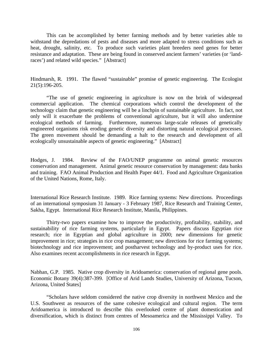This can be accomplished by better farming methods and by better varieties able to withstand the depredations of pests and diseases and more adapted to stress conditions such as heat, drought, salinity, etc. To produce such varieties plant breeders need genes for better resistance and adaptation. These are being found in conserved ancient farmers' varieties (or 'landraces') and related wild species." [Abstract]

Hindmarsh, R. 1991. The flawed "sustainable" promise of genetic engineering. The Ecologist 21(5):196-205.

 "The use of genetic engineering in agriculture is now on the brink of widespread commercial application. The chemical corporations which control the development of the technology claim that genetic engineering will be a linchpin of sustainable agriculture. In fact, not only will it exacerbate the problems of conventional agriculture, but it will also undermine ecological methods of farming. Furthermore, numerous large-scale releases of genetically engineered organisms risk eroding genetic diversity and distorting natural ecological processes. The green movement should be demanding a halt to the research and development of all ecologically unsustainable aspects of genetic engineering." [Abstract]

Hodges, J. 1984. Review of the FAO/UNEP programme on animal genetic resources conservation and management. Animal genetic resource conservation by management: data banks and training. FAO Animal Production and Health Paper 44/1. Food and Agriculture Organization of the United Nations, Rome, Italy.

International Rice Research Institute. 1989. Rice farming systems: New directions. Proceedings of an international symposium 31 January - 3 February 1987, Rice Research and Training Center, Sakha, Egypt. International Rice Research Institute, Manila, Philippines.

 Thirty-two papers examine how to improve the productivity, profitability, stability, and sustainability of rice farming systems, particularly in Egypt. Papers discuss Egyptian rice research; rice in Egyptian and global agriculture in 2000; new dimensions for genetic improvement in rice; strategies in rice crop management; new directions for rice farming systems; biotechnology and rice improvement; and postharvest technology and by-product uses for rice. Also examines recent accomplishments in rice research in Egypt.

Nabhan, G.P. 1985. Native crop diversity in Aridoamerica: conservation of regional gene pools. Economic Botany 39(4):387-399. [Office of Arid Lands Studies, University of Arizona, Tucson, Arizona, United States]

 "Scholars have seldom considered the native crop diversity in northwest Mexico and the U.S. Southwest as resources of the same cohesive ecological and cultural region. The term Aridoamerica is introduced to describe this overlooked centre of plant domestication and diversification, which is distinct from centres of Mesoamerica and the Mississippi Valley. To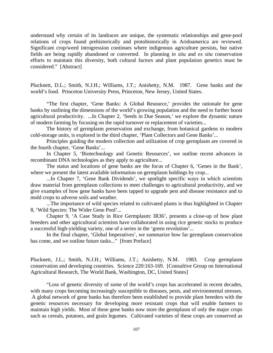understand why certain of its landraces are unique, the systematic relationships and gene-pool relations of crops found prehistorically and protohistorically in Aridoamerica are reviewed. Significant crop/weed introgression continues where indigenous agriculture persists, but native fields are being rapidly abandoned or converted. In planning *in situ* and *ex situ* conservation efforts to maintain this diversity, both cultural factors and plant population genetics must be considered." [Abstract]

Plucknett, D.L.; Smith, N.J.H.; Williams, J.T.; Anishetty, N.M. 1987. Gene banks and the world's food. Princeton University Press, Princeton, New Jersey, United States.

 "The first chapter, 'Gene Banks: A Global Resource,' provides the rationale for gene banks by outlining the dimensions of the world's growing population and the need to further boost agricultural productivity. ...In Chapter 2, 'Seeds in Due Season,' we explore the dynamic nature of modern farming by focusing on the rapid turnover or replacement of varieties...

 The history of germplasm preservation and exchange, from botanical gardens to modern cold-storage units, is explored in the third chapter, 'Plant Collectors and Gene Banks'...

 Principles guiding the modern collection and utilization of crop germplasm are covered in the fourth chapter, 'Gene Banks'...

 In Chapter 5, 'Biotechnology and Genetic Resources', we outline recent advances in recombinant DNA technologies as they apply to agriculture...

 The status and locations of gene banks are the focus of Chapter 6, 'Genes in the Bank', where we present the latest available information on germplasm holdings by crop...

 ...In Chapter 7, 'Gene Bank Dividends', we spotlight specific ways in which scientists draw material from germplasm collections to meet challenges to agricultural productivity, and we give examples of how gene banks have been tapped to upgrade pest and disease resistance and to mold crops to adverse soils and weather.

 ...The importance of wild species related to cultivated plants is thus highlighted in Chapter 8, 'Wild Species: The Wider Gene Pool'...

 Chapter 9, 'A Case Study in Rice Germplasm: IR36', presents a close-up of how plant breeders and other agricultural scientists have collaborated in using rice genetic stocks to produce a successful high-yielding variety, one of a series in the 'green revolution'...

 In the final chapter, 'Global Imperatives', we summarize how far germplasm conservation has come, and we outline future tasks..." [from Preface]

Plucknett, J.L.; Smith, N.J.H.; Williams, J.T.; Anishetty, N.M. 1983. Crop germplasm conservation and developing countries. Science 220:163-169. [Consultive Group on International Agricultural Research, The World Bank, Washington, DC, United States]

 "Loss of genetic diversity of some of the world's crops has accelerated in recent decades, with many crops becoming increasingly susceptible to diseases, pests, and environmental stresses. A global network of gene banks has therefore been established to provide plant breeders with the genetic resources necessary for developing more resistant crops that will enable farmers to maintain high yields. Most of these gene banks now store the germplasm of only the major crops such as cereals, potatoes, and grain legumes. Cultivated varieties of these crops are conserved as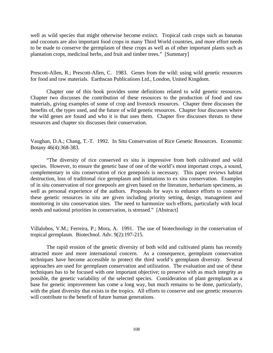well as wild species that might otherwise become extinct. Tropical cash crops such as bananas and coconuts are also important food crops in many Third World countries, and more effort needs to be made to conserve the germplasm of these crops as well as of other important plants such as plantation crops, medicinal herbs, and fruit and timber trees." [Summary]

Prescott-Allen, R.; Prescott-Allen, C. 1983. Genes from the wild: using wild genetic resources for food and raw materials. Earthscan Publications Ltd., London, United Kingdom.

 Chapter one of this book provides some definitions related to wild genetic resources. Chapter two discusses the contribution of these resources to the production of food and raw materials, giving examples of some of crop and livestock resources. Chapter three discusses the benefits of, the types used, and the future of wild genetic resources. Chapter four discusses where the wild genes are found and who it is that uses them. Chapter five discusses threats to these resources and chapter six discusses their conservation.

Vaughan, D.A.; Chang, T.-T. 1992. In Situ Conservation of Rice Genetic Resources. Economic Botany 46(4):368-383.

 "The diversity of rice conserved ex situ is impressive from both cultivated and wild species. However, to ensure the genetic base of one of the world's most important crops, a sound, complementary in situ conservation of rice genepools is necessary. This paper reviews habitat destruction, loss of traditional rice germplasm and limitations to ex situ conservation. Examples of in situ conservation of rice genepools are given based on the literature, herbarium specimens, as well as personal experience of the authors. Proposals for ways to enhance efforts to conserve these genetic resources in situ are given including priority setting, design, management and monitoring in situ conservation sites. The need to harmonize such efforts, particularly with local needs and national priorities in conservation, is stressed." [Abstract]

Villalobos, V.M.; Ferreira, P.; Mora, A. 1991. The use of biotechnology in the conservation of tropical germplasm. Biotechnol. Adv. 9(2):197-215.

 The rapid erosion of the genetic diversity of both wild and cultivated plants has recently attracted more and more international concern. As a consequence, germplasm conservation techniques have become accessible to protect the third world's germplasm diversity. Several approaches are used for germplasm conservation and utilization. The evaluation and use of these techniques has to be focused with one important objective; to preserve with as much integrity as possible, the genetic variability of the selected species. Consideration of plant germplasm as a base for genetic improvement has come a long way, but much remains to be done, particularly, with the plant diversity that exists in the tropics. All efforts to conserve and use genetic resources will contribute to the benefit of future human generations.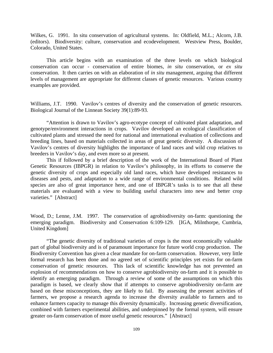Wilkes, G. 1991. In situ conservation of agricultural systems. In: Oldfield, M.L.; Alcorn, J.B. (editors). Biodiversity: culture, conservation and ecodevelopment. Westview Press, Boulder, Colorado, United States.

 This article begins with an examination of the three levels on which biological conservation can occur - conservation of entire biomes, *in situ* conservation, or *ex situ* conservation. It then carries on with an elaboration of *in situ* management, arguing that different levels of management are appropriate for different classes of genetic resources. Various country examples are provided.

Williams, J.T. 1990. Vavilov's centres of diversity and the conservation of genetic resources. Biological Journal of the Linnean Society 39(1):89-93.

 "Attention is drawn to Vavilov's agro-ecotype concept of cultivated plant adaptation, and genotype/environment interactions in crops. Vavilov developed an ecological classification of cultivated plants and stressed the need for national and international evaluation of collections and breeding lines, based on materials collected in areas of great genetic diversity. A discussion of Vavilov's centres of diversity highlights the importance of land races and wild crop relatives to breeders in Vavilov's day, and even more so at present.

 This if followed by a brief description of the work of the International Board of Plant Genetic Resources (IBPGR) in relation to Vavilov's philosophy, in its efforts to conserve the genetic diversity of crops and especially old land races, which have developed resistances to diseases and pests, and adaptation to a wide range of environmental conditions. Related wild species are also of great importance here, and one of IBPGR's tasks is to see that all these materials are evaluated with a view to building useful characters into new and better crop varieties." [Abstract]

Wood, D.; Lenne, J.M. 1997. The conservation of agrobiodiversity on-farm: questioning the emerging paradigm. Biodiversity and Conservation 6:109-129. [IGA, Milnthorpe, Cumbria, United Kingdom]

 "The genetic diversity of traditional varieties of crops is the most economically valuable part of global biodiversity and is of paramount importance for future world crop production. The Biodiversity Convention has given a clear mandate for on-farm conservation. However, very little formal research has been done and no agreed set of scientific principles yet exists for on-farm conservation of genetic resources. This lack of scientific knowledge has not prevented an explosion of recommendations on how to conserve agrobiodiversity on-farm and it is possible to identify an emerging paradigm. Through a review of some of the assumptions on which this paradigm is based, we clearly show that if attempts to conserve agrobiodiversity on-farm are based on these misconceptions, they are likely to fail. By assessing the present activities of farmers, we propose a research agenda to increase the diversity available to farmers and to enhance farmers capacity to manage this diversity dynamically. Increasing genetic diversification, combined with farmers experimental abilities, and underpinned by the formal system, will ensure greater on-farm conservation of more useful genetic resources." [Abstract]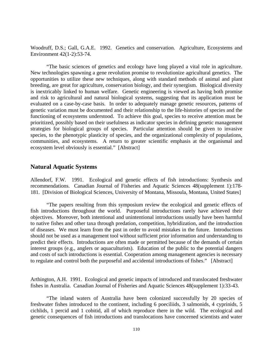Woodruff, D.S.; Gall, G.A.E. 1992. Genetics and conservation. Agriculture, Ecosystems and Environment 42(1-2):53-74.

 "The basic sciences of genetics and ecology have long played a vital role in agriculture. New technologies spawning a gene revolution promise to revolutionize agricultural genetics. The opportunities to utilize these new techniques, along with standard methods of animal and plant breeding, are great for agriculture, conservation biology, and their synergism. Biological diversity is inextricably linked to human welfare. Genetic engineering is viewed as having both promise and risk to agricultural and natural biological systems, suggesting that its application must be evaluated on a case-by-case basis. In order to adequately manage genetic resources, patterns of genetic variation must be documented and their relationship to the life-histories of species and the functioning of ecosystems understood. To achieve this goal, species to receive attention must be prioritized, possibly based on their usefulness as indicator species in defining genetic management strategies for biological groups of species. Particular attention should be given to invasive species, to the phenotypic plasticity of species, and the organizational complexity of populations, communities, and ecosystems. A return to greater scientific emphasis at the organismal and ecosystem level obviously is essential." [Abstract]

# **Natural Aquatic Systems**

Allendorf, F.W. 1991. Ecological and genetic effects of fish introductions: Synthesis and recommendations. Canadian Journal of Fisheries and Aquatic Sciences 48(supplement 1):178- 181. [Division of Biological Sciences, University of Montana, Missoula, Montana, United States]

 "The papers resulting from this symposium review the ecological and genetic effects of fish introductions throughout the world. Purposeful introductions rarely have achieved their objectives. Moreover, both intentional and unintentional introductions usually have been harmful to native fishes and other taxa through predation, competition, hybridization, and the introduction of diseases. We must learn from the past in order to avoid mistakes in the future. Introductions should not be used as a management tool without sufficient prior information and understanding to predict their effects. Introductions are often made or permitted because of the demands of certain interest groups (e.g., anglers or aquaculturists). Education of the public to the potential dangers and costs of such introductions is essential. Cooperation among management agencies is necessary to regulate and control both the purposeful and accidental introductions of fishes." [Abstract]

Arthington, A.H. 1991. Ecological and genetic impacts of introduced and translocated freshwater fishes in Australia. Canadian Journal of Fisheries and Aquatic Sciences 48(supplement 1):33-43.

 "The inland waters of Australia have been colonized successfully by 20 species of freshwater fishes introduced to the continent, including 6 poeciliids, 3 salmonids, 4 cyprinids, 5 cichlids, 1 percid and 1 cobitid, all of which reproduce there in the wild. The ecological and genetic consequences of fish introductions and translocations have concerned scientists and water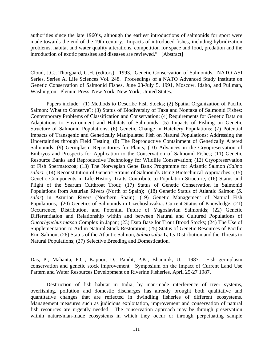authorities since the late 1960's, although the earliest introductions of salmonids for sport were made towards the end of the 19th century. Impacts of introduced fishes, including hybridization problems, habitat and water quality alterations, competition for space and food, predation and the introduction of exotic parasites and diseases are reviewed." [Abstract]

Cloud, J.G.; Thorgaard, G.H. (editors). 1993. Genetic Conservation of Salmonids. NATO ASI Series, Series A, Life Sciences Vol. 248. Proceedings of a NATO Advanced Study Institute on Genetic Conservation of Salmonid Fishes, June 23-July 5, 1991, Moscow, Idaho, and Pullman, Washington. Plenum Press, New York, New York, United States.

 Papers include: (1) Methods to Describe Fish Stocks; (2) Spatial Organization of Pacific Salmon: What to Conserve?; (3) Status of Biodiversity of Taxa and Nontaxa of Salmonid Fishes: Contemporary Problems of Classification and Conservation; (4) Requirements for Genetic Data on Adaptations to Environment and Habitats of Salmonids; (5) Impacts of Fishing on Genetic Structure of Salmonid Populations; (6) Genetic Change in Hatchery Populations; (7) Potential Impacts of Transgenic and Genetically Manipulated Fish on Natural Populations: Addressing the Uncertainties through Field Testing; (8) The Reproductive Containment of Genetically Altered Salmonids; (9) Germplasm Repositories for Plants; (10) Advances in the Cryopreservation of Embryos and Prospects for Application to the Conservation of Salmonid Fishes; (11) Genetic Resource Banks and Reproductive Technology for Wildlife Conservation; (12) Cryopreservation of Fish Spermatozoa; (13) The Norwegian Gene Bank Programme for Atlantic Salmon *(Salmo salar)*; (14) Reconstitution of Genetic Strains of Salmonids Using Biotechnical Approaches; (15) Genetic Components in Life History Traits Contribute to Population Structure; (16) Status and Plight of the Searum Cutthroat Trout; (17) Status of Genetic Conservation in Salmonid Populations from Asturian Rivers (North of Spain); (18) Genetic Status of Atlantic Salmon (*S. salar*) in Asturian Rivers (Northern Spain); (19) Genetic Management of Natural Fish Populations; (20) Genetics of Salmonids in Czechoslovakia: Current Status of Knowledge; (21) Occurrence, Distribution, and Potential Future of Yugoslavian Salmonids; (22) Genetic Differentiation and Relationship within and between Natural and Cultured Populations of *Oncorhynchus masou* Complex in Japan; (23) Data Base for Trout Brood Stocks; (24) The Use of Supplementation to Aid in Natural Stock Restoration; (25) Status of Genetic Resources of Pacific Rim Salmon; (26) Status of the Atlantic Salmon, *Salmo salar* L, Its Distribution and the Threats to Natural Populations; (27) Selective Breeding and Domestication.

Das, P.; Mahanta, P.C.; Kapoor, D.; Pandit, P.K.; Bhaumik, U. 1987. Fish germplasm conservation and genetic stock improvement. Symposium on the Impact of Current Land Use Pattern and Water Resources Development on Riverine Fisheries, April 25-27 1987.

 Destruction of fish habitat in India, by man-made interference of river systems, overfishing, pollution and domestic discharges has already brought both qualitative and quantitative changes that are reflected in dwindling fisheries of different ecosystems. Management measures such as judicious exploitation, improvement and conservation of natural fish resources are urgently needed. The conservation approach may be through preservation within nature/man-made ecosystems in which they occur or through perpetuating sample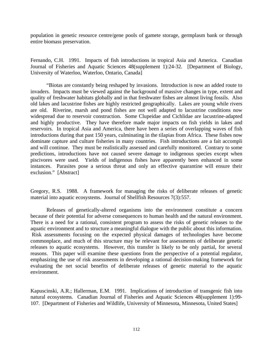population in genetic resource centre/gene pools of gamete storage, germplasm bank or through entire biomass preservation.

Fernando, C.H. 1991. Impacts of fish introductions in tropical Asia and America. Canadian Journal of Fisheries and Aquatic Sciences 48(supplement 1):24-32. [Department of Biology, University of Waterloo, Waterloo, Ontario, Canada]

 "Biotas are constantly being reshaped by invasions. Introduction is now an added route to invaders. Impacts must be viewed against the background of massive changes in type, extent and quality of freshwater habitats globally and in that freshwater fishes are almost living fossils. Also old lakes and lacustrine fishes are highly restricted geographically. Lakes are young while rivers are old. Riverine, marsh and pond fishes are not well adapted to lacustrine conditions now widespread due to reservoir construction. Some Clupeidae and Cichlidae are lacustrine-adapted and highly productive. They have therefore made major impacts on fish yields in lakes and reservoirs. In tropical Asia and America, there have been a series of overlapping waves of fish introductions during that past 150 years, culminating in the tilapias from Africa. These fishes now dominate capture and culture fisheries in many countries. Fish introductions are a fait accompli and will continue. They must be realistically assessed and carefully monitored. Contrary to some predictions, introductions have not caused severe damage to indigenous species except when piscivores were used. Yields of indigenous fishes have apparently been enhanced in some instances. Parasites pose a serious threat and only an effective quarantine will ensure their exclusion." [Abstract]

Gregory, R.S. 1988. A framework for managing the risks of deliberate releases of genetic material into aquatic ecosystems. Journal of Shellfish Resources 7(3):557.

 Releases of genetically-altered organisms into the environment constitute a concern because of their potential for adverse consequences to human health and the natural environment. There is a need for a rational, consistent program to assess the risks of genetic releases to the aquatic environment and to structure a meaningful dialogue with the public about this information. Risk assessments focusing on the expected physical damages of technologies have become commonplace, and much of this structure may be relevant for assessments of deliberate genetic releases to aquatic ecosystems. However, this transfer is likely to be only partial, for several reasons. This paper will examine these questions from the perspective of a potential regulator, emphasizing the use of risk assessments in developing a rational decision-making framework for evaluating the net social benefits of deliberate releases of genetic material to the aquatic environment.

Kapuscinski, A.R.; Hallerman, E.M. 1991. Implications of introduction of transgenic fish into natural ecosystems. Canadian Journal of Fisheries and Aquatic Sciences 48(supplement 1):99- 107. [Department of Fisheries and Wildlife, University of Minnesota, Minnesota, United States]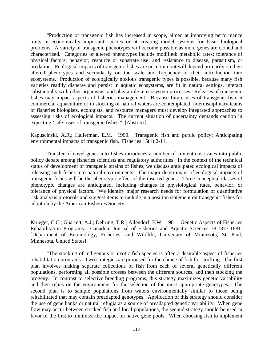"Production of transgenic fish has increased in scope, aimed at improving performance traits in economically important species or at creating model systems for basic biological problems. A variety of transgenic phenotypes will become possible as more genes are cloned and characterized. Categories of altered phenotypes include modified: metabolic rates; tolerance of physical factors; behavior; resource or substrate use; and resistance to disease, parasitism, or predation. Ecological impacts of transgenic fishes are uncertain but will depend primarily on their altered phenotypes and secondarily on the scale and frequency of their introduction into ecosystems. Production of ecologically noxious transgenic types is possible, because many fish varieties readily disperse and persist in aquatic ecosystems, are fit in natural settings, interact substantially with other organisms, and play a role in ecosystem processes. Releases of transgenic fishes may impact aspects of fisheries management. Because future uses of transgenic fish in commercial aquaculture or in stocking of natural waters are contemplated, interdisciplinary teams of fisheries biologists, ecologists, and resource managers must develop integrated approaches to assessing risks of ecological impacts. The current situation of uncertainty demands caution in expecting 'safe' uses of transgenic fishes." [Abstract]

Kapuscinski, A.R.; Hallerman, E.M. 1990. Transgenic fish and public policy: Anticipating environmental impacts of transgenic fish. Fisheries 15(1):2-11.

 Transfer of novel genes into fishes introduces a number of contentious issues into public policy debate among fisheries scientists and regulatory authorities. In the context of the technical status of development of transgenic strains of fishes, we discuss anticipated ecological impacts of releasing such fishes into natural environments. The major determinant of ecological impacts of transgenic fishes will be the phenotypic effect of the inserted genes. Three conceptual classes of phenotypic changes are anticipated, including changes in physiological rates, behavior, or tolerance of physical factors. We identify major research needs for formulation of quantitative risk analysis protocols and suggest items to include in a position statement on transgenic fishes for adoption by the American Fisheries Society.

Krueger, C.C.; Gharrett, A.J.; Dehring, T.R.; Allendorf, F.W. 1981. Genetic Aspects of Fisheries Rehabilitation Programs. Canadian Journal of Fisheries and Aquatic Sciences 38:1877-1881. [Department of Entomology, Fisheries, and Wildlife, University of Minnesota, St. Paul, Minnesota, United States]

 "The stocking of indigenous or exotic fish species is often a desirable aspect of fisheries rehabilitation programs. Two strategies are proposed for the choice of fish for stocking. The first plan involves making separate collections of fish from each of several genetically different populations, performing all possible crosses between the different sources, and then stocking the progeny. In contrast to selective breeding programs, this strategy maximizes genetic variability and then relies on the environment for the selection of the most appropriate genotypes. The second plan is to sample populations from waters environmentally similar to those being rehabilitated that may contain preadapted genotypes. Application of this strategy should consider the use of gene banks or natural refugia as a source of preadapted genetic variability. When gene flow may occur between stocked fish and local populations, the second strategy should be used in favor of the first to minimize the impact on native gene pools. When choosing fish to implement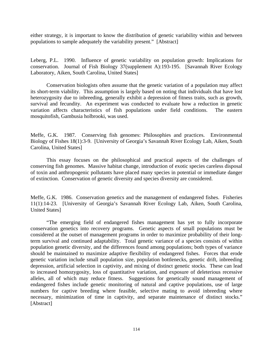either strategy, it is important to know the distribution of genetic variability within and between populations to sample adequately the variability present." [Abstract]

Leberg, P.L. 1990. Influence of genetic variability on population growth: Implications for conservation. Journal of Fish Biology 37(supplement A):193-195. [Savannah River Ecology Laboratory, Aiken, South Carolina, United States]

 Conservation biologists often assume that the genetic variation of a population may affect its short-term viability. This assumption is largely based on noting that individuals that have lost heterozygosity due to inbreeding, generally exhibit a depression of fitness traits, such as growth, survival and fecundity. An experiment was conducted to evaluate how a reduction in genetic variation affects characteristics of fish populations under field conditions. The eastern mosquitofish, Gambusia holbrooki, was used.

Meffe, G.K. 1987. Conserving fish genomes: Philosophies and practices. Environmental Biology of Fishes 18(1):3-9. [University of Georgia's Savannah River Ecology Lab, Aiken, South Carolina, United States]

 This essay focuses on the philosophical and practical aspects of the challenges of conserving fish genomes. Massive habitat change, introduction of exotic species careless disposal of toxin and anthropogenic pollutants have placed many species in potential or immediate danger of extinction. Conservation of genetic diversity and species diversity are considered.

Meffe, G.K. 1986. Conservation genetics and the management of endangered fishes. Fisheries 11(1):14-23. [University of Georgia's Savannah River Ecology Lab, Aiken, South Carolina, United States]

 "The emerging field of endangered fishes management has yet to fully incorporate conservation genetics into recovery programs. Genetic aspects of small populations must be considered at the outset of management programs in order to maximize probability of their longterm survival and continued adaptability. Total genetic variance of a species consists of within population genetic diversity, and the differences found among populations; both types of variance should be maintained to maximize adaptive flexibility of endangered fishes. Forces that erode genetic variation include small population size, population bottlenecks, genetic drift, inbreeding depression, artificial selection in captivity, and mixing of distinct genetic stocks. These can lead to increased homozygosity, loss of quantitative variation, and exposure of deleterious recessive alleles, all of which may reduce fitness. Suggestions for genetically sound management of endangered fishes include genetic monitoring of natural and captive populations, use of large numbers for captive breeding where feasible, selective mating to avoid inbreeding where necessary, minimization of time in captivity, and separate maintenance of distinct stocks." [Abstract]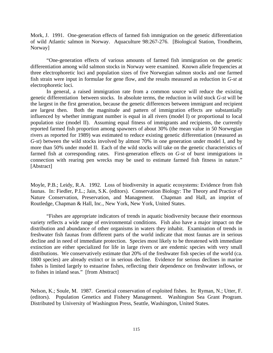Mork, J. 1991. One-generation effects of farmed fish immigration on the genetic differentiation of wild Atlantic salmon in Norway. Aquaculture 98:267-276. [Biological Station, Trondheim, Norway]

 "One-generation effects of various amounts of farmed fish immigration on the genetic differentiation among wild salmon stocks in Norway were examined. Known allele frequencies at three electrophoretic loci and population sizes of five Norwegian salmon stocks and one farmed fish strain were input in formulae for gene flow, and the results measured as reduction in *G-st* at electrophoretic loci.

 In general, a raised immigration rate from a common source will reduce the existing genetic differentiation between stocks. In absolute terms, the reduction in wild stock *G-st* will be the largest in the first generation, because the genetic differences between immigrant and recipient are largest then. Both the magnitude and pattern of immigration effects are substantially influenced by whether immigrant number is equal in all rivers (model I) or proportional to local population size (model II). Assuming equal fitness of immigrants and recipients, the currently reported farmed fish proportion among spawners of about 30% (the mean value in 50 Norwegian rivers as reported for 1989) was estimated to reduce existing genetic differentiation (measured as *G-st*) between the wild stocks involved by almost 70% in one generation under model I, and by more than 50% under model II. Each of the wild stocks will take on the genetic characteristics of farmed fish at corresponding rates. First-generation effects on *G-st* of burst immigrations in connection with rearing pen wrecks may be used to estimate farmed fish fitness in nature." [Abstract]

Moyle, P.B.; Leidy, R.A. 1992. Loss of biodiversity in aquatic ecosystems: Evidence from fish faunas. In: Fiedler, P.L.; Jain, S.K. (editors). Conservation Biology: The Theory and Practice of Nature Conservation, Preservation, and Management. Chapman and Hall, an imprint of Routledge, Chapman & Hall, Inc., New York, New York, United States.

 "Fishes are appropriate indicators of trends in aquatic biodiversity because their enormous variety reflects a wide range of environmental conditions. Fish also have a major impact on the distribution and abundance of other organisms in waters they inhabit. Examination of trends in freshwater fish faunas from different parts of the world indicate that most faunas are in serious decline and in need of immediate protection. Species most likely to be threatened with immediate extinction are either specialized for life in large rivers or are endemic species with very small distributions. We conservatively estimate that 20% of the freshwater fish species of the world (ca. 1800 species) are already extinct or in serious decline. Evidence for serious declines in marine fishes is limited largely to estuarine fishes, reflecting their dependence on freshwater inflows, or to fishes in inland seas." [from Abstract]

Nelson, K.; Soule, M. 1987. Genetical conservation of exploited fishes. In: Ryman, N.; Utter, F. (editors). Population Genetics and Fishery Management. Washington Sea Grant Program. Distributed by University of Washington Press, Seattle, Washington, United States.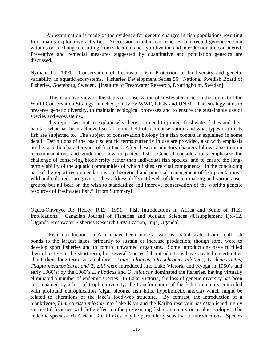An examination is made of the evidence for genetic changes in fish populations resulting from man's exploitative activities. Succession in intensive fisheries, undirected genetic erosion within stocks, changes resulting from selection, and hybridization and introduction are considered. Preventive and remedial measures suggested by quantitative and population genetics are discussed.

Nyman, L. 1991. Conservation of freshwater fish: Protection of biodiversity and genetic variability in aquatic ecosystems. Fisheries Development Series 56. National Swedish Board of Fisheries, Goeteborg, Sweden. [Institute of Freshwater Research, Drottingholm, Sweden]

 "This is an overview of the status of conservation of freshwater fishes in the context of the World Conservation Strategy launched jointly by WWF, IUCN and UNEP. This strategy aims to preserve genetic diversity, to maintain ecological processes and to ensure the sustainable use of species and ecosystems...

 This report sets out to explain why there is a need to protect freshwater fishes and their habitat, what has been achieved so far in the field of fish conservation and what types of threats fish are subjected to. The subject of conservation biology in a fish context is explained in some detail. Definitions of the basic scientific terms currently in use are provided, also with emphasis on the specific characteristics of fish taxa. After these introductory chapters follows a section on recommendations and guidelines how to protect fish. General considerations emphasize the challenge of conserving biodiversity rather than individual fish species, and to ensure the longterm viability of the aquatic communities of which fishes are vital components. In the concluding part of the report recommendations on theoretical and practical management of fish populations wild and cultured - are given. They address different levels of decision making and various user groups, but all bear on the wish to standardize and improve conservation of the world's genetic resources of freshwater fish." [from Summary]

Ogutu-Ohwayo, R.; Hecky, R.E. 1991. Fish Introductions in Africa and Some of Their Implications. Canadian Journal of Fisheries and Aquatic Sciences 48(supplement 1):8-12. [Uganda Freshwater Fisheries Research Organization, Jinja, Uganda]

 "Fish introductions in Africa have been made at various spatial scales from small fish ponds to the largest lakes, primarily to sustain or increase production, though some were to develop sport fisheries and to control unwanted organisms. Some introductions have fulfilled their objective in the short term, but several 'successful' introductions have created uncertainties about their long-term sustainability. *Lates niloticus, Oreochromis niloticus, O. leucostictus, Tilapia melanopleura, and T. zilli* were introduced into Lake Victoria and Kyoga in 1950's and early 1960's; by the 1980's *L. niloticus* and *O. niloticus* dominated the fisheries, having virtually eliminated a number of endemic species. In Lake Victoria, the loss of genetic diversity has been accompanied by a loss of trophic diversity; the transformation of the fish community coincided with profound eutrophication (algal blooms, fish kills, hypolimnetic anoxia) which might be related to alterations of the lake's food-web structure. By contrast, the introduction of a planktivore, *Limnothrissa miodon* into Lake Kivu and the Kariba reservoir has established highly successful fisheries with little effect on the pre-existing fish community or trophic ecology. The endemic species-rich African Great Lakes may be particularly sensitive to introductions. Species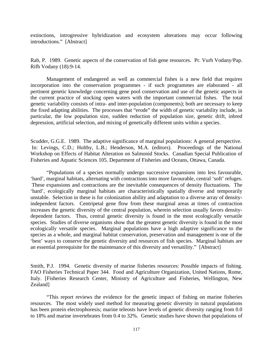extinctions, introgressive hybridization and ecosystem alterations may occur following introductions." [Abstract]

Rab, P. 1989. Genetic aspects of the conservation of fish gene resources. Pr. Vurh Vodany/Pap. Rifh Vodany (18):9-14.

 Management of endangered as well as commercial fishes is a new field that requires incorporation into the conservation programmes - if such programmes are elaborated - all pertinent genetic knowledge concerning gene pool conservation and use of the genetic aspects in the current practice of stocking open waters with the important commercial fishes. The total genetic variability consists of intra- and inter-population (components); both are necessary to keep the fixed adapting abilities. The processes that "erode" the width of genetic variability include, in particular, the low population size, sudden reduction of population size, genetic drift, inbred depression, artificial selection, and mixing of genetically different units within a species.

Scudder, G.G.E. 1989. The adaptive significance of marginal populations: A general perspective. In: Levings, C.D.; Holtby, L.B.; Henderson, M.A. (editors). Proceedings of the National Workshop on Effects of Habitat Alteration on Salmonid Stocks. Canadian Special Publication of Fisheries and Aquatic Sciences 105. Department of Fisheries and Oceans, Ottawa, Canada.

 "Populations of a species normally undergo successive expansions into less favourable, 'hard', marginal habitats, alternating with contractions into more favourable, central 'soft' refuges. These expansions and contractions are the inevitable consequences of density fluctuations. The 'hard', ecologically marginal habitats are characteristically spatially diverse and temporarily unstable. Selection in these is for colonization ability and adaptation to a diverse array of densityindependent factors. Centripetal gene flow from these marginal areas at times of contraction increases the genetic diversity of the central population, wherein selection usually favors densitydependent factors. Thus, central genetic diversity is found in the most ecologically versatile species. Studies of diverse organisms show that the greatest genetic diversity is found in the most ecologically versatile species. Marginal populations have a high adaptive significance to the species as a whole, and marginal habitat conservation, preservation and management is one of the 'best' ways to conserve the genetic diversity and resources of fish species. Marginal habitats are an essential prerequisite for the maintenance of this diversity and versatility." [Abstract]

Smith, P.J. 1994. Genetic diversity of marine fisheries resources: Possible impacts of fishing. FAO Fisheries Technical Paper 344. Food and Agriculture Organization, United Nations, Rome, Italy. [Fisheries Research Center, Ministry of Agriculture and Fisheries, Wellington, New Zealand]

 "This report reviews the evidence for the genetic impact of fishing on marine fisheries resources. The most widely used method for measuring genetic diversity in natural populations has been protein electrophoresis; marine teleosts have levels of genetic diversity ranging from 0.0 to 18% and marine invertebrates from 0.4 to 32%. Genetic studies have shown that populations of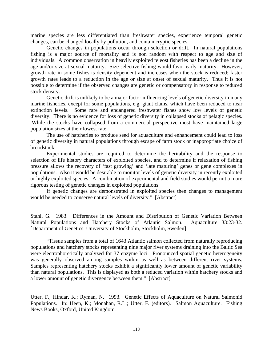marine species are less differentiated than freshwater species, experience temporal genetic changes, can be changed locally by pollution, and contain cryptic species.

 Genetic changes in populations occur through selection or drift. In natural populations fishing is a major source of mortality and is non random with respect to age and size of individuals. A common observation in heavily exploited teleost fisheries has been a decline in the age and/or size at sexual maturity. Size selective fishing would favor early maturity. However, growth rate in some fishes is density dependent and increases when the stock is reduced; faster growth rates leads to a reduction in the age or size at onset of sexual maturity. Thus it is not possible to determine if the observed changes are genetic or compensatory in response to reduced stock density.

 Genetic drift is unlikely to be a major factor influencing levels of genetic diversity in many marine fisheries, except for some populations, e.g. giant clams, which have been reduced to near extinction levels. Some rare and endangered freshwater fishes show low levels of genetic diversity. There is no evidence for loss of genetic diversity in collapsed stocks of pelagic species. While the stocks have collapsed from a commercial perspective most have maintained large population sizes at their lowest rate.

 The use of hatcheries to produce seed for aquaculture and enhancement could lead to loss of genetic diversity in natural populations through escape of farm stock or inappropriate choice of broodstock.

 Experimental studies are required to determine the heritability and the response to selection of life history characters of exploited species, and to determine if relaxation of fishing pressure allows the recovery of 'fast growing' and 'late maturing' genes or gene complexes in populations. Also it would be desirable to monitor levels of genetic diversity in recently exploited or highly exploited species. A combination of experimental and field studies would permit a more rigorous testing of genetic changes in exploited populations.

 If genetic changes are demonstrated in exploited species then changes to management would be needed to conserve natural levels of diversity." [Abstract]

Stahl, G. 1983. Differences in the Amount and Distribution of Genetic Variation Between Natural Populations and Hatchery Stocks of Atlantic Salmon. Aquaculture 33:23-32. [Department of Genetics, University of Stockholm, Stockholm, Sweden]

 "Tissue samples from a total of 1643 Atlantic salmon collected from naturally reproducing populations and hatchery stocks representing nine major river systems draining into the Baltic Sea were electrophoretically analyzed for 37 enzyme loci. Pronounced spatial genetic heterogeneity was generally observed among samples within as well as between different river systems. Samples representing hatchery stocks exhibit a significantly lower amount of genetic variability than natural populations. This is displayed as both a reduced variation within hatchery stocks and a lower amount of genetic divergence between them." [Abstract]

Utter, F.; Hindar, K.; Ryman, N. 1993. Genetic Effects of Aquaculture on Natural Salmonid Populations. In: Heen, K.; Monahan, R.L.; Utter, F. (editors). Salmon Aquaculture. Fishing News Books, Oxford, United Kingdom.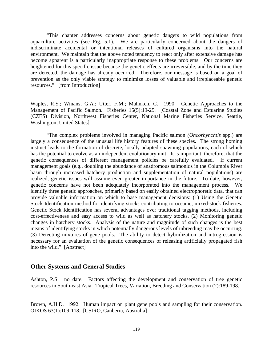"This chapter addresses concerns about genetic dangers to wild populations from aquaculture activities (see Fig. 5.1). We are particularly concerned about the dangers of indiscriminate accidental or intentional releases of cultured organisms into the natural environment. We maintain that the above noted tendency to react only after extensive damage has become apparent is a particularly inappropriate response to these problems. Our concerns are heightened for this specific issue because the genetic effects are irreversible, and by the time they are detected, the damage has already occurred. Therefore, our message is based on a goal of prevention as the only viable strategy to minimize losses of valuable and irreplaceable genetic resources." [from Introduction]

Waples, R.S.; Winans, G.A.; Utter, F.M.; Mahnken, C. 1990. Genetic Approaches to the Management of Pacific Salmon. Fisheries 15(5):19-25. [Coastal Zone and Estuarine Studies (CZES) Division, Northwest Fisheries Center, National Marine Fisheries Service, Seattle, Washington, United States]

 "The complex problems involved in managing Pacific salmon *(Oncorhynchtis* spp.) are largely a consequence of the unusual life history features of these species. The strong homing instinct leads to the formation of discrete, locally adapted spawning populations, each of which has the potential to evolve as an independent evolutionary unit. It is important, therefore, that the genetic consequences of different management policies be carefully evaluated. If current management goals (e.g., doubling the abundance of anadromous salmonids in the Columbia River basin through increased hatchery production and supplementation of natural populations) are realized, genetic issues will assume even greater importance in the future. To date, however, genetic concerns have not been adequately incorporated into the management process. We identify three genetic approaches, primarily based on easily obtained electrophoretic data, that can provide valuable information on which to base management decisions: (1) Using the Genetic Stock Identification method for identifying stocks contributing to oceanic, mixed-stock fisheries. Genetic Stock Identification has several advantages over traditional tagging methods, including cost-effectiveness and easy access to wild as well as hatchery stocks. (2) Monitoring genetic changes in hatchery stocks. Analysis of the nature and magnitude of such changes is the best means of identifying stocks in which potentially dangerous levels of inbreeding may be occurring. (3) Detecting mixtures of gene pools. The ability to detect hybridization and introgression is necessary for an evaluation of the genetic consequences of releasing artificially propagated fish into the wild." [Abstract]

# **Other Systems and General Studies**

Ashton, P.S. no date. Factors affecting the development and conservation of tree genetic resources in South-east Asia. Tropical Trees, Variation, Breeding and Conservation (2):189-198.

Brown, A.H.D. 1992. Human impact on plant gene pools and sampling for their conservation. OIKOS 63(1):109-118. [CSIRO, Canberra, Australia]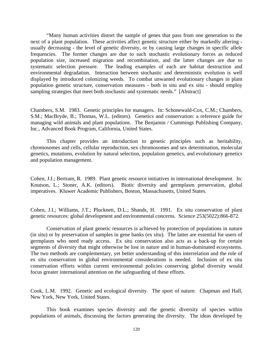"Many human activities distort the sample of genes that pass from one generation to the next of a plant population. These activities affect genetic structure either by markedly altering usually decreasing - the level of genetic diversity, or by causing large changes in specific allele frequencies. The former changes are due to such stochastic evolutionary forces as reduced population size, increased migration and recombination, and the latter changes are due to systematic selection pressure. The leading examples of each are habitat destruction and environmental degradation. Interaction between stochastic and deterministic evolution is well displayed by introduced colonizing weeds. To combat unwanted evolutionary changes in plant population genetic structure, conservation measures - both in situ and ex situ - should employ sampling strategies that meet both stochastic and systematic needs." [Abstract]

Chambers, S.M. 1983. Genetic principles for managers. In: Schonewald-Cox, C.M.; Chambers, S.M.; MacBryde, B.; Thomas, W.L. (editors). Genetics and conservation: a reference guide for managing wild animals and plant populations. The Benjamin / Cummings Publishing Company, Inc., Advanced Book Program, California, United States.

 This chapter provides an introduction to genetic principles such as heritability, chromosomes and cells, cellular reproduction, sex chromosomes and sex determination, molecular genetics, mutations, evolution by natural selection, population genetics, and evolutionary genetics and population management.

Cohen, J.I.; Bertram, R. 1989. Plant genetic resource initiatives in international development. In: Knutson, L.; Stoner, A.K. (editors). Biotic diversity and germplasm preservation, global imperatives. Kluwer Academic Publishers, Boston, Massachusetts, United States.

Cohen, J.I.; Williams, J.T.; Plucknett, D.L.; Shands, H. 1991. Ex situ conservation of plant genetic resources: global development and environmental concerns. Science 253(5022):866-872.

 Conservation of plant genetic resources is achieved by protection of populations in nature (in situ) or by preservation of samples in gene banks (ex situ). The latter are essential for users of germplasm who need ready access. Ex situ conservation also acts as a back-up for certain segments of diversity that might otherwise be lost in nature and in human-dominated ecosystems. The two methods are complementary, yet better understanding of this interrelation and the role of ex situ conservation in global environmental considerations is needed. Inclusion of ex situ conservation efforts within current environmental policies conserving global diversity would focus greater international attention on the safeguarding of these efforts.

Cook, L.M. 1992. Genetic and ecological diversity. The sport of nature. Chapman and Hall, New York, New York, United States.

 This book examines species diversity and the genetic diversity of species within populations of animals, discussing the factors generating the diversity. The ideas developed by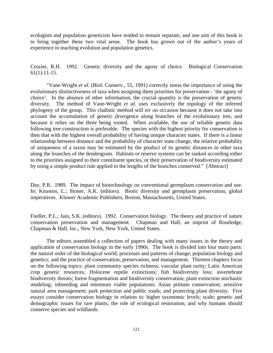ecologists and population geneticists have tended to remain separate, and one aim of this book is to bring together these two vital areas. The book has grown out of the author's years of experience in teaching evolution and population genetics.

Crozier, R.H. 1992. Genetic diversity and the agony of choice. Biological Conservation 61(1):11-15.

 "Vane-Wright *et al.* (Biol. Conserv., 55, 1991) correctly stress the importance of using the evolutionary distinctiveness of taxa when assigning them priorities for preservation - 'the agony of choice'. In the absence of other information, the crucial quantity is the preservation of genetic diversity. The method of Vane-Wright *et al.* uses exclusively the topology of the inferred phylogeny of the group. This cladistic method will err on occasion because it does not take into account the accumulation of genetic divergence along branches of the evolutionary tree, and because it relies on the three being rooted. When available, the use of reliable genetic data following tree construction is preferable. The species with the highest priority for conservation is then that with the highest overall probability of having unique character states. If there is a linear relationship between distance and the probability of character state change, the relative probability of uniqueness of a taxon may be estimated by the product of its genetic distances to other taxa along the branches of the dendrogram. Habitats or reserve systems can be ranked according either to the priorities assigned to their constituent species, or their preservation of biodiversity estimated by using a simple product rule applied to the lengths of the branches conserved." [Abstract]

Day, P.R. 1989. The impact of biotechnology on conventional germplasm conservation and use. In: Knuston, L.; Stoner, A.K. (editors). Biotic diversity and germplasm preservation, global imperatives. Kluwer Academic Publishers, Boston, Massachusetts, United States.

Fiedler, P.L.; Jain, S.K. (editors). 1992. Conservation biology. The theory and practice of nature conservation preservation and management. Chapman and Hall, an imprint of Routledge, Chapman & Hall, Inc., New York, New York, United States.

 The editors assembled a collection of papers dealing with many issues in the theory and application of conservation biology in the early 1990s. The book is divided into four main parts: the natural order of the biological world; processes and patterns of change; population biology and genetics; and the practice of conservation, preservation, and management. Thirteen chapters focus on the following topics: plant community species richness; vascular plant rarity; Latin American crop genetic resources; Holocene reptile extinctions; fish biodiversity loss; invertebrate biodiversity threats; forest fragmentation and biodiversity conservation; plant extinction stochastic modeling; inbreeding and minimum viable populations; Asian primate conservation; sensitive natural area management; park protection and public roads; and protecting plant diversity. Five essays consider conservation biology in relation to: higher taxonomic levels; scale; genetic and demographic issues for rare plants; the role of ecological restoration; and why humans should conserve species and wildlands.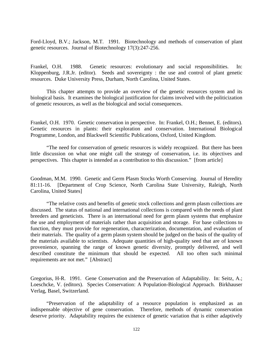Ford-Lloyd, B.V.; Jackson, M.T. 1991. Biotechnology and methods of conservation of plant genetic resources. Journal of Biotechnology 17(3):247-256.

Frankel, O.H. 1988. Genetic resources: evolutionary and social responsibilities. In: Kloppenburg, J.R.Jr. (editor). Seeds and sovereignty : the use and control of plant genetic resources. Duke University Press, Durham, North Carolina, United States.

 This chapter attempts to provide an overview of the genetic resources system and its biological basis. It examines the biological justification for claims involved with the politicization of genetic resources, as well as the biological and social consequences.

Frankel, O.H. 1970. Genetic conservation in perspective. In: Frankel, O.H.; Bennet, E. (editors). Genetic resources in plants: their exploration and conservation. International Biological Programme, London, and Blackwell Scientific Publications, Oxford, United Kingdom.

 "The need for conservation of genetic resources is widely recognized. But there has been little discussion on what one might call the strategy of conservation, i.e. its objectives and perspectives. This chapter is intended as a contribution to this discussion." [from article]

Goodman, M.M. 1990. Genetic and Germ Plasm Stocks Worth Conserving. Journal of Heredity 81:11-16. [Department of Crop Science, North Carolina State University, Raleigh, North Carolina, United States]

 "The relative costs and benefits of genetic stock collections and germ plasm collections are discussed. The status of national and international collections is compared with the needs of plant breeders and geneticists. There is an international need for germ plasm systems that emphasize the use and employment of materials rather than acquisition and storage. For base collections to function, they must provide for regeneration, characterization, documentation, and evaluation of their materials. The quality of a germ plasm system should be judged on the basis of the quality of the materials available to scientists. Adequate quantities of high-quality seed that are of known provenience, spanning the range of known genetic diversity, promptly delivered, and well described constitute the minimum that should be expected. All too often such minimal requirements are not met." [Abstract]

Gregorius, H-R. 1991. Gene Conservation and the Preservation of Adaptability. In: Seitz, A.; Loeschcke, V. (editors). Species Conservation: A Population-Biological Approach. Birkhauser Verlag, Basel, Switzerland.

 "Preservation of the adaptability of a resource population is emphasized as an indispensable objective of gene conservation. Therefore, methods of dynamic conservation deserve priority. Adaptability requires the existence of genetic variation that is either adaptively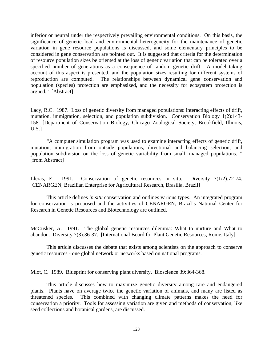inferior or neutral under the respectively prevailing environmental conditions. On this basis, the significance of genetic load and environmental heterogeneity for the maintenance of genetic variation in gene resource populations is discussed, and some elementary principles to be considered in gene conservation are pointed out. It is suggested that criteria for the determination of resource population sizes be oriented at the loss of genetic variation that can be tolerated over a specified number of generations as a consequence of random genetic drift. A model taking account of this aspect is presented, and the population sizes resulting for different systems of reproduction are computed. The relationships between dynamical gene conservation and population (species) protection are emphasized, and the necessity for ecosystem protection is argued." [Abstract]

Lacy, R.C. 1987. Loss of genetic diversity from managed populations: interacting effects of drift, mutation, immigration, selection, and population subdivision. Conservation Biology 1(2):143- 158. [Department of Conservation Biology, Chicago Zoological Society, Brookfield, Illinois, U.S.]

 "A computer simulation program was used to examine interacting effects of genetic drift, mutation, immigration from outside populations, directional and balancing selection, and population subdivision on the loss of genetic variability from small, managed populations..." [from Abstract]

Lleras, E. 1991. Conservation of genetic resources in situ. Diversity 7(1/2):72-74. [CENARGEN, Brazilian Enterprise for Agricultural Research, Brasilia, Brazil]

 This article defines *in situ* conservation and outlines various types. An integrated program for conservation is proposed and the activities of CENARGEN, Brazil's National Center for Research in Genetic Resources and Biotechnology are outlined.

McCusker, A. 1991. The global genetic resources dilemma: What to nurture and What to abandon. Diversity 7(3):36-37. [International Board for Plant Genetic Resources, Rome, Italy]

 This article discusses the debate that exists among scientists on the approach to conserve genetic resources - one global network or networks based on national programs.

Mlot, C. 1989. Blueprint for conserving plant diversity. Bioscience 39:364-368.

 This article discusses how to maximize genetic diversity among rare and endangered plants. Plants have on average twice the genetic variation of animals, and many are listed as threatened species. This combined with changing climate patterns makes the need for conservation a priority. Tools for assessing variation are given and methods of conservation, like seed collections and botanical gardens, are discussed.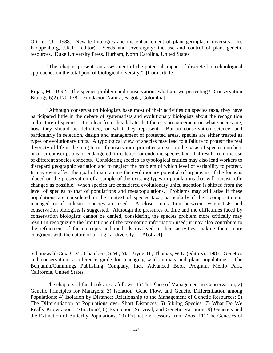Orton, T.J. 1988. New technologies and the enhancement of plant germplasm diversity. In: Kloppenburg, J.R.Jr. (editor). Seeds and sovereignty: the use and control of plant genetic resources. Duke University Press, Durham, North Carolina, United States.

 "This chapter presents an assessment of the potential impact of discrete biotechnological approaches on the total pool of biological diversity." [from article]

Rojas, M. 1992. The species problem and conservation: what are we protecting? Conservation Biology 6(2):170-178. [Fundacion Natura, Bogota, Colombia]

 "Although conservation biologists base most of their activities on species taxa, they have participated little in the debate of systematists and evolutionary biologists about the recognition and nature of species. It is clear from this debate that there is no agreement on what species are, how they should be delimited, or what they represent. But in conservation science, and particularly in selection, design and management of protected areas, species are either treated as types or evolutionary units. A typological view of species may lead to a failure to protect the real diversity of life in the long term, if conservation priorities are set on the basis of species numbers or on circumscriptions of endangered, threatened, or endemic species taxa that result from the use of different species concepts. Considering species as typological entities may also lead workers to disregard geographic variation and to neglect the problem of which level of variability to protect. It may even affect the goal of maintaining the evolutionary potential of organisms, if the focus is placed on the preservation of a sample of the existing types in populations that will persist little changed as possible. When species are considered evolutionary units, attention is shifted from the level of species to that of populations and metapopulations. Problems may still arise if these populations are considered in the context of species taxa, particularly if their composition is managed or if indicator species are used. A closer interaction between systematists and conservation biologists is suggested. Although the pressures of time and the difficulties faced by conservation biologists cannot be denied, considering the species problem more critically may result in recognizing the limitations of the taxonomic information used; it may also contribute to the refinement of the concepts and methods involved in their activities, making them more congruent with the nature of biological diversity." [Abstract]

Schonewald-Cox, C.M.; Chambers, S.M.; MacBryde, B.; Thomas, W.L. (editors). 1983. Genetics and conservation: a reference guide for managing wild animals and plant populations. The Benjamin/Cummings Publishing Company, Inc., Advanced Book Program, Menlo Park, California, United States.

 The chapters of this book are as follows: 1) The Place of Management in Conservation; 2) Genetic Principles for Managers; 3) Isolation, Gene Flow, and Genetic Differentiation among Populations; 4) Isolation by Distance: Relationship to the Management of Genetic Resources; 5) The Differentiation of Populations over Short Distances; 6) Sibling Species; 7) What Do We Really Know about Extinction?; 8) Extinction, Survival, and Genetic Variation; 9) Genetics and the Extinction of Butterfly Populations; 10) Extinction: Lessons from Zoos; 11) The Genetics of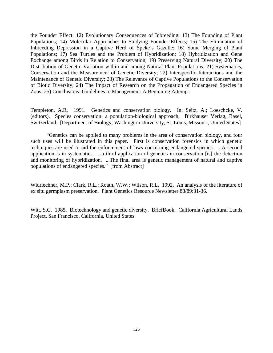the Founder Effect; 12) Evolutionary Consequences of Inbreeding; 13) The Founding of Plant Populations; 14) Molecular Approaches to Studying Founder Effects; 15) The Elimination of Inbreeding Depression in a Captive Herd of Speke's Gazelle; 16) Some Merging of Plant Populations; 17) Sea Turtles and the Problem of Hybridization; 18) Hybridization and Gene Exchange among Birds in Relation to Conservation; 19) Preserving Natural Diversity; 20) The Distribution of Genetic Variation within and among Natural Plant Populations; 21) Systematics, Conservation and the Measurement of Genetic Diversity; 22) Interspecific Interactions and the Maintenance of Genetic Diversity; 23) The Relevance of Captive Populations to the Conservation of Biotic Diversity; 24) The Impact of Research on the Propagation of Endangered Species in Zoos; 25) Conclusions: Guidelines to Management: A Beginning Attempt.

Templeton, A.R. 1991. Genetics and conservation biology. In: Seitz, A.; Loeschcke, V. (editors). Species conservation: a population-biological approach. Birkhauser Verlag, Basel, Switzerland. [Department of Biology, Washington University, St. Louis, Missouri, United States]

 "Genetics can be applied to many problems in the area of conservation biology, and four such uses will be illustrated in this paper. First is conservation forensics in which genetic techniques are used to aid the enforcement of laws concerning endangered species. ...A second application is in systematics. ...a third application of genetics in conservation [is] the detection and monitoring of hybridization. ...The final area is genetic management of natural and captive populations of endangered species." [from Abstract]

Widrlechner, M.P.; Clark, R.L.; Roath, W.W.; Wilson, R.L. 1992. An analysis of the literature of ex situ germplasm preservation. Plant Genetics Resource Newsletter 88/89:31-36.

Witt, S.C. 1985. Biotechnology and genetic diversity. BriefBook. California Agricultural Lands Project, San Francisco, California, United States.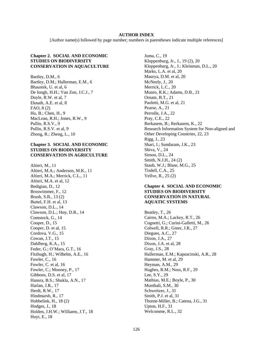#### **AUTHOR INDEX**

[Author name(s) followed by page number; numbers in parentheses indicate multiple references]

### **Chapter 2. SOCIAL AND ECONOMIC STUDIES ON BIODIVERSITY CONSERVATION IN AQUACULTURE**

Bartley, D.M., 6 Bartley, D.M.; Hallerman, E.M., 6 Bhaumik, U. et al, 6 De Iongh, H.H.; Van Zon, J.C.J., 7 Doyle, R.W. et al, 7 Eknath, A.E. et al, 8 FAO, 8 (2) Hu, B.; Chen, H., 9 MacLean, R.H.; Jones, R.W., 9 Pullin, R.S.V., 9 Pullin, R.S.V. et al, 9 Zhong, R.; Zheng, L., 10

### **Chapter 3. SOCIAL AND ECONOMIC STUDIES ON BIODIVERSITY CONSERVATION IN AGRICULTURE**

Altieri, M., 11 Altieri, M.A.; Anderson, M.K., 11 Altieri, M.A.; Merrick, C.L., 11 Altieri, M.A. et al, 12 Bedigian, D., 12 Broswimmer, F., 12 Brush, S.B., 13 (2) Buttel, F.H. et al, 13 Clawson, D.L., 14 Clawson, D.L.; Hoy, D.R., 14 Comstock, G., 14 Cooper, D., 15 Cooper, D. et al, 15 Cordova, V.G., 15 Cowan, J.T., 15 Dahlberg, K.A., 15 Feder, G.; O'Mara, G.T., 16 Fitzhugh, H.; Wilhelm, A.E., 16 Fowler, C., 16 Fowler, C. et al, 16 Fowler, C.; Mooney, P., 17 Gibbons, D.S. et al, 17 Hansra, B.S.; Shukla, A.N., 17 Harlan, J.R., 17 Herdt, R.W., 17 Hindmarsh, R., 17 Hobbelink, H., 18 (2) Hodges, J., 18 Holden, J.H.W.; Williams, J.T., 18 Hoyt, E., 18

Juma, C., 19 Kloppenburg, Jr., J., 19 (2), 20 Kloppenburg, Jr., J.; Kleinman, D.L., 20 Marks, L.A. et al, 20 Maurya, D.M. et al, 20 McNeely, J., 20 Merrick, L.C., 20 Munro, R.K.; Adams, D.B., 21 Ornate, B.T., 21 Paoletti, M.G. et al, 21 Pearse, A., 21 Perrolle, J.A., 22 Pray, C.E., 22 Rerkasem, B.; Rerkasem, K., 22 Research Information System for Non-aligned and Other Developing Countries, 22, 23 Rigg, J., 23 Shari, I.; Sundaram, J.K., 23 Shiva, V., 24 Simon, D.L., 24 Smith, N.J.H., 24 (2) Staub, W.J.; Blase, M.G., 25 Tisdell, C.A., 25 Vellve, R., 25 (2)

## **Chapter 4. SOCIAL AND ECONOMIC STUDIES ON BIODIVERSITY CONSERVATION IN NATURAL AQUATIC SYSTEMS**

Beatley, T., 26 Cairns, M.A.; Lackey, R.T., 26 Cognetti, G.; Curini-Galletti, M., 26 Colwell, R.R.; Greer, J.R., 27 Diegues, A.C., 27 Dixon, J.A., 27 Dixon, J.A. et al, 28 Gray, J.S., 28 Hallerman, E.M.; Kapuscinski, A.R., 28 Hammer, M. et al, 29 Heyman, A.M., 29 Hughes, R.M.; Noss, R.F., 29 Lee, S.Y., 29 Mathias, M.E.; Boyle, P., 30 Munthali, S.M., 30 Schweitzer, J., 31 Smith, P.J. et al, 31 Thorne-Miller, B.; Catena, J.G., 31 Upton, H.F., 31 Welcomme, R.L., 32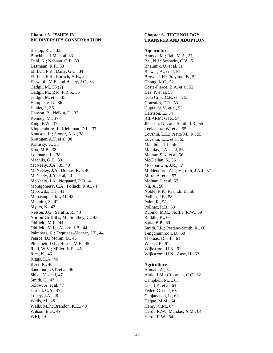#### **Chapter 5. ISSUES IN BIODIVERSITY CONSERVATION**

Bishop, R.C., 33 Blockhus, J.M. et al, 33 Dahl, K.; Nabhan, G.P., 33 Dasmann, R.F., 33 Ehrlich, P.R.; Daily, G.C., 34 Ehrlich, P.R.; Ehrlich, A.H., 34 Eiswerth, M.E. and Haney, J.C., 34 Gadgil, M., 35 (2) Gadgil, M.; Rao, P.R.S., 35 Gadgil, M. et al, 35 Hampicke, U., 36 Hanks, J., 36 Hanson, B.; Nelkin, D., 37 Kenney, M., 37 King, F.W., 37 Kloppenburg, J.; Kleinman, D.L., 37 Knutson, L.; Stoner, A.K., 38 Krattiger, A.F. et al, 38 Krimsky, S., 38 Kux, M.B., 38 Lohmann, L., 38 Machlis, G.E., 39 McNeely, J.A., 39, 40 McNeeley, J.A.; Dobias, R.J., 40 McNeely, J.A. et al, 40 McNeely, J.A.; Norgaard, R.B., 41 Montgomery, C.A.; Pollack, R.A., 41 Morowitz, H.J., 41 Munasinghe, M., 41, 42 Muchiru, S., 42 Myers, N., 42 Nelson, J.G.; Serafin, R., 43 Norton-Griffiths, M.; Southey, C., 43 Oldfield, M.L., 44 Oldfield, M.L.; Alcorn, J.B., 44 Palmberg, C.; Esquinas-Alcazar, J.T., 44 Pearce, D.; Moran, D., 45 Plucknett, D.L.; Horne, M.E., 45 Reid, W.V.; Miller, K.R., 45 Rice, K., 46 Riggs, L.A., 46 Rose, R., 46 Sandlund, O.T. et al, 46 Shiva, V. et al, 47 Smith, C., 47 Solow, A. et al, 47 Tisdell, C.A., 47 Tobey, J.A., 48 Wells, M., 48 Wells, M.P.; Brandon, K.E., 48 Wilson, E.O., 49 WRI, 49

## **Chapter 6. TECHNOLOGY TRANSFER AND ADOPTION**

**Aquaculture**  Ahmed, M.; Rab, M.A., 51 Bai, N.J.; Seshadri, C.V., 51 Bhaumik, U. et al, 51 Biswas, A.; et al, 52 Brown, J.H.; Prayitno, B., 52 Chong, K.C., 52 Costa-Pierce, B.A. et al, 52 Das, P. et al, 53 Dela Cruz, C.R. et al, 53 Gonzales, E.R., 53 Gupta, M.V. et al, 53 Harrison, E., 54 ICLARM; GTZ, 54 Jhocson, N.I. and Smith, I.R., 55 Leelapatra, W. et al, 55 Lovshin, L.L.; Pretto M., R., 55 Lovshin, L.L. et al, 55 Mandima, J.J., 56 Mathias, J.A. et al, 56 Mathur, S.K. et al, 56 McClellan, S., 56 McGoodwin, J.R., 57 Middendorp, A.J.; Verreth, J.A.J., 57 Mitra, A. et al, 57 Molnar, J. et al, 57 Nij, A., 58 Noble, R.P.; Rashidi, B., 58 Padilla, J.E., 58 Palm, R., 58 Pollnac, R.B., 59 Rubino, M.C.; Stoffle, R.W., 59 Ruddle, K., 60 Satia, B.P., 60 Smith, I.R.; Pestano-Smith, R., 60 Tengchumroon, D., 60 Thomas, D.H.L., 61 Weeks, P., 61 Wijkstrom, U.N., 61 Wijkstrom, U.N.; Aase, H., 62

## **Agriculture**

Ahmad, A., 62 Antle, J.M.; Crissman, C.C., 62 Campbell, M.J., 63 Das, J.K. et al, 63 Feder, G. et al, 63 Ganjanapan, L., 63 Haque, M.M., 64 Henry, C.M., 64 Herdt, R.W.; Mandac, A.M., 64 Herdt, R.W., 64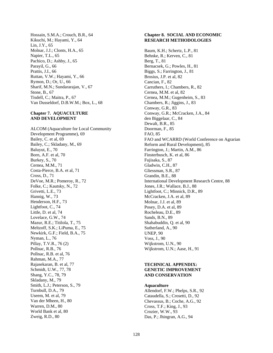Hossain, S.M.A.; Crouch, B.R., 64 Kikuchi, M.; Hayami, Y., 64 Lin, J.Y., 65 Molnar, J.J.; Clonts, H.A., 65 Napier, T.L., 65 Pachico, D.; Ashby, J., 65 Parayil, G., 66 Prattis, J.I., 66 Ruttan, V.W.; Hayami, Y., 66 Rymon, D.; Or, U., 66 Sharif, M.N.; Sundararajan, V., 67 Stone, B., 67 Tisdell, C.; Maitra, P., 67 Van Dusseldorf, D.B.W.M.; Box, L., 68

#### **Chapter 7. AQUACULTURE AND DEVELOPMENT**

ALCOM (Aquaculture for Local Community Development Programme), 69 Bailey, C. et al, 69 Bailey, C.; Skladany, M., 69 Baluyut, E., 70 Born, A.F. et al, 70 Burkey, S., 70 Cernea, M.M., 71 Costa-Pierce, B.A. et al, 71 Cross, D., 71 DeVoe, M.R.; Pomeroy, R., 72 Folke, C.; Kautsky, N., 72 Grivetti, L.E., 73 Hannig, W., 73 Henderson, H.F., 73 Lightfoot, C., 74 Little, D. et al, 74 Lovelace, G.W., 74 Mazur, R.E.; Titilola, T., 75 Meltzoff, S.K.; LiPuma, E., 75 Newkirk, G.F.; Field, B.A., 75 Nyman, L., 76 Pillay, T.V.R., 76 (2) Pollnac, R.B., 76 Pollnac, R.B. et al, 76 Rahman, M.A., 77 Rajasekaran, B. et al, 77 Schmidt, U.W., 77, 78 Shang, Y.C., 78, 79 Skladany, M., 79 Smith, L.J.; Peterson, S., 79 Turnbull, D.A., 79 Useem, M. et al, 79 Van der Mheen, H., 80 Warren, D.M., 80 World Bank et al, 80 Zweig, R.D., 80

### **Chapter 8. SOCIAL AND ECONOMIC RESEARCH METHODOLOGIES**

Baum, K.H.; Schertz, L.P., 81 Behnke, R.; Kerven, C., 81 Berg, T., 81 Bernacsek, G.; Powles, H., 81 Biggs, S.; Farrington, J., 81 Brosius, J.P. et al, 82 Cancian, F., 82 Carruthers, I.; Chambers, R., 82 Cernea, M.M. et al, 82 Cernea, M.M.; Gugenheim, S., 83 Chambers, R.; Jiggins, J., 83 Conway, G.R., 83 Conway, G.R.; McCracken, J.A., 84 den Biggelaar, C., 84 Dewalt, B.R., 85 Doorman, F., 85 FAO, 85 FAO and WCARRD (World Conference on Agrarian Reform and Rural Development), 85 Farrington, J.; Martin, A.M., 86 Finsterbusch, K. et al, 86 Fujisaka, S., 87 Gladwin, C.H., 87 Gliessman, S.R., 87 Grandin, B.E., 88 International Development Research Centre, 88 Jones, J.R.; Wallace, B.J., 88 Lightfoot, C.; Minnick, D.R., 89 McCracken, J.A. et al, 89 Molnar, J.J. et al, 89 Posey, D.A. et al, 89 Rocheleau, D.E., 89 Sands, B.N., 89 Shahabuddin, Q. et al, 90 Sutherland, A., 90 UNEP, 90 Voss, J., 90 Wijkstrom, U.N., 90 Wijkstrom, U.N.; Aase, H., 91

### **TECHNICAL APPENDIX: GENETIC IMPROVEMENT AND CONSERVATION**

**Aquaculture**  Allendorf, F.W.; Phelps, S.R., 92 Cataudella, S.; Crosetti, D., 92 Chevassus, B.; Coche, A.G., 92 Cross, T.F.; King, J., 93 Crozier, W.W., 93 Das, P.; Jhingran, A.G., 94